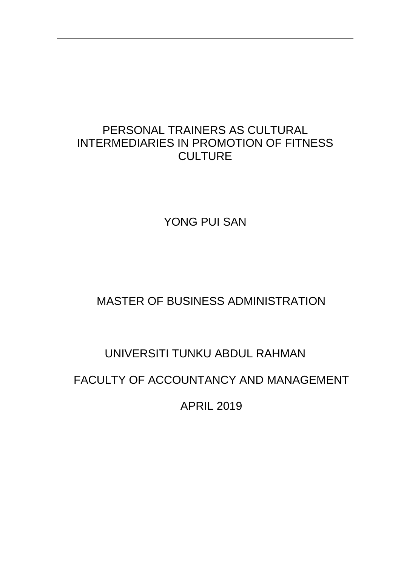## PERSONAL TRAINERS AS CULTURAL INTERMEDIARIES IN PROMOTION OF FITNESS **CULTURE**

YONG PUI SAN

# MASTER OF BUSINESS ADMINISTRATION

# UNIVERSITI TUNKU ABDUL RAHMAN

# FACULTY OF ACCOUNTANCY AND MANAGEMENT

APRIL 2019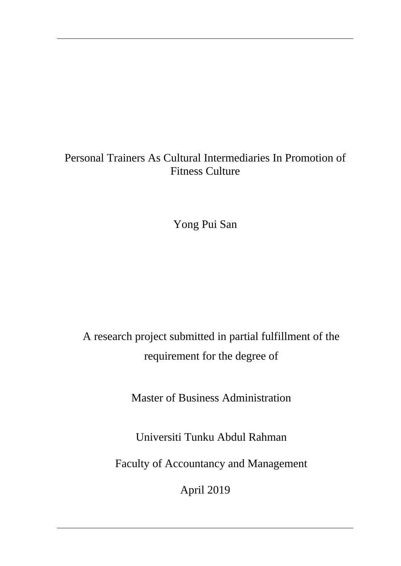# Personal Trainers As Cultural Intermediaries In Promotion of Fitness Culture

Yong Pui San

A research project submitted in partial fulfillment of the requirement for the degree of

Master of Business Administration

Universiti Tunku Abdul Rahman

Faculty of Accountancy and Management

April 2019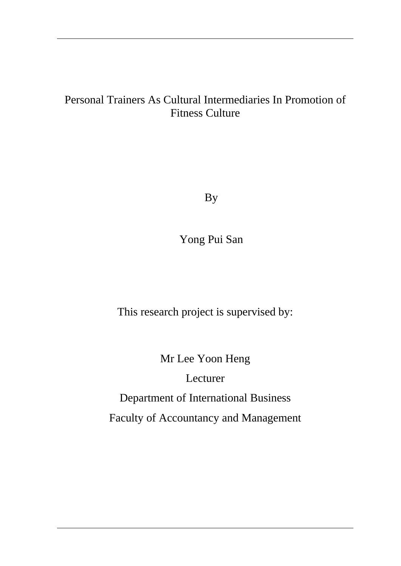## Personal Trainers As Cultural Intermediaries In Promotion of Fitness Culture

By

Yong Pui San

This research project is supervised by:

Mr Lee Yoon Heng

Lecturer

Department of International Business

Faculty of Accountancy and Management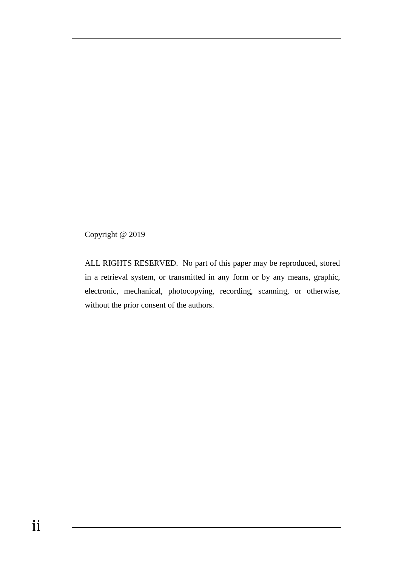Copyright @ 2019

ALL RIGHTS RESERVED. No part of this paper may be reproduced, stored in a retrieval system, or transmitted in any form or by any means, graphic, electronic, mechanical, photocopying, recording, scanning, or otherwise, without the prior consent of the authors.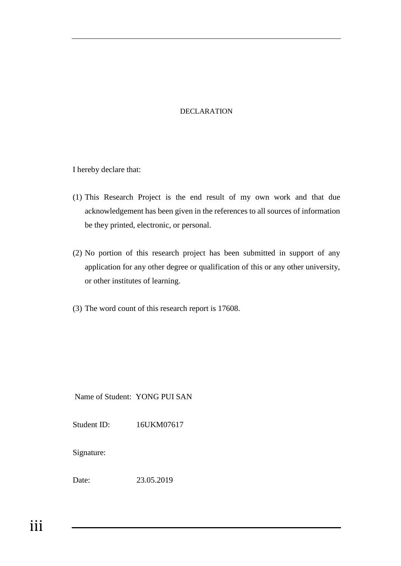#### DECLARATION

I hereby declare that:

- (1) This Research Project is the end result of my own work and that due acknowledgement has been given in the references to all sources of information be they printed, electronic, or personal.
- (2) No portion of this research project has been submitted in support of any application for any other degree or qualification of this or any other university, or other institutes of learning.
- (3) The word count of this research report is 17608.

Name of Student: YONG PUI SAN

Student ID: 16UKM07617

Signature:

Date: 23.05.2019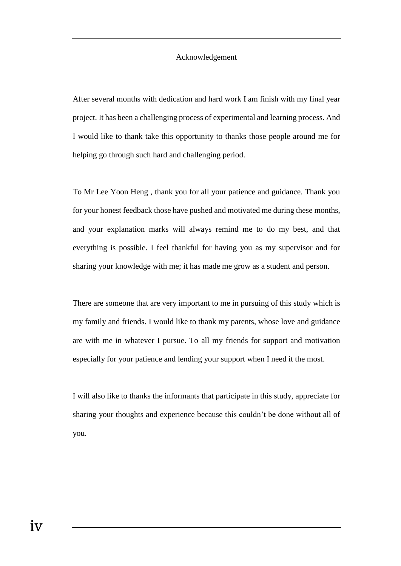#### Acknowledgement

After several months with dedication and hard work I am finish with my final year project. It has been a challenging process of experimental and learning process. And I would like to thank take this opportunity to thanks those people around me for helping go through such hard and challenging period.

To Mr Lee Yoon Heng , thank you for all your patience and guidance. Thank you for your honest feedback those have pushed and motivated me during these months, and your explanation marks will always remind me to do my best, and that everything is possible. I feel thankful for having you as my supervisor and for sharing your knowledge with me; it has made me grow as a student and person.

There are someone that are very important to me in pursuing of this study which is my family and friends. I would like to thank my parents, whose love and guidance are with me in whatever I pursue. To all my friends for support and motivation especially for your patience and lending your support when I need it the most.

I will also like to thanks the informants that participate in this study, appreciate for sharing your thoughts and experience because this couldn't be done without all of you.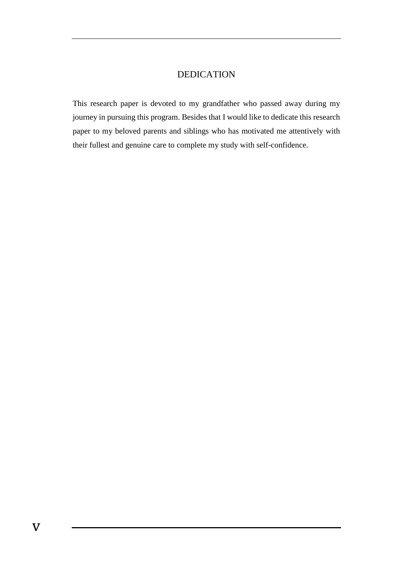#### DEDICATION

This research paper is devoted to my grandfather who passed away during my journey in pursuing this program. Besides that I would like to dedicate this research paper to my beloved parents and siblings who has motivated me attentively with their fullest and genuine care to complete my study with self-confidence.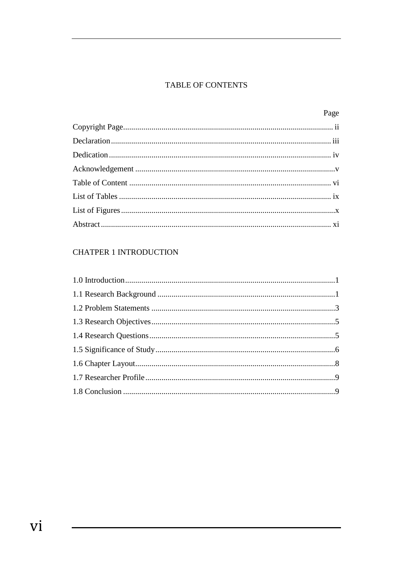#### **TABLE OF CONTENTS**

| Page |
|------|
|      |
|      |
|      |
|      |
|      |
|      |
|      |
|      |

## **CHATPER 1 INTRODUCTION**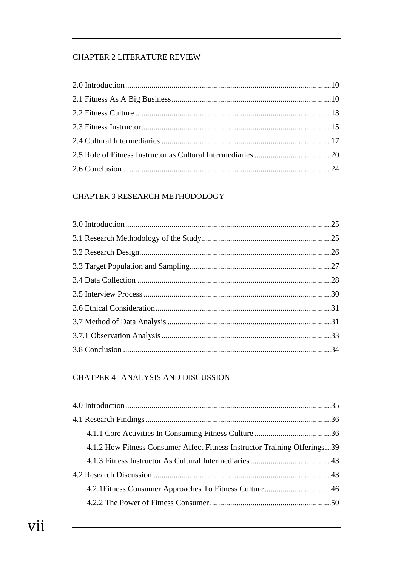#### **CHAPTER 2 LITERATURE REVIEW**

#### CHAPTER 3 RESEARCH METHODOLOGY

## CHATPER 4 ANALYSIS AND DISCUSSION

| 4.1.2 How Fitness Consumer Affect Fitness Instructor Training Offerings39 |  |
|---------------------------------------------------------------------------|--|
|                                                                           |  |
|                                                                           |  |
|                                                                           |  |
|                                                                           |  |

 $\blacksquare$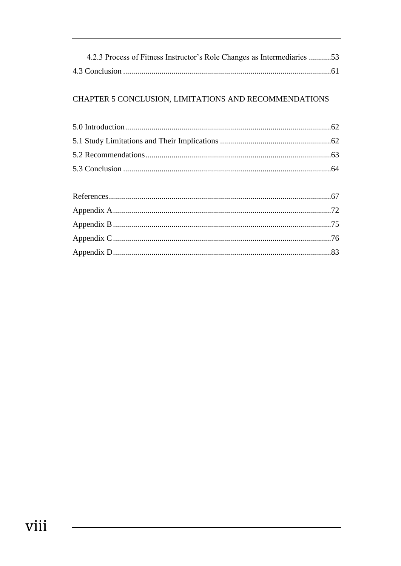| 4.2.3 Process of Fitness Instructor's Role Changes as Intermediaries 53 |  |
|-------------------------------------------------------------------------|--|
|                                                                         |  |

## CHAPTER 5 CONCLUSION, LIMITATIONS AND RECOMMENDATIONS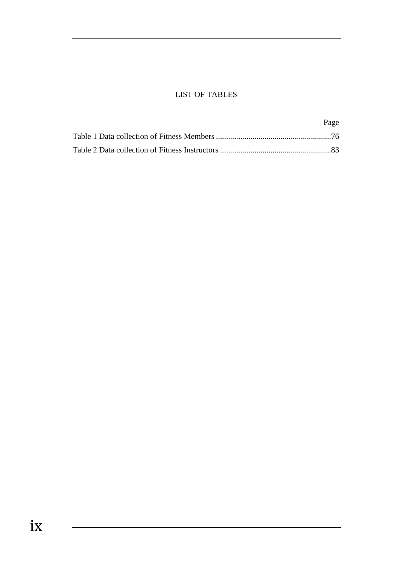#### LIST OF TABLES

| Page |
|------|
|      |
|      |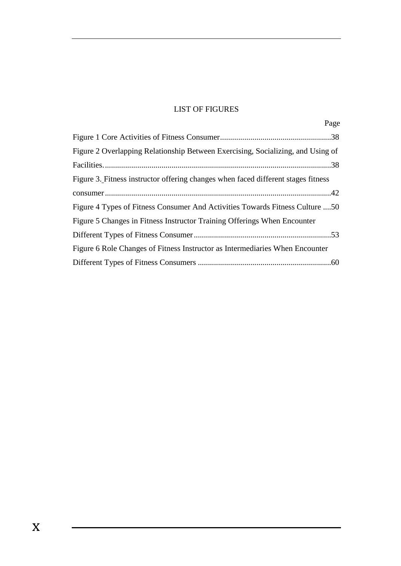### LIST OF FIGURES

| Page                                                                              |
|-----------------------------------------------------------------------------------|
|                                                                                   |
| Figure 2 Overlapping Relationship Between Exercising, Socializing, and Using of   |
|                                                                                   |
| Figure 3. Fitness instructor offering changes when faced different stages fitness |
|                                                                                   |
| Figure 4 Types of Fitness Consumer And Activities Towards Fitness Culture 50      |
| Figure 5 Changes in Fitness Instructor Training Offerings When Encounter          |
|                                                                                   |
| Figure 6 Role Changes of Fitness Instructor as Intermediaries When Encounter      |
|                                                                                   |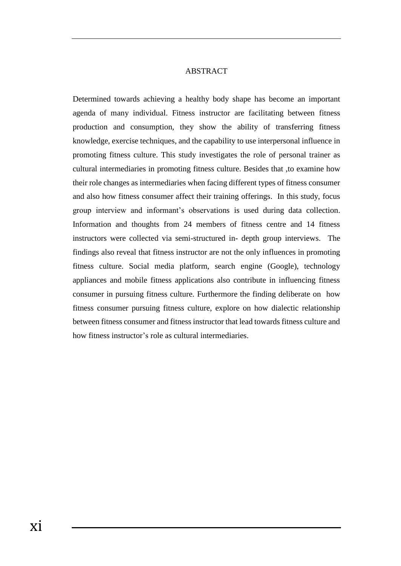#### ABSTRACT

Determined towards achieving a healthy body shape has become an important agenda of many individual. Fitness instructor are facilitating between fitness production and consumption, they show the ability of transferring fitness knowledge, exercise techniques, and the capability to use interpersonal influence in promoting fitness culture. This study investigates the role of personal trainer as cultural intermediaries in promoting fitness culture. Besides that ,to examine how their role changes as intermediaries when facing different types of fitness consumer and also how fitness consumer affect their training offerings. In this study, focus group interview and informant's observations is used during data collection. Information and thoughts from 24 members of fitness centre and 14 fitness instructors were collected via semi-structured in- depth group interviews. The findings also reveal that fitness instructor are not the only influences in promoting fitness culture. Social media platform, search engine (Google), technology appliances and mobile fitness applications also contribute in influencing fitness consumer in pursuing fitness culture. Furthermore the finding deliberate on how fitness consumer pursuing fitness culture, explore on how dialectic relationship between fitness consumer and fitness instructor that lead towards fitness culture and how fitness instructor's role as cultural intermediaries.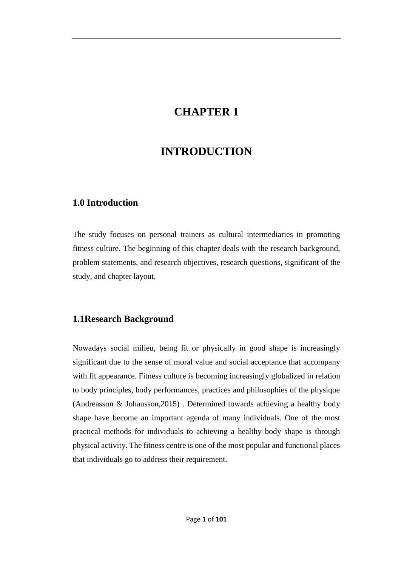## **CHAPTER 1**

## **INTRODUCTION**

#### **1.0 Introduction**

The study focuses on personal trainers as cultural intermediaries in promoting fitness culture. The beginning of this chapter deals with the research background, problem statements, and research objectives, research questions, significant of the study, and chapter layout.

#### **1.1Research Background**

Nowadays social milieu, being fit or physically in good shape is increasingly significant due to the sense of moral value and social acceptance that accompany with fit appearance. Fitness culture is becoming increasingly globalized in relation to body principles, body performances, practices and philosophies of the physique (Andreasson & Johansson,2015) . Determined towards achieving a healthy body shape have become an important agenda of many individuals. One of the most practical methods for individuals to achieving a healthy body shape is through physical activity. The fitness centre is one of the most popular and functional places that individuals go to address their requirement.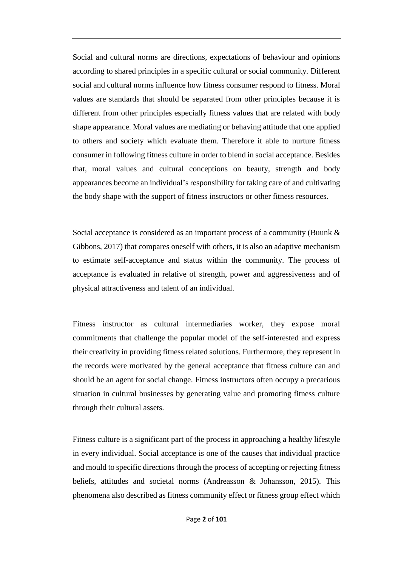Social and cultural norms are directions, expectations of behaviour and opinions according to shared principles in a specific cultural or social community. Different social and cultural norms influence how fitness consumer respond to fitness. Moral values are standards that should be separated from other principles because it is different from other principles especially fitness values that are related with body shape appearance. Moral values are mediating or behaving attitude that one applied to others and society which evaluate them. Therefore it able to nurture fitness consumer in following fitness culture in order to blend in social acceptance. Besides that, moral values and cultural conceptions on beauty, strength and body appearances become an individual's responsibility for taking care of and cultivating the body shape with the support of fitness instructors or other fitness resources.

Social acceptance is considered as an important process of a community (Buunk & Gibbons, 2017) that compares oneself with others, it is also an adaptive mechanism to estimate self-acceptance and status within the community. The process of acceptance is evaluated in relative of strength, power and aggressiveness and of physical attractiveness and talent of an individual.

Fitness instructor as cultural intermediaries worker, they expose moral commitments that challenge the popular model of the self-interested and express their creativity in providing fitness related solutions. Furthermore, they represent in the records were motivated by the general acceptance that fitness culture can and should be an agent for social change. Fitness instructors often occupy a precarious situation in cultural businesses by generating value and promoting fitness culture through their cultural assets.

Fitness culture is a significant part of the process in approaching a healthy lifestyle in every individual. Social acceptance is one of the causes that individual practice and mould to specific directions through the process of accepting or rejecting fitness beliefs, attitudes and societal norms (Andreasson & Johansson, 2015). This phenomena also described as fitness community effect or fitness group effect which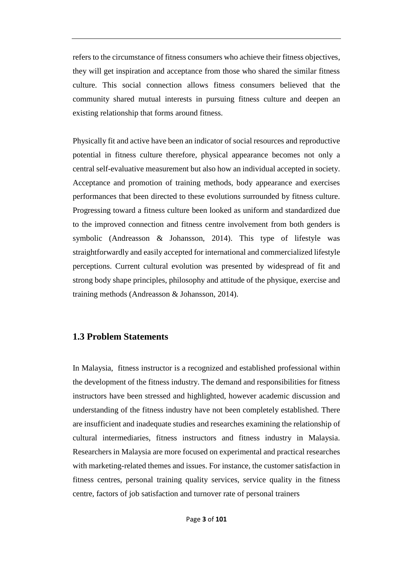refers to the circumstance of fitness consumers who achieve their fitness objectives, they will get inspiration and acceptance from those who shared the similar fitness culture. This social connection allows fitness consumers believed that the community shared mutual interests in pursuing fitness culture and deepen an existing relationship that forms around fitness.

Physically fit and active have been an indicator of social resources and reproductive potential in fitness culture therefore, physical appearance becomes not only a central self-evaluative measurement but also how an individual accepted in society. Acceptance and promotion of training methods, body appearance and exercises performances that been directed to these evolutions surrounded by fitness culture. Progressing toward a fitness culture been looked as uniform and standardized due to the improved connection and fitness centre involvement from both genders is symbolic (Andreasson & Johansson, 2014). This type of lifestyle was straightforwardly and easily accepted for international and commercialized lifestyle perceptions. Current cultural evolution was presented by widespread of fit and strong body shape principles, philosophy and attitude of the physique, exercise and training methods (Andreasson & Johansson, 2014).

#### **1.3 Problem Statements**

In Malaysia, fitness instructor is a recognized and established professional within the development of the fitness industry. The demand and responsibilities for fitness instructors have been stressed and highlighted, however academic discussion and understanding of the fitness industry have not been completely established. There are insufficient and inadequate studies and researches examining the relationship of cultural intermediaries, fitness instructors and fitness industry in Malaysia. Researchers in Malaysia are more focused on experimental and practical researches with marketing-related themes and issues. For instance, the customer satisfaction in fitness centres, personal training quality services, service quality in the fitness centre, factors of job satisfaction and turnover rate of personal trainers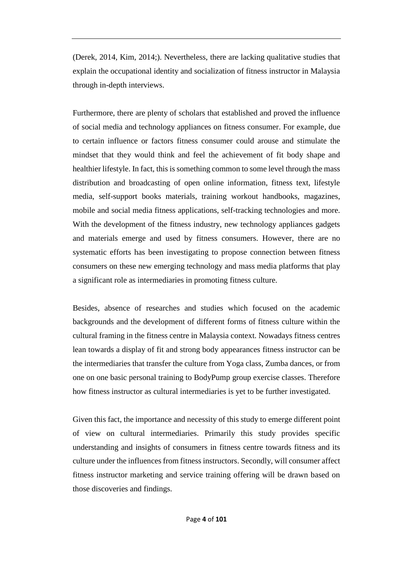(Derek, 2014, Kim, 2014;). Nevertheless, there are lacking qualitative studies that explain the occupational identity and socialization of fitness instructor in Malaysia through in-depth interviews.

Furthermore, there are plenty of scholars that established and proved the influence of social media and technology appliances on fitness consumer. For example, due to certain influence or factors fitness consumer could arouse and stimulate the mindset that they would think and feel the achievement of fit body shape and healthier lifestyle. In fact, this is something common to some level through the mass distribution and broadcasting of open online information, fitness text, lifestyle media, self-support books materials, training workout handbooks, magazines, mobile and social media fitness applications, self-tracking technologies and more. With the development of the fitness industry, new technology appliances gadgets and materials emerge and used by fitness consumers. However, there are no systematic efforts has been investigating to propose connection between fitness consumers on these new emerging technology and mass media platforms that play a significant role as intermediaries in promoting fitness culture.

Besides, absence of researches and studies which focused on the academic backgrounds and the development of different forms of fitness culture within the cultural framing in the fitness centre in Malaysia context. Nowadays fitness centres lean towards a display of fit and strong body appearances fitness instructor can be the intermediaries that transfer the culture from Yoga class, Zumba dances, or from one on one basic personal training to BodyPump group exercise classes. Therefore how fitness instructor as cultural intermediaries is yet to be further investigated.

Given this fact, the importance and necessity of this study to emerge different point of view on cultural intermediaries. Primarily this study provides specific understanding and insights of consumers in fitness centre towards fitness and its culture under the influences from fitness instructors. Secondly, will consumer affect fitness instructor marketing and service training offering will be drawn based on those discoveries and findings.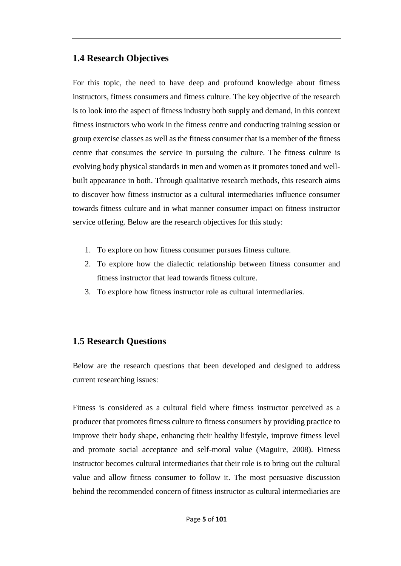### **1.4 Research Objectives**

For this topic, the need to have deep and profound knowledge about fitness instructors, fitness consumers and fitness culture. The key objective of the research is to look into the aspect of fitness industry both supply and demand, in this context fitness instructors who work in the fitness centre and conducting training session or group exercise classes as well as the fitness consumer that is a member of the fitness centre that consumes the service in pursuing the culture. The fitness culture is evolving body physical standards in men and women as it promotes toned and wellbuilt appearance in both. Through qualitative research methods, this research aims to discover how fitness instructor as a cultural intermediaries influence consumer towards fitness culture and in what manner consumer impact on fitness instructor service offering. Below are the research objectives for this study:

- 1. To explore on how fitness consumer pursues fitness culture.
- 2. To explore how the dialectic relationship between fitness consumer and fitness instructor that lead towards fitness culture.
- 3. To explore how fitness instructor role as cultural intermediaries.

#### **1.5 Research Questions**

Below are the research questions that been developed and designed to address current researching issues:

Fitness is considered as a cultural field where fitness instructor perceived as a producer that promotes fitness culture to fitness consumers by providing practice to improve their body shape, enhancing their healthy lifestyle, improve fitness level and promote social acceptance and self-moral value (Maguire, 2008). Fitness instructor becomes cultural intermediaries that their role is to bring out the cultural value and allow fitness consumer to follow it. The most persuasive discussion behind the recommended concern of fitness instructor as cultural intermediaries are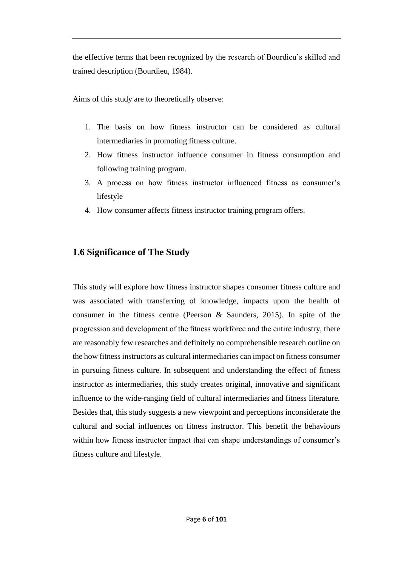the effective terms that been recognized by the research of Bourdieu's skilled and trained description (Bourdieu, 1984).

Aims of this study are to theoretically observe:

- 1. The basis on how fitness instructor can be considered as cultural intermediaries in promoting fitness culture.
- 2. How fitness instructor influence consumer in fitness consumption and following training program.
- 3. A process on how fitness instructor influenced fitness as consumer's lifestyle
- 4. How consumer affects fitness instructor training program offers.

## **1.6 Significance of The Study**

This study will explore how fitness instructor shapes consumer fitness culture and was associated with transferring of knowledge, impacts upon the health of consumer in the fitness centre (Peerson & Saunders, 2015). In spite of the progression and development of the fitness workforce and the entire industry, there are reasonably few researches and definitely no comprehensible research outline on the how fitness instructors as cultural intermediaries can impact on fitness consumer in pursuing fitness culture. In subsequent and understanding the effect of fitness instructor as intermediaries, this study creates original, innovative and significant influence to the wide-ranging field of cultural intermediaries and fitness literature. Besides that, this study suggests a new viewpoint and perceptions inconsiderate the cultural and social influences on fitness instructor. This benefit the behaviours within how fitness instructor impact that can shape understandings of consumer's fitness culture and lifestyle.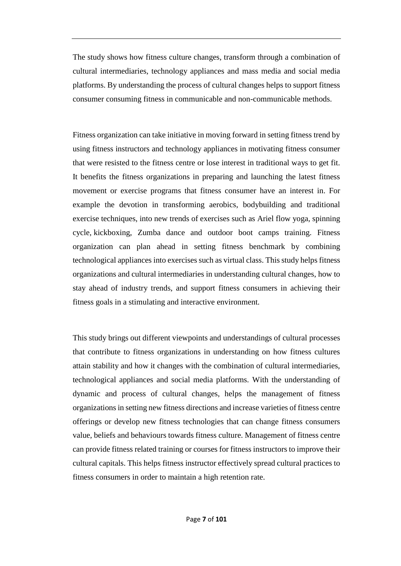The study shows how fitness culture changes, transform through a combination of cultural intermediaries, technology appliances and mass media and social media platforms. By understanding the process of cultural changes helps to support fitness consumer consuming fitness in communicable and non-communicable methods.

Fitness organization can take initiative in moving forward in setting fitness trend by using fitness instructors and technology appliances in motivating fitness consumer that were resisted to the fitness centre or lose interest in traditional ways to get fit. It benefits the fitness organizations in preparing and launching the latest fitness movement or exercise programs that fitness consumer have an interest in. For example the devotion in transforming aerobics, bodybuilding and traditional exercise techniques, into new trends of exercises such as Ariel flow yoga, [spinning](https://en.wikipedia.org/wiki/Indoor_cycling) cycle, [kickboxing,](https://en.wikipedia.org/wiki/Kickboxing) Zumba dance and outdoor boot camps training. Fitness organization can plan ahead in setting fitness benchmark by combining technological appliances into exercises such as virtual class. This study helps fitness organizations and cultural intermediaries in understanding cultural changes, how to stay ahead of industry trends, and support fitness consumers in achieving their fitness goals in a stimulating and interactive environment.

This study brings out different viewpoints and understandings of cultural processes that contribute to fitness organizations in understanding on how fitness cultures attain stability and how it changes with the combination of cultural intermediaries, technological appliances and social media platforms. With the understanding of dynamic and process of cultural changes, helps the management of fitness organizations in setting new fitness directions and increase varieties of fitness centre offerings or develop new fitness technologies that can change fitness consumers value, beliefs and behaviours towards fitness culture. Management of fitness centre can provide fitness related training or courses for fitness instructors to improve their cultural capitals. This helps fitness instructor effectively spread cultural practices to fitness consumers in order to maintain a high retention rate.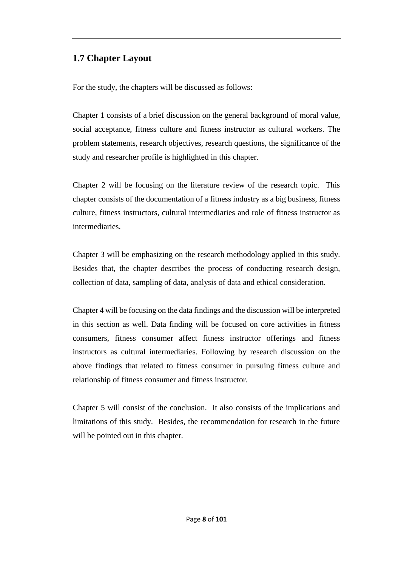## **1.7 Chapter Layout**

For the study, the chapters will be discussed as follows:

Chapter 1 consists of a brief discussion on the general background of moral value, social acceptance, fitness culture and fitness instructor as cultural workers. The problem statements, research objectives, research questions, the significance of the study and researcher profile is highlighted in this chapter.

Chapter 2 will be focusing on the literature review of the research topic. This chapter consists of the documentation of a fitness industry as a big business, fitness culture, fitness instructors, cultural intermediaries and role of fitness instructor as intermediaries.

Chapter 3 will be emphasizing on the research methodology applied in this study. Besides that, the chapter describes the process of conducting research design, collection of data, sampling of data, analysis of data and ethical consideration.

Chapter 4 will be focusing on the data findings and the discussion will be interpreted in this section as well. Data finding will be focused on core activities in fitness consumers, fitness consumer affect fitness instructor offerings and fitness instructors as cultural intermediaries. Following by research discussion on the above findings that related to fitness consumer in pursuing fitness culture and relationship of fitness consumer and fitness instructor.

Chapter 5 will consist of the conclusion. It also consists of the implications and limitations of this study. Besides, the recommendation for research in the future will be pointed out in this chapter.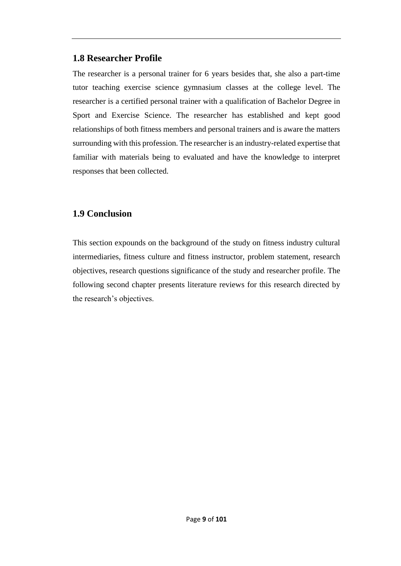#### **1.8 Researcher Profile**

The researcher is a personal trainer for 6 years besides that, she also a part-time tutor teaching exercise science gymnasium classes at the college level. The researcher is a certified personal trainer with a qualification of Bachelor Degree in Sport and Exercise Science. The researcher has established and kept good relationships of both fitness members and personal trainers and is aware the matters surrounding with this profession. The researcher is an industry-related expertise that familiar with materials being to evaluated and have the knowledge to interpret responses that been collected.

## **1.9 Conclusion**

This section expounds on the background of the study on fitness industry cultural intermediaries, fitness culture and fitness instructor, problem statement, research objectives, research questions significance of the study and researcher profile. The following second chapter presents literature reviews for this research directed by the research's objectives.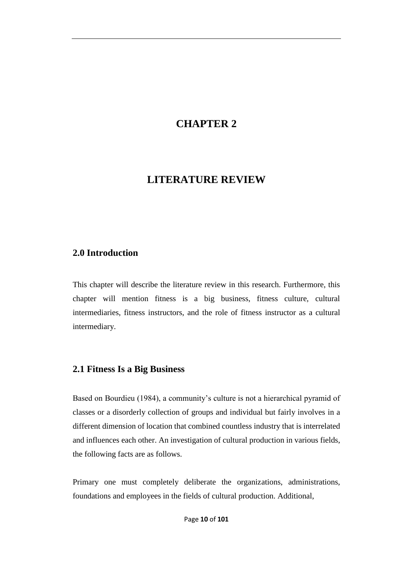## **CHAPTER 2**

## **LITERATURE REVIEW**

#### **2.0 Introduction**

This chapter will describe the literature review in this research. Furthermore, this chapter will mention fitness is a big business, fitness culture, cultural intermediaries, fitness instructors, and the role of fitness instructor as a cultural intermediary.

#### **2.1 Fitness Is a Big Business**

Based on Bourdieu (1984), a community's culture is not a hierarchical pyramid of classes or a disorderly collection of groups and individual but fairly involves in a different dimension of location that combined countless industry that is interrelated and influences each other. An investigation of cultural production in various fields, the following facts are as follows.

Primary one must completely deliberate the organizations, administrations, foundations and employees in the fields of cultural production. Additional,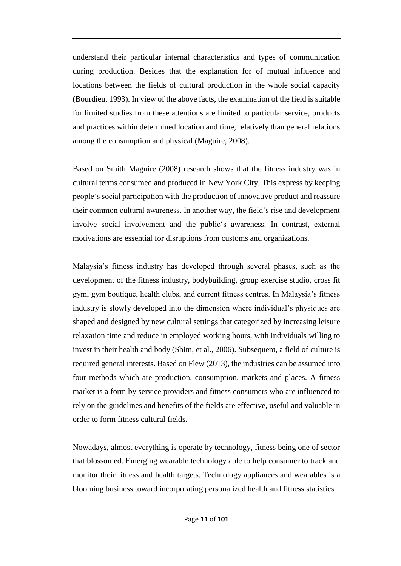understand their particular internal characteristics and types of communication during production. Besides that the explanation for of mutual influence and locations between the fields of cultural production in the whole social capacity (Bourdieu, 1993). In view of the above facts, the examination of the field is suitable for limited studies from these attentions are limited to particular service, products and practices within determined location and time, relatively than general relations among the consumption and physical (Maguire, 2008).

Based on Smith Maguire (2008) research shows that the fitness industry was in cultural terms consumed and produced in New York City. This express by keeping people's social participation with the production of innovative product and reassure their common cultural awareness. In another way, the field's rise and development involve social involvement and the public's awareness. In contrast, external motivations are essential for disruptions from customs and organizations.

Malaysia's fitness industry has developed through several phases, such as the development of the fitness industry, bodybuilding, group exercise studio, cross fit gym, gym boutique, health clubs, and current fitness centres. In Malaysia's fitness industry is slowly developed into the dimension where individual's physiques are shaped and designed by new cultural settings that categorized by increasing leisure relaxation time and reduce in employed working hours, with individuals willing to invest in their health and body (Shim, et al., 2006). Subsequent, a field of culture is required general interests. Based on Flew (2013), the industries can be assumed into four methods which are production, consumption, markets and places. A fitness market is a form by service providers and fitness consumers who are influenced to rely on the guidelines and benefits of the fields are effective, useful and valuable in order to form fitness cultural fields.

Nowadays, almost everything is operate by technology, fitness being one of sector that blossomed. Emerging wearable technology able to help consumer to track and monitor their fitness and health targets. Technology appliances and wearables is a blooming business toward incorporating personalized health and fitness statistics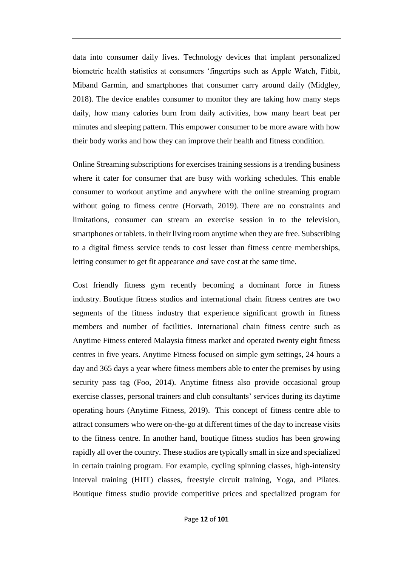data into consumer daily lives. Technology devices that implant personalized biometric health statistics at consumers 'fingertips such as Apple Watch, Fitbit, Miband Garmin, and smartphones that consumer carry around daily (Midgley, 2018). The device enables consumer to monitor they are taking how many steps daily, how many calories burn from daily activities, how many heart beat per minutes and sleeping pattern. This empower consumer to be more aware with how their body works and how they can improve their health and fitness condition.

Online Streaming subscriptions for exercises training sessions is a trending business where it cater for consumer that are busy with working schedules. This enable consumer to workout anytime and anywhere with the online streaming program without going to fitness centre (Horvath, 2019). There are no constraints and limitations, consumer can stream an exercise session in to the television, smartphones or tablets. in their living room anytime when they are free. Subscribing to a digital fitness service tends to cost lesser than fitness centre memberships, letting consumer to get fit appearance *and* save cost at the same time.

Cost friendly fitness gym recently becoming a dominant force in fitness industry. Boutique fitness studios and international chain fitness centres are two segments of the fitness industry that experience significant growth in fitness members and number of facilities. International chain fitness centre such as Anytime Fitness entered Malaysia fitness market and operated twenty eight fitness centres in five years. Anytime Fitness focused on simple gym settings, 24 hours a day and 365 days a year where fitness members able to enter the premises by using security pass tag (Foo, 2014). Anytime fitness also provide occasional group exercise classes, personal trainers and club consultants' services during its daytime operating hours (Anytime Fitness, 2019). This concept of fitness centre able to attract consumers who were on-the-go at different times of the day to increase visits to the fitness centre. In another hand, boutique fitness studios has been growing rapidly all over the country. These studios are typically small in size and specialized in certain training program. For example, cycling spinning classes, high-intensity interval training (HIIT) classes, freestyle circuit training, Yoga, and Pilates. Boutique fitness studio provide competitive prices and specialized program for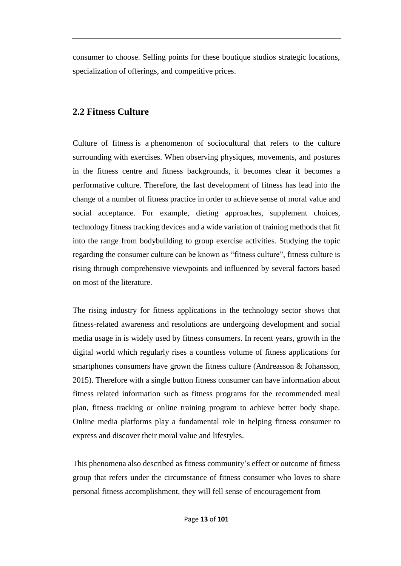consumer to choose. Selling points for these boutique studios strategic locations, specialization of offerings, and competitive prices.

#### **2.2 Fitness Culture**

Culture of fitness is a phenomenon of sociocultural that refers to the culture surrounding [with exercises.](https://en.wikipedia.org/wiki/Physical_exercises) When observing physiques, movements, and postures in the fitness centre and fitness backgrounds, it becomes clear it becomes a performative culture. Therefore, the fast development of fitness has lead into the change of a number of fitness practice in order to achieve sense of moral value and social acceptance. For example, dieting approaches, supplement choices, technology fitness tracking devices and a wide variation of training methods that fit into the range from bodybuilding to group exercise activities. Studying the topic regarding the consumer culture can be known as "fitness culture", fitness culture is rising through comprehensive viewpoints and influenced by several factors based on most of the literature.

The rising industry for fitness applications in the technology sector shows that fitness-related awareness and resolutions are undergoing development and social media usage in is widely used by fitness consumers. In recent years, growth in the digital world which regularly rises a countless volume of fitness applications for smartphones consumers have grown the fitness culture (Andreasson & Johansson, 2015). Therefore with a single button fitness consumer can have information about fitness related information such as fitness programs for the recommended meal plan, fitness tracking or online training program to achieve better body shape. Online media platforms play a fundamental role in helping fitness consumer to express and discover their moral value and lifestyles.

This phenomena also described as fitness community's effect or outcome of fitness group that refers under the circumstance of fitness consumer who loves to share personal fitness accomplishment, they will fell sense of encouragement from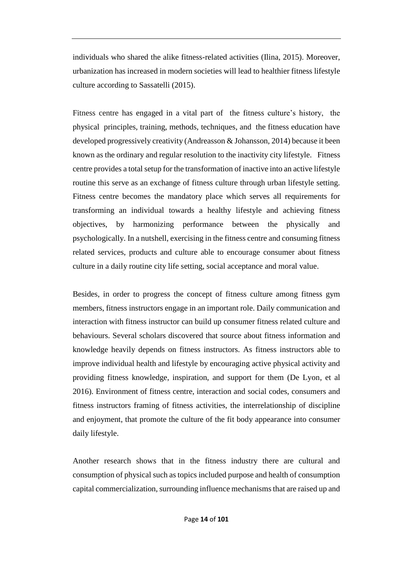individuals who shared the alike fitness-related activities (Ilina, 2015). Moreover, urbanization has increased in modern societies will lead to healthier fitness lifestyle culture according to Sassatelli (2015).

Fitness centre has engaged in a vital part of the fitness culture's history, the physical principles, training, methods, techniques, and the fitness education have developed progressively creativity (Andreasson & Johansson, 2014) because it been known as the ordinary and regular resolution to the inactivity city lifestyle. Fitness centre provides a totalsetup for the transformation of inactive into an active lifestyle routine this serve as an exchange of fitness culture through urban lifestyle setting. Fitness centre becomes the mandatory place which serves all requirements for transforming an individual towards a healthy lifestyle and achieving fitness objectives, by harmonizing performance between the physically and psychologically. In a nutshell, exercising in the fitness centre and consuming fitness related services, products and culture able to encourage consumer about fitness culture in a daily routine city life setting, social acceptance and moral value.

Besides, in order to progress the concept of fitness culture among fitness gym members, fitness instructors engage in an important role. Daily communication and interaction with fitness instructor can build up consumer fitness related culture and behaviours. Several scholars discovered that source about fitness information and knowledge heavily depends on fitness instructors. As fitness instructors able to improve individual health and lifestyle by encouraging active physical activity and providing fitness knowledge, inspiration, and support for them (De Lyon, et al 2016). Environment of fitness centre, interaction and social codes, consumers and fitness instructors framing of fitness activities, the interrelationship of discipline and enjoyment, that promote the culture of the fit body appearance into consumer daily lifestyle.

Another research shows that in the fitness industry there are cultural and consumption of physical such as topics included purpose and health of consumption capital commercialization, surrounding influence mechanisms that are raised up and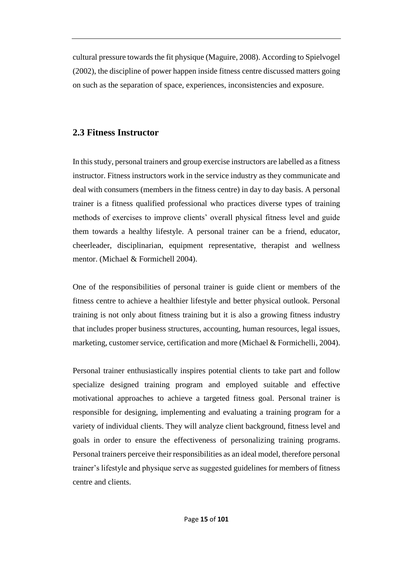cultural pressure towards the fit physique (Maguire, 2008). According to Spielvogel (2002), the discipline of power happen inside fitness centre discussed matters going on such as the separation of space, experiences, inconsistencies and exposure.

#### **2.3 Fitness Instructor**

In this study, personal trainers and group exercise instructors are labelled as a fitness instructor. Fitness instructors work in the service industry as they communicate and deal with consumers (members in the fitness centre) in day to day basis. A personal trainer is a fitness qualified professional who practices diverse types of training methods of exercises to improve clients' overall physical fitness level and guide them towards a healthy lifestyle. A personal trainer can be a friend, educator, cheerleader, disciplinarian, equipment representative, therapist and wellness mentor. (Michael & Formichell 2004).

One of the responsibilities of personal trainer is guide client or members of the fitness centre to achieve a healthier lifestyle and better physical outlook. Personal training is not only about fitness training but it is also a growing fitness industry that includes proper business structures, accounting, human resources, legal issues, marketing, customer service, certification and more (Michael & Formichelli, 2004).

Personal trainer enthusiastically inspires potential clients to take part and follow specialize designed training program and employed suitable and effective motivational approaches to achieve a targeted fitness goal. Personal trainer is responsible for designing, implementing and evaluating a training program for a variety of individual clients. They will analyze client background, fitness level and goals in order to ensure the effectiveness of personalizing training programs. Personal trainers perceive their responsibilities as an ideal model, therefore personal trainer's lifestyle and physique serve as suggested guidelines for members of fitness centre and clients.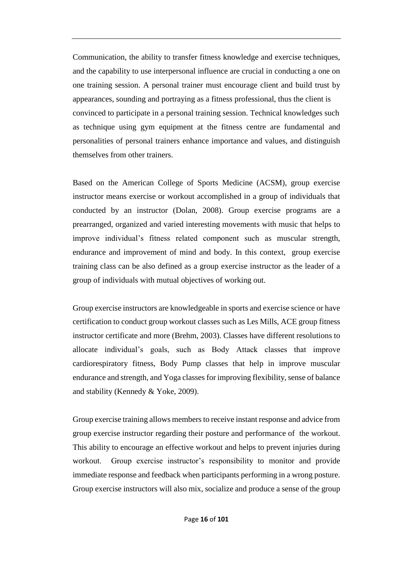Communication, the ability to transfer fitness knowledge and exercise techniques, and the capability to use interpersonal influence are crucial in conducting a one on one training session. A personal trainer must encourage client and build trust by appearances, sounding and portraying as a fitness professional, thus the client is convinced to participate in a personal training session. Technical knowledges such as technique using gym equipment at the fitness centre are fundamental and personalities of personal trainers enhance importance and values, and distinguish themselves from other trainers.

Based on the American College of Sports Medicine (ACSM), group exercise instructor means exercise or workout accomplished in a group of individuals that conducted by an instructor (Dolan, 2008). Group exercise programs are a prearranged, organized and varied interesting movements with music that helps to improve individual's fitness related component such as muscular strength, endurance and improvement of mind and body. In this context, group exercise training class can be also defined as a group exercise instructor as the leader of a group of individuals with mutual objectives of working out.

Group exercise instructors are knowledgeable in sports and exercise science or have certification to conduct group workout classes such as Les Mills, ACE group fitness instructor certificate and more (Brehm, 2003). Classes have different resolutions to allocate individual's goals, such as Body Attack classes that improve cardiorespiratory fitness, Body Pump classes that help in improve muscular endurance and strength, and Yoga classes for improving flexibility, sense of balance and stability (Kennedy & Yoke, 2009).

Group exercise training allows members to receive instant response and advice from group exercise instructor regarding their posture and performance of the workout. This ability to encourage an effective workout and helps to prevent injuries during workout. Group exercise instructor's responsibility to monitor and provide immediate response and feedback when participants performing in a wrong posture. Group exercise instructors will also mix, socialize and produce a sense of the group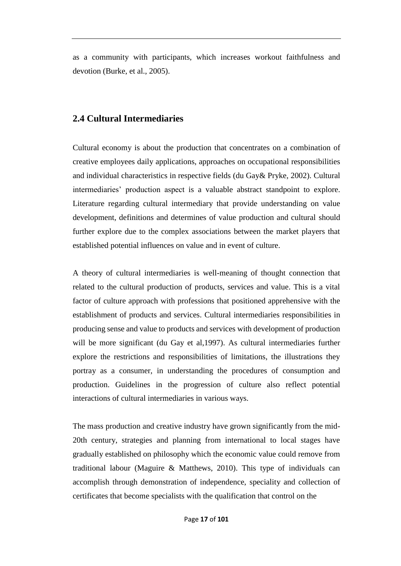as a community with participants, which increases workout faithfulness and devotion (Burke, et al., 2005).

#### **2.4 Cultural Intermediaries**

Cultural economy is about the production that concentrates on a combination of creative employees daily applications, approaches on occupational responsibilities and individual characteristics in respective fields (du Gay& Pryke, 2002). Cultural intermediaries' production aspect is a valuable abstract standpoint to explore. Literature regarding cultural intermediary that provide understanding on value development, definitions and determines of value production and cultural should further explore due to the complex associations between the market players that established potential influences on value and in event of culture.

A theory of cultural intermediaries is well-meaning of thought connection that related to the cultural production of products, services and value. This is a vital factor of culture approach with professions that positioned apprehensive with the establishment of products and services. Cultural intermediaries responsibilities in producing sense and value to products and services with development of production will be more significant (du Gay et al, 1997). As cultural intermediaries further explore the restrictions and responsibilities of limitations, the illustrations they portray as a consumer, in understanding the procedures of consumption and production. Guidelines in the progression of culture also reflect potential interactions of cultural intermediaries in various ways.

The mass production and creative industry have grown significantly from the mid-20th century, strategies and planning from international to local stages have gradually established on philosophy which the economic value could remove from traditional labour (Maguire & Matthews, 2010). This type of individuals can accomplish through demonstration of independence, speciality and collection of certificates that become specialists with the qualification that control on the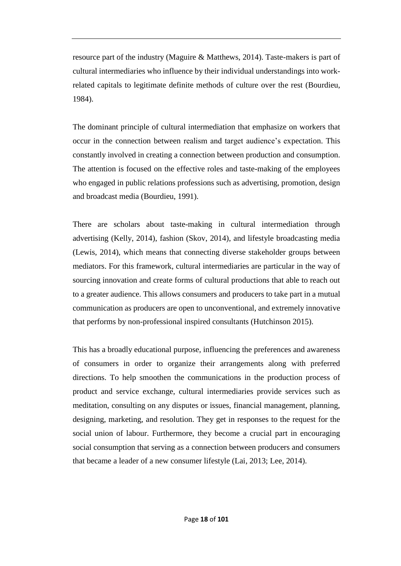resource part of the industry (Maguire & Matthews, 2014). Taste-makers is part of cultural intermediaries who influence by their individual understandings into workrelated capitals to legitimate definite methods of culture over the rest (Bourdieu, 1984).

The dominant principle of cultural intermediation that emphasize on workers that occur in the connection between realism and target audience's expectation. This constantly involved in creating a connection between production and consumption. The attention is focused on the effective roles and taste-making of the employees who engaged in public relations professions such as advertising, promotion, design and broadcast media (Bourdieu, 1991).

There are scholars about taste-making in cultural intermediation through advertising (Kelly, 2014), fashion (Skov, 2014), and lifestyle broadcasting media (Lewis, 2014), which means that connecting diverse stakeholder groups between mediators. For this framework, cultural intermediaries are particular in the way of sourcing innovation and create forms of cultural productions that able to reach out to a greater audience. This allows consumers and producers to take part in a mutual communication as producers are open to unconventional, and extremely innovative that performs by non-professional inspired consultants (Hutchinson 2015).

This has a broadly educational purpose, influencing the preferences and awareness of consumers in order to organize their arrangements along with preferred directions. To help smoothen the communications in the production process of product and service exchange, cultural intermediaries provide services such as meditation, consulting on any disputes or issues, financial management, planning, designing, marketing, and resolution. They get in responses to the request for the social union of labour. Furthermore, they become a crucial part in encouraging social consumption that serving as a connection between producers and consumers that became a leader of a new consumer lifestyle (Lai, 2013; Lee, 2014).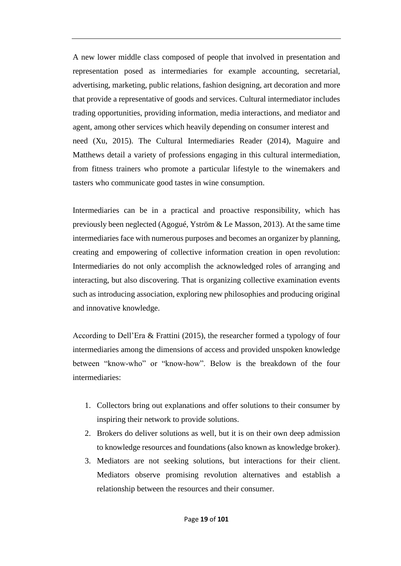A new lower middle class composed of people that involved in presentation and representation posed as intermediaries for example accounting, secretarial, advertising, marketing, public relations, fashion designing, art decoration and more that provide a representative of goods and services. Cultural intermediator includes trading opportunities, providing information, media interactions, and mediator and agent, among other services which heavily depending on consumer interest and need (Xu, 2015). The Cultural Intermediaries Reader (2014), Maguire and Matthews detail a variety of professions engaging in this cultural intermediation, from fitness trainers who promote a particular lifestyle to the winemakers and tasters who communicate good tastes in wine consumption.

Intermediaries can be in a practical and proactive responsibility, which has previously been neglected (Agogué, Yström & Le Masson, 2013). At the same time intermediaries face with numerous purposes and becomes an organizer by planning, creating and empowering of collective information creation in open revolution: Intermediaries do not only accomplish the acknowledged roles of arranging and interacting, but also discovering. That is organizing collective examination events such as introducing association, exploring new philosophies and producing original and innovative knowledge.

According to Dell'Era & Frattini (2015), the researcher formed a typology of four intermediaries among the dimensions of access and provided unspoken knowledge between "know-who" or "know-how". Below is the breakdown of the four intermediaries:

- 1. Collectors bring out explanations and offer solutions to their consumer by inspiring their network to provide solutions.
- 2. Brokers do deliver solutions as well, but it is on their own deep admission to knowledge resources and foundations (also known as knowledge broker).
- 3. Mediators are not seeking solutions, but interactions for their client. Mediators observe promising revolution alternatives and establish a relationship between the resources and their consumer.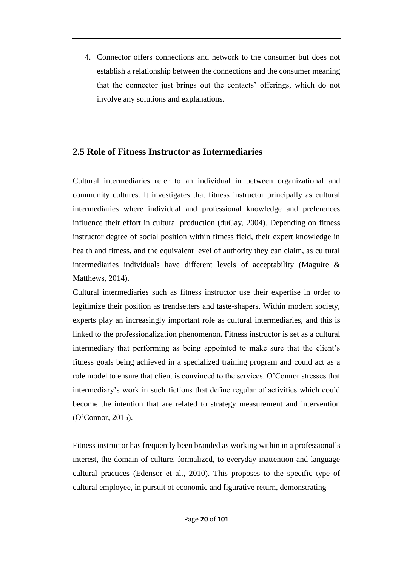4. Connector offers connections and network to the consumer but does not establish a relationship between the connections and the consumer meaning that the connector just brings out the contacts' offerings, which do not involve any solutions and explanations.

#### **2.5 Role of Fitness Instructor as Intermediaries**

Cultural intermediaries refer to an individual in between organizational and community cultures. It investigates that fitness instructor principally as cultural intermediaries where individual and professional knowledge and preferences influence their effort in cultural production (duGay, 2004). Depending on fitness instructor degree of social position within fitness field, their expert knowledge in health and fitness, and the equivalent level of authority they can claim, as cultural intermediaries individuals have different levels of acceptability (Maguire & Matthews, 2014).

Cultural intermediaries such as fitness instructor use their expertise in order to legitimize their position as trendsetters and taste-shapers. Within modern society, experts play an increasingly important role as cultural intermediaries, and this is linked to the professionalization phenomenon. Fitness instructor is set as a cultural intermediary that performing as being appointed to make sure that the client's fitness goals being achieved in a specialized training program and could act as a role model to ensure that client is convinced to the services. O'Connor stresses that intermediary's work in such fictions that define regular of activities which could become the intention that are related to strategy measurement and intervention (O'Connor, 2015).

Fitness instructor has frequently been branded as working within in a professional's interest, the domain of culture, formalized, to everyday inattention and language cultural practices (Edensor et al., 2010). This proposes to the specific type of cultural employee, in pursuit of economic and figurative return, demonstrating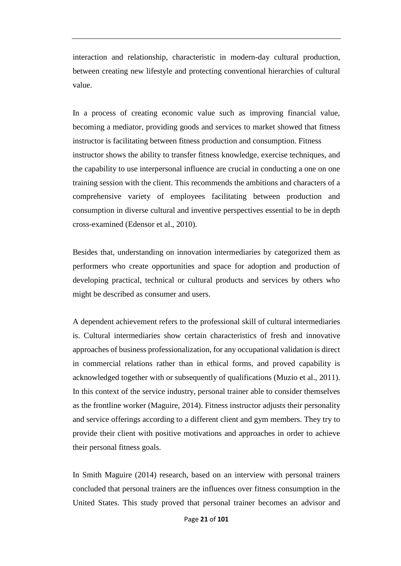interaction and relationship, characteristic in modern-day cultural production, between creating new lifestyle and protecting conventional hierarchies of cultural value.

In a process of creating economic value such as improving financial value, becoming a mediator, providing goods and services to market showed that fitness instructor is facilitating between fitness production and consumption. Fitness instructor shows the ability to transfer fitness knowledge, exercise techniques, and the capability to use interpersonal influence are crucial in conducting a one on one training session with the client. This recommends the ambitions and characters of a comprehensive variety of employees facilitating between production and consumption in diverse cultural and inventive perspectives essential to be in depth cross-examined (Edensor et al., 2010).

Besides that, understanding on innovation intermediaries by categorized them as performers who create opportunities and space for adoption and production of developing practical, technical or cultural products and services by others who might be described as consumer and users.

A dependent achievement refers to the professional skill of cultural intermediaries is. Cultural intermediaries show certain characteristics of fresh and innovative approaches of business professionalization, for any occupational validation is direct in commercial relations rather than in ethical forms, and proved capability is acknowledged together with or subsequently of qualifications (Muzio et al., 2011). In this context of the service industry, personal trainer able to consider themselves as the frontline worker (Maguire, 2014). Fitness instructor adjusts their personality and service offerings according to a different client and gym members. They try to provide their client with positive motivations and approaches in order to achieve their personal fitness goals.

In Smith Maguire (2014) research, based on an interview with personal trainers concluded that personal trainers are the influences over fitness consumption in the United States. This study proved that personal trainer becomes an advisor and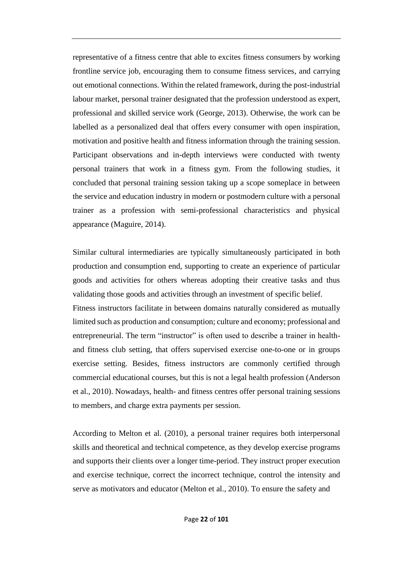representative of a fitness centre that able to excites fitness consumers by working frontline service job, encouraging them to consume fitness services, and carrying out emotional connections. Within the related framework, during the post-industrial labour market, personal trainer designated that the profession understood as expert, professional and skilled service work (George, 2013). Otherwise, the work can be labelled as a personalized deal that offers every consumer with open inspiration, motivation and positive health and fitness information through the training session. Participant observations and in-depth interviews were conducted with twenty personal trainers that work in a fitness gym. From the following studies, it concluded that personal training session taking up a scope someplace in between the service and education industry in modern or postmodern culture with a personal trainer as a profession with semi-professional characteristics and physical appearance (Maguire, 2014).

Similar cultural intermediaries are typically simultaneously participated in both production and consumption end, supporting to create an experience of particular goods and activities for others whereas adopting their creative tasks and thus validating those goods and activities through an investment of specific belief. Fitness instructors facilitate in between domains naturally considered as mutually limited such as production and consumption; culture and economy; professional and entrepreneurial. The term "instructor" is often used to describe a trainer in healthand fitness club setting, that offers supervised exercise one-to-one or in groups exercise setting. Besides, fitness instructors are commonly certified through commercial educational courses, but this is not a legal health profession (Anderson et al., 2010). Nowadays, health- and fitness centres offer personal training sessions to members, and charge extra payments per session.

According to Melton et al. (2010), a personal trainer requires both interpersonal skills and theoretical and technical competence, as they develop exercise programs and supports their clients over a longer time-period. They instruct proper execution and exercise technique, correct the incorrect technique, control the intensity and serve as motivators and educator (Melton et al., 2010). To ensure the safety and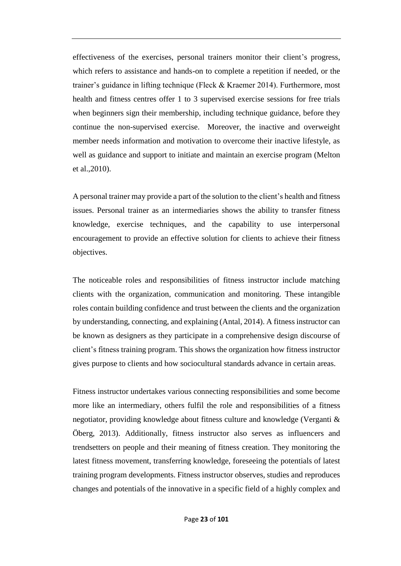effectiveness of the exercises, personal trainers monitor their client's progress, which refers to assistance and hands-on to complete a repetition if needed, or the trainer's guidance in lifting technique (Fleck & Kraemer 2014). Furthermore, most health and fitness centres offer 1 to 3 supervised exercise sessions for free trials when beginners sign their membership, including technique guidance, before they continue the non-supervised exercise. Moreover, the inactive and overweight member needs information and motivation to overcome their inactive lifestyle, as well as guidance and support to initiate and maintain an exercise program (Melton et al.,2010).

A personal trainer may provide a part of the solution to the client's health and fitness issues. Personal trainer as an intermediaries shows the ability to transfer fitness knowledge, exercise techniques, and the capability to use interpersonal encouragement to provide an effective solution for clients to achieve their fitness objectives.

The noticeable roles and responsibilities of fitness instructor include matching clients with the organization, communication and monitoring. These intangible roles contain building confidence and trust between the clients and the organization by understanding, connecting, and explaining (Antal, 2014). A fitness instructor can be known as designers as they participate in a comprehensive design discourse of client's fitness training program. This shows the organization how fitness instructor gives purpose to clients and how sociocultural standards advance in certain areas.

Fitness instructor undertakes various connecting responsibilities and some become more like an intermediary, others fulfil the role and responsibilities of a fitness negotiator, providing knowledge about fitness culture and knowledge (Verganti & Öberg, 2013). Additionally, fitness instructor also serves as influencers and trendsetters on people and their meaning of fitness creation. They monitoring the latest fitness movement, transferring knowledge, foreseeing the potentials of latest training program developments. Fitness instructor observes, studies and reproduces changes and potentials of the innovative in a specific field of a highly complex and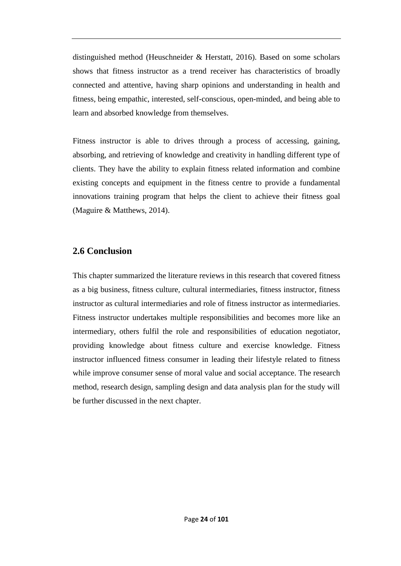distinguished method (Heuschneider & Herstatt, 2016). Based on some scholars shows that fitness instructor as a trend receiver has characteristics of broadly connected and attentive, having sharp opinions and understanding in health and fitness, being empathic, interested, self-conscious, open-minded, and being able to learn and absorbed knowledge from themselves.

Fitness instructor is able to drives through a process of accessing, gaining, absorbing, and retrieving of knowledge and creativity in handling different type of clients. They have the ability to explain fitness related information and combine existing concepts and equipment in the fitness centre to provide a fundamental innovations training program that helps the client to achieve their fitness goal (Maguire & Matthews, 2014).

### **2.6 Conclusion**

This chapter summarized the literature reviews in this research that covered fitness as a big business, fitness culture, cultural intermediaries, fitness instructor, fitness instructor as cultural intermediaries and role of fitness instructor as intermediaries. Fitness instructor undertakes multiple responsibilities and becomes more like an intermediary, others fulfil the role and responsibilities of education negotiator, providing knowledge about fitness culture and exercise knowledge. Fitness instructor influenced fitness consumer in leading their lifestyle related to fitness while improve consumer sense of moral value and social acceptance. The research method, research design, sampling design and data analysis plan for the study will be further discussed in the next chapter.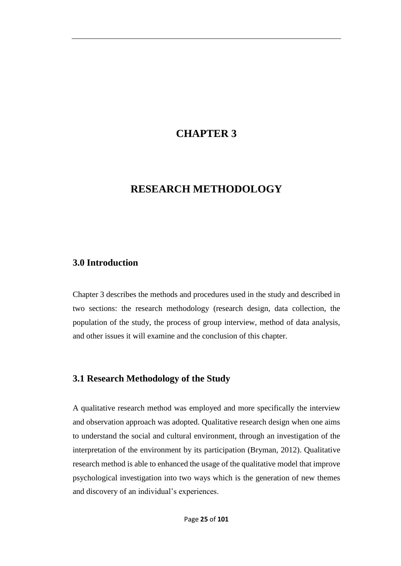## **CHAPTER 3**

## **RESEARCH METHODOLOGY**

### **3.0 Introduction**

Chapter 3 describes the methods and procedures used in the study and described in two sections: the research methodology (research design, data collection, the population of the study, the process of group interview, method of data analysis, and other issues it will examine and the conclusion of this chapter.

### **3.1 Research Methodology of the Study**

A qualitative research method was employed and more specifically the interview and observation approach was adopted. Qualitative research design when one aims to understand the social and cultural environment, through an investigation of the interpretation of the environment by its participation (Bryman, 2012). Qualitative research method is able to enhanced the usage of the qualitative model that improve psychological investigation into two ways which is the generation of new themes and discovery of an individual's experiences.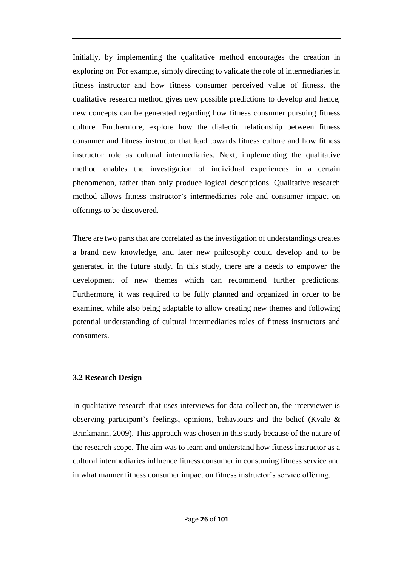Initially, by implementing the qualitative method encourages the creation in exploring on For example, simply directing to validate the role of intermediaries in fitness instructor and how fitness consumer perceived value of fitness, the qualitative research method gives new possible predictions to develop and hence, new concepts can be generated regarding how fitness consumer pursuing fitness culture. Furthermore, explore how the dialectic relationship between fitness consumer and fitness instructor that lead towards fitness culture and how fitness instructor role as cultural intermediaries. Next, implementing the qualitative method enables the investigation of individual experiences in a certain phenomenon, rather than only produce logical descriptions. Qualitative research method allows fitness instructor's intermediaries role and consumer impact on offerings to be discovered.

There are two parts that are correlated as the investigation of understandings creates a brand new knowledge, and later new philosophy could develop and to be generated in the future study. In this study, there are a needs to empower the development of new themes which can recommend further predictions. Furthermore, it was required to be fully planned and organized in order to be examined while also being adaptable to allow creating new themes and following potential understanding of cultural intermediaries roles of fitness instructors and consumers.

#### **3.2 Research Design**

In qualitative research that uses interviews for data collection, the interviewer is observing participant's feelings, opinions, behaviours and the belief (Kvale & Brinkmann, 2009). This approach was chosen in this study because of the nature of the research scope. The aim was to learn and understand how fitness instructor as a cultural intermediaries influence fitness consumer in consuming fitness service and in what manner fitness consumer impact on fitness instructor's service offering.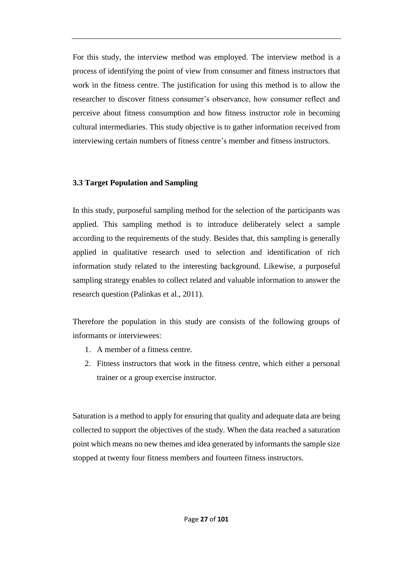For this study, the interview method was employed. The interview method is a process of identifying the point of view from consumer and fitness instructors that work in the fitness centre. The justification for using this method is to allow the researcher to discover fitness consumer's observance, how consumer reflect and perceive about fitness consumption and how fitness instructor role in becoming cultural intermediaries. This study objective is to gather information received from interviewing certain numbers of fitness centre's member and fitness instructors.

#### **3.3 Target Population and Sampling**

In this study, purposeful sampling method for the selection of the participants was applied. This sampling method is to introduce deliberately select a sample according to the requirements of the study. Besides that, this sampling is generally applied in qualitative research used to selection and identification of rich information study related to the interesting background. Likewise, a purposeful sampling strategy enables to collect related and valuable information to answer the research question (Palinkas et al., 2011).

Therefore the population in this study are consists of the following groups of informants or interviewees:

- 1. A member of a fitness centre.
- 2. Fitness instructors that work in the fitness centre, which either a personal trainer or a group exercise instructor.

Saturation is a method to apply for ensuring that quality and adequate data are being collected to support the objectives of the study. When the data reached a saturation point which means no new themes and idea generated by informants the sample size stopped at twenty four fitness members and fourteen fitness instructors.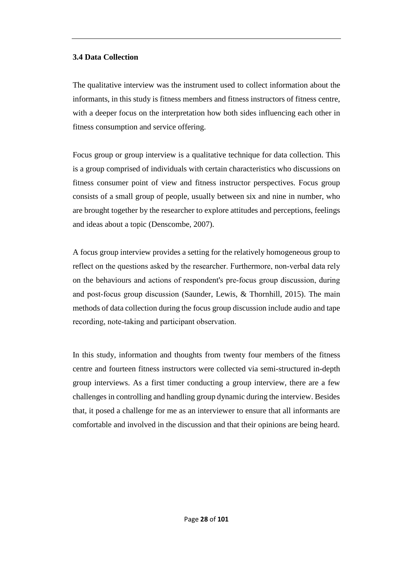#### **3.4 Data Collection**

The qualitative interview was the instrument used to collect information about the informants, in this study is fitness members and fitness instructors of fitness centre, with a deeper focus on the interpretation how both sides influencing each other in fitness consumption and service offering.

Focus group or group interview is a qualitative technique for data collection. This is a group comprised of individuals with certain characteristics who discussions on fitness consumer point of view and fitness instructor perspectives. Focus group consists of a small group of people, usually between six and nine in number, who are brought together by the researcher to explore attitudes and perceptions, feelings and ideas about a topic (Denscombe, 2007).

A focus group interview provides a setting for the relatively homogeneous group to reflect on the questions asked by the researcher. Furthermore, non‐verbal data rely on the behaviours and actions of respondent's pre‐focus group discussion, during and post-focus group discussion (Saunder, Lewis, & Thornhill, 2015). The main methods of data collection during the focus group discussion include audio and tape recording, note-taking and participant observation.

In this study, information and thoughts from twenty four members of the fitness centre and fourteen fitness instructors were collected via semi-structured in-depth group interviews. As a first timer conducting a group interview, there are a few challenges in controlling and handling group dynamic during the interview. Besides that, it posed a challenge for me as an interviewer to ensure that all informants are comfortable and involved in the discussion and that their opinions are being heard.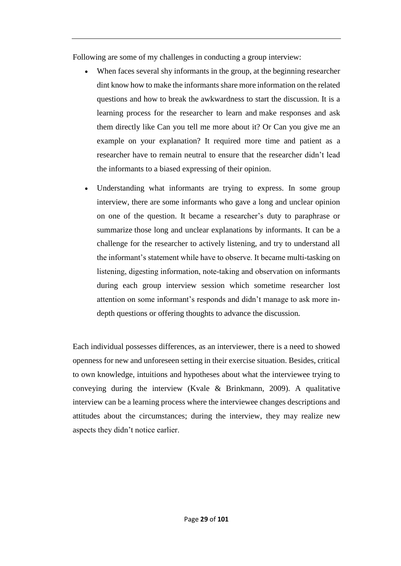Following are some of my challenges in conducting a group interview:

- When faces several shy informants in the group, at the beginning researcher dint know how to make the informants share more information on the related questions and how to break the awkwardness to start the discussion. It is a learning process for the researcher to learn and make responses and ask them directly like Can you tell me more about it? Or Can you give me an example on your explanation? It required more time and patient as a researcher have to remain neutral to ensure that the researcher didn't lead the informants to a biased expressing of their opinion.
- Understanding what informants are trying to express. In some group interview, there are some informants who gave a long and unclear opinion on one of the question. It became a researcher's duty to paraphrase or summarize those long and unclear explanations by informants. It can be a challenge for the researcher to actively listening, and try to understand all the informant's statement while have to observe. It became multi-tasking on listening, digesting information, note‐taking and observation on informants during each group interview session which sometime researcher lost attention on some informant's responds and didn't manage to ask more indepth questions or offering thoughts to advance the discussion*.*

Each individual possesses differences, as an interviewer, there is a need to showed openness for new and unforeseen setting in their exercise situation. Besides, critical to own knowledge, intuitions and hypotheses about what the interviewee trying to conveying during the interview (Kvale & Brinkmann, 2009). A qualitative interview can be a learning process where the interviewee changes descriptions and attitudes about the circumstances; during the interview, they may realize new aspects they didn't notice earlier.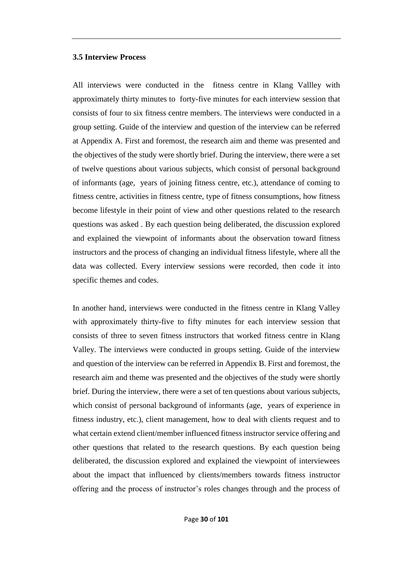#### **3.5 Interview Process**

All interviews were conducted in the fitness centre in Klang Vallley with approximately thirty minutes to forty-five minutes for each interview session that consists of four to six fitness centre members. The interviews were conducted in a group setting. Guide of the interview and question of the interview can be referred at Appendix A. First and foremost, the research aim and theme was presented and the objectives of the study were shortly brief. During the interview, there were a set of twelve questions about various subjects, which consist of personal background of informants (age, years of joining fitness centre, etc.), attendance of coming to fitness centre, activities in fitness centre, type of fitness consumptions, how fitness become lifestyle in their point of view and other questions related to the research questions was asked . By each question being deliberated, the discussion explored and explained the viewpoint of informants about the observation toward fitness instructors and the process of changing an individual fitness lifestyle, where all the data was collected. Every interview sessions were recorded, then code it into specific themes and codes.

In another hand, interviews were conducted in the fitness centre in Klang Valley with approximately thirty-five to fifty minutes for each interview session that consists of three to seven fitness instructors that worked fitness centre in Klang Valley. The interviews were conducted in groups setting. Guide of the interview and question of the interview can be referred in Appendix B. First and foremost, the research aim and theme was presented and the objectives of the study were shortly brief. During the interview, there were a set of ten questions about various subjects, which consist of personal background of informants (age, years of experience in fitness industry, etc.), client management, how to deal with clients request and to what certain extend client/member influenced fitness instructor service offering and other questions that related to the research questions. By each question being deliberated, the discussion explored and explained the viewpoint of interviewees about the impact that influenced by clients/members towards fitness instructor offering and the process of instructor's roles changes through and the process of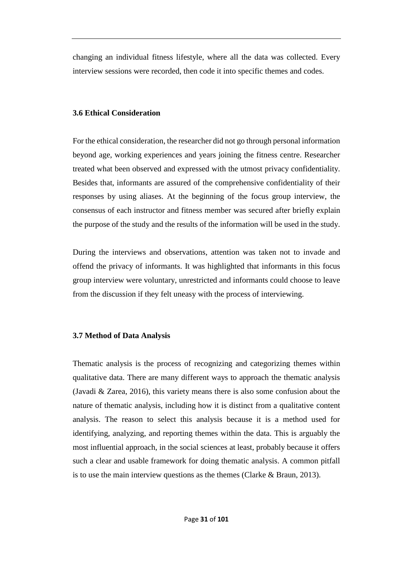changing an individual fitness lifestyle, where all the data was collected. Every interview sessions were recorded, then code it into specific themes and codes.

#### **3.6 Ethical Consideration**

For the ethical consideration, the researcher did not go through personal information beyond age, working experiences and years joining the fitness centre. Researcher treated what been observed and expressed with the utmost privacy confidentiality. Besides that, informants are assured of the comprehensive confidentiality of their responses by using aliases. At the beginning of the focus group interview, the consensus of each instructor and fitness member was secured after briefly explain the purpose of the study and the results of the information will be used in the study.

During the interviews and observations, attention was taken not to invade and offend the privacy of informants. It was highlighted that informants in this focus group interview were voluntary, unrestricted and informants could choose to leave from the discussion if they felt uneasy with the process of interviewing.

#### **3.7 Method of Data Analysis**

Thematic analysis is the process of recognizing and categorizing themes within qualitative data. There are many different ways to approach the thematic analysis (Javadi & Zarea, 2016), this variety means there is also some confusion about the nature of thematic analysis, including how it is distinct from a qualitative content analysis. The reason to select this analysis because it is a method used for identifying, analyzing, and reporting themes within the data. This is arguably the most influential approach, in the social sciences at least, probably because it offers such a clear and usable framework for doing thematic analysis. A common pitfall is to use the main interview questions as the themes (Clarke & Braun, 2013).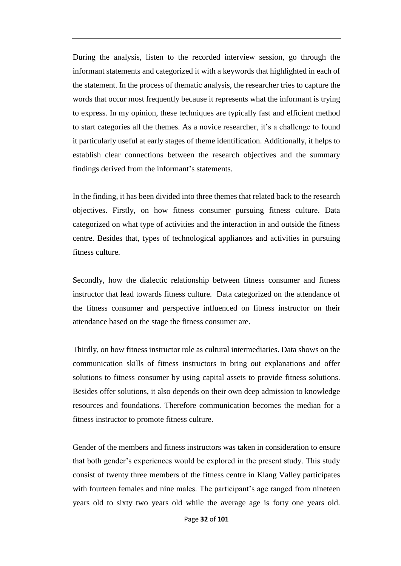During the analysis, listen to the recorded interview session, go through the informant statements and categorized it with a keywords that highlighted in each of the statement. In the process of thematic analysis, the researcher tries to capture the words that occur most frequently because it represents what the informant is trying to express. In my opinion, these techniques are typically fast and efficient method to start categories all the themes. As a novice researcher, it's a challenge to found it particularly useful at early stages of theme identification. Additionally, it helps to establish clear connections between the research objectives and the summary findings derived from the informant's statements.

In the finding, it has been divided into three themes that related back to the research objectives. Firstly, on how fitness consumer pursuing fitness culture. Data categorized on what type of activities and the interaction in and outside the fitness centre. Besides that, types of technological appliances and activities in pursuing fitness culture.

Secondly, how the dialectic relationship between fitness consumer and fitness instructor that lead towards fitness culture. Data categorized on the attendance of the fitness consumer and perspective influenced on fitness instructor on their attendance based on the stage the fitness consumer are.

Thirdly, on how fitness instructor role as cultural intermediaries. Data shows on the communication skills of fitness instructors in bring out explanations and offer solutions to fitness consumer by using capital assets to provide fitness solutions. Besides offer solutions, it also depends on their own deep admission to knowledge resources and foundations. Therefore communication becomes the median for a fitness instructor to promote fitness culture.

Gender of the members and fitness instructors was taken in consideration to ensure that both gender's experiences would be explored in the present study. This study consist of twenty three members of the fitness centre in Klang Valley participates with fourteen females and nine males. The participant's age ranged from nineteen years old to sixty two years old while the average age is forty one years old.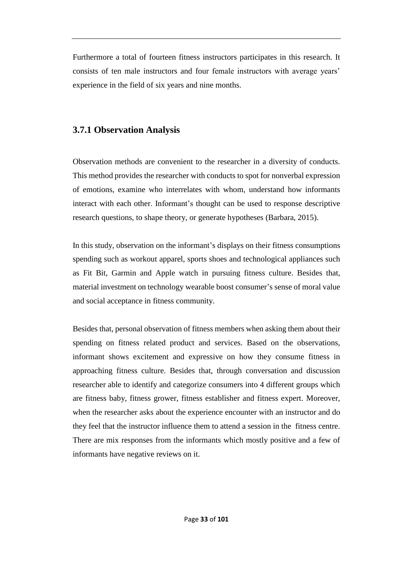Furthermore a total of fourteen fitness instructors participates in this research. It consists of ten male instructors and four female instructors with average years' experience in the field of six years and nine months.

### **3.7.1 Observation Analysis**

Observation methods are convenient to the researcher in a diversity of conducts. This method provides the researcher with conducts to spot for nonverbal expression of emotions, examine who interrelates with whom, understand how informants interact with each other. Informant's thought can be used to response descriptive research questions, to shape theory, or generate hypotheses (Barbara, 2015).

In this study, observation on the informant's displays on their fitness consumptions spending such as workout apparel, sports shoes and technological appliances such as Fit Bit, Garmin and Apple watch in pursuing fitness culture. Besides that, material investment on technology wearable boost consumer's sense of moral value and social acceptance in fitness community.

Besides that, personal observation of fitness members when asking them about their spending on fitness related product and services. Based on the observations, informant shows excitement and expressive on how they consume fitness in approaching fitness culture. Besides that, through conversation and discussion researcher able to identify and categorize consumers into 4 different groups which are fitness baby, fitness grower, fitness establisher and fitness expert. Moreover, when the researcher asks about the experience encounter with an instructor and do they feel that the instructor influence them to attend a session in the fitness centre. There are mix responses from the informants which mostly positive and a few of informants have negative reviews on it.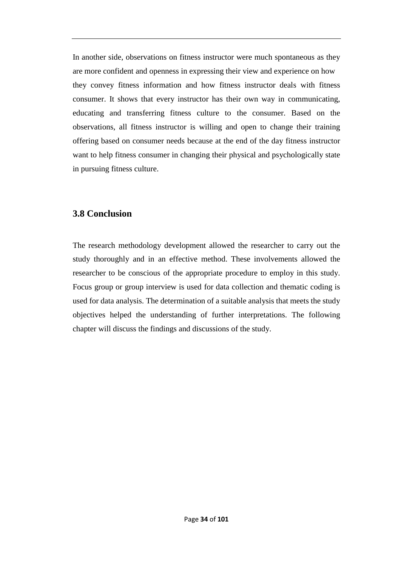In another side, observations on fitness instructor were much spontaneous as they are more confident and openness in expressing their view and experience on how they convey fitness information and how fitness instructor deals with fitness consumer. It shows that every instructor has their own way in communicating, educating and transferring fitness culture to the consumer. Based on the observations, all fitness instructor is willing and open to change their training offering based on consumer needs because at the end of the day fitness instructor want to help fitness consumer in changing their physical and psychologically state in pursuing fitness culture.

### **3.8 Conclusion**

The research methodology development allowed the researcher to carry out the study thoroughly and in an effective method. These involvements allowed the researcher to be conscious of the appropriate procedure to employ in this study. Focus group or group interview is used for data collection and thematic coding is used for data analysis. The determination of a suitable analysis that meets the study objectives helped the understanding of further interpretations. The following chapter will discuss the findings and discussions of the study.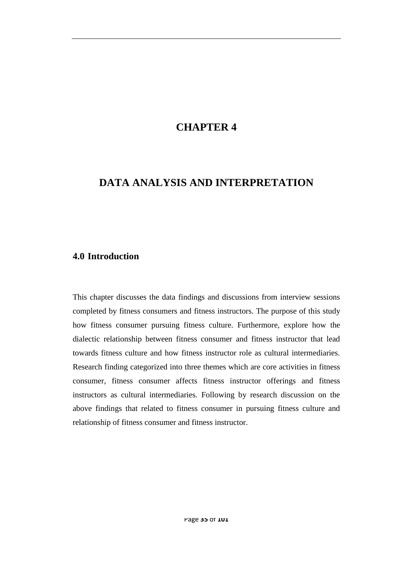## **CHAPTER 4**

## **DATA ANALYSIS AND INTERPRETATION**

#### **4.0 Introduction**

This chapter discusses the data findings and discussions from interview sessions completed by fitness consumers and fitness instructors. The purpose of this study how fitness consumer pursuing fitness culture. Furthermore, explore how the dialectic relationship between fitness consumer and fitness instructor that lead towards fitness culture and how fitness instructor role as cultural intermediaries. Research finding categorized into three themes which are core activities in fitness consumer, fitness consumer affects fitness instructor offerings and fitness instructors as cultural intermediaries. Following by research discussion on the above findings that related to fitness consumer in pursuing fitness culture and relationship of fitness consumer and fitness instructor.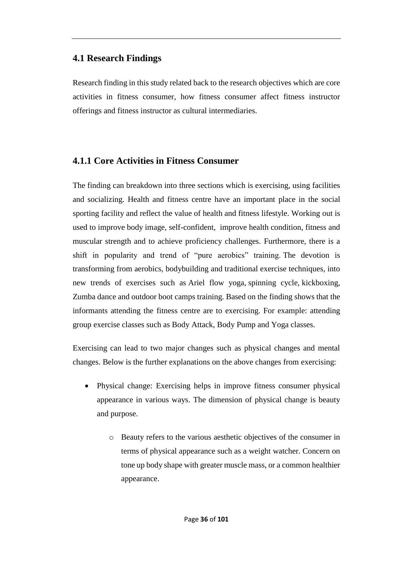### **4.1 Research Findings**

Research finding in this study related back to the research objectives which are core activities in fitness consumer, how fitness consumer affect fitness instructor offerings and fitness instructor as cultural intermediaries.

## **4.1.1 Core Activities in Fitness Consumer**

The finding can breakdown into three sections which is exercising, using facilities and socializing. Health and fitness centre have an important place in the social sporting facility and reflect the value of health and fitness lifestyle. Working out is used to improve body image, self-confident, improve health condition, fitness and muscular strength and to achieve proficiency challenges. Furthermore, there is a shift in popularity and trend of "pure aerobics" training. The devotion is transforming from aerobics, bodybuilding and traditional exercise techniques, into new trends of exercises such as Ariel flow yoga, [spinning](https://en.wikipedia.org/wiki/Indoor_cycling) cycle, [kickboxing,](https://en.wikipedia.org/wiki/Kickboxing) Zumba dance and outdoor boot camps training. Based on the finding shows that the informants attending the fitness centre are to exercising. For example: attending group exercise classes such as Body Attack, Body Pump and Yoga classes.

Exercising can lead to two major changes such as physical changes and mental changes. Below is the further explanations on the above changes from exercising:

- Physical change: Exercising helps in improve fitness consumer physical appearance in various ways. The dimension of physical change is beauty and purpose.
	- o Beauty refers to the various aesthetic objectives of the consumer in terms of physical appearance such as a weight watcher. Concern on tone up body shape with greater muscle mass, or a common healthier appearance.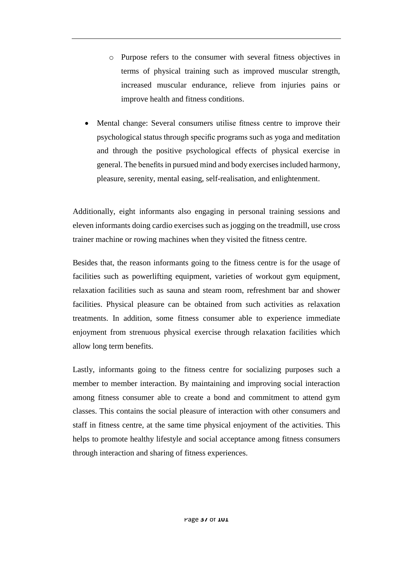- o Purpose refers to the consumer with several fitness objectives in terms of physical training such as improved muscular strength, increased muscular endurance, relieve from injuries pains or improve health and fitness conditions.
- Mental change: Several consumers utilise fitness centre to improve their psychological status through specific programs such as yoga and meditation and through the positive psychological effects of physical exercise in general. The benefits in pursued mind and body exercises included harmony, pleasure, serenity, mental easing, self-realisation, and enlightenment.

Additionally, eight informants also engaging in personal training sessions and eleven informants doing cardio exercises such as jogging on the treadmill, use cross trainer machine or rowing machines when they visited the fitness centre.

Besides that, the reason informants going to the fitness centre is for the usage of facilities such as powerlifting equipment, varieties of workout gym equipment, relaxation facilities such as sauna and steam room, refreshment bar and shower facilities. Physical pleasure can be obtained from such activities as relaxation treatments. In addition, some fitness consumer able to experience immediate enjoyment from strenuous physical exercise through relaxation facilities which allow long term benefits.

Lastly, informants going to the fitness centre for socializing purposes such a member to member interaction. By maintaining and improving social interaction among fitness consumer able to create a bond and commitment to attend gym classes. This contains the social pleasure of interaction with other consumers and staff in fitness centre, at the same time physical enjoyment of the activities. This helps to promote healthy lifestyle and social acceptance among fitness consumers through interaction and sharing of fitness experiences.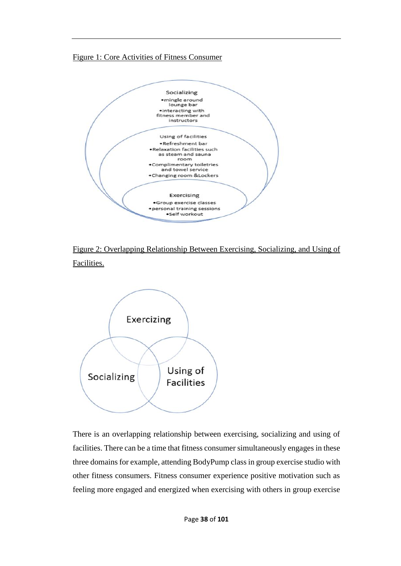### Figure 1: Core Activities of Fitness Consumer



Figure 2: Overlapping Relationship Between Exercising, Socializing, and Using of Facilities.



There is an overlapping relationship between exercising, socializing and using of facilities. There can be a time that fitness consumer simultaneously engages in these three domains for example, attending BodyPump class in group exercise studio with other fitness consumers. Fitness consumer experience positive motivation such as feeling more engaged and energized when exercising with others in group exercise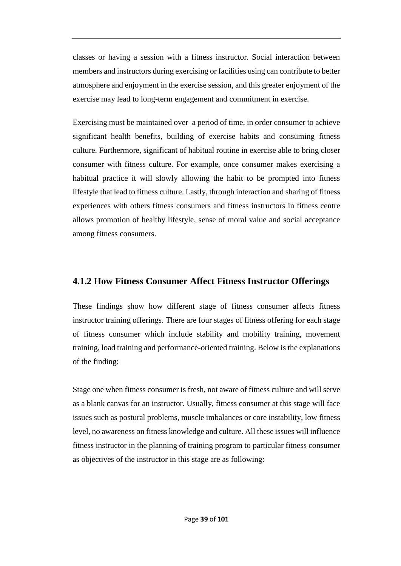classes or having a session with a fitness instructor. Social interaction between members and instructors during exercising or facilities using can contribute to better atmosphere and enjoyment in the exercise session, and this greater enjoyment of the exercise may lead to long-term engagement and commitment in exercise.

Exercising must be maintained over a period of time, in order consumer to achieve significant health benefits, building of exercise habits and consuming fitness culture. Furthermore, significant of habitual routine in exercise able to bring closer consumer with fitness culture. For example, once consumer makes exercising a habitual practice it will slowly allowing the habit to be prompted into fitness lifestyle that lead to fitness culture. Lastly, through interaction and sharing of fitness experiences with others fitness consumers and fitness instructors in fitness centre allows promotion of healthy lifestyle, sense of moral value and social acceptance among fitness consumers.

### **4.1.2 How Fitness Consumer Affect Fitness Instructor Offerings**

These findings show how different stage of fitness consumer affects fitness instructor training offerings. There are four stages of fitness offering for each stage of fitness consumer which include stability and mobility training, movement training, load training and performance-oriented training. Below is the explanations of the finding:

Stage one when fitness consumer is fresh, not aware of fitness culture and will serve as a blank canvas for an instructor. Usually, fitness consumer at this stage will face issues such as postural problems, muscle imbalances or core instability, low fitness level, no awareness on fitness knowledge and culture. All these issues will influence fitness instructor in the planning of training program to particular fitness consumer as objectives of the instructor in this stage are as following: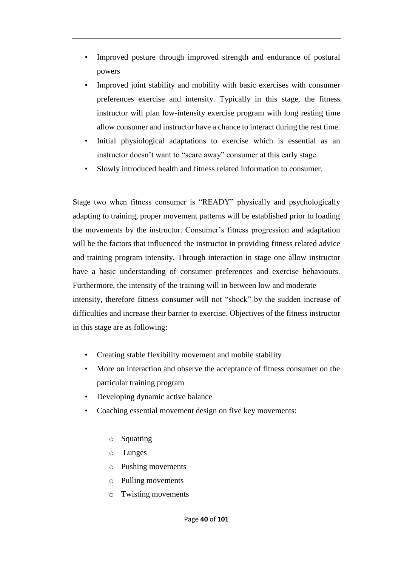- Improved posture through improved strength and endurance of postural powers
- Improved joint stability and mobility with basic exercises with consumer preferences exercise and intensity. Typically in this stage, the fitness instructor will plan low-intensity exercise program with long resting time allow consumer and instructor have a chance to interact during the rest time.
- Initial physiological adaptations to exercise which is essential as an instructor doesn't want to "scare away" consumer at this early stage.
- Slowly introduced health and fitness related information to consumer.

Stage two when fitness consumer is "READY" physically and psychologically adapting to training, proper movement patterns will be established prior to loading the movements by the instructor. Consumer's fitness progression and adaptation will be the factors that influenced the instructor in providing fitness related advice and training program intensity. Through interaction in stage one allow instructor have a basic understanding of consumer preferences and exercise behaviours. Furthermore, the intensity of the training will in between low and moderate intensity, therefore fitness consumer will not "shock" by the sudden increase of difficulties and increase their barrier to exercise. Objectives of the fitness instructor in this stage are as following:

- Creating stable flexibility movement and mobile stability
- More on interaction and observe the acceptance of fitness consumer on the particular training program
- Developing dynamic active balance
- Coaching essential movement design on five key movements:
	- o Squatting
	- o Lunges
	- o Pushing movements
	- o Pulling movements
	- o Twisting movements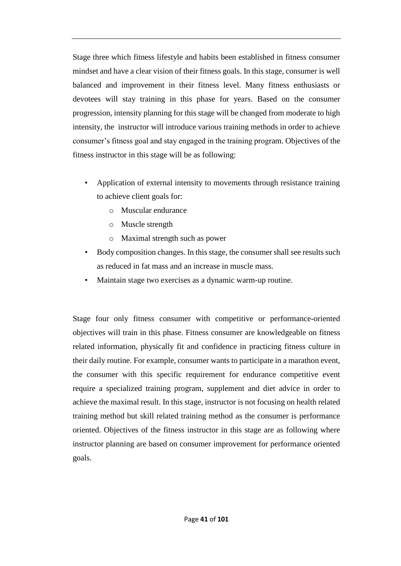Stage three which fitness lifestyle and habits been established in fitness consumer mindset and have a clear vision of their fitness goals. In this stage, consumer is well balanced and improvement in their fitness level. Many fitness enthusiasts or devotees will stay training in this phase for years. Based on the consumer progression, intensity planning for this stage will be changed from moderate to high intensity, the instructor will introduce various training methods in order to achieve consumer's fitness goal and stay engaged in the training program. Objectives of the fitness instructor in this stage will be as following:

- Application of external intensity to movements through resistance training to achieve client goals for:
	- o Muscular endurance
	- o Muscle strength
	- o Maximal strength such as power
- Body composition changes. In this stage, the consumer shall see results such as reduced in fat mass and an increase in muscle mass.
- Maintain stage two exercises as a dynamic warm-up routine.

Stage four only fitness consumer with competitive or performance-oriented objectives will train in this phase. Fitness consumer are knowledgeable on fitness related information, physically fit and confidence in practicing fitness culture in their daily routine. For example, consumer wants to participate in a marathon event, the consumer with this specific requirement for endurance competitive event require a specialized training program, supplement and diet advice in order to achieve the maximal result. In this stage, instructor is not focusing on health related training method but skill related training method as the consumer is performance oriented. Objectives of the fitness instructor in this stage are as following where instructor planning are based on consumer improvement for performance oriented goals.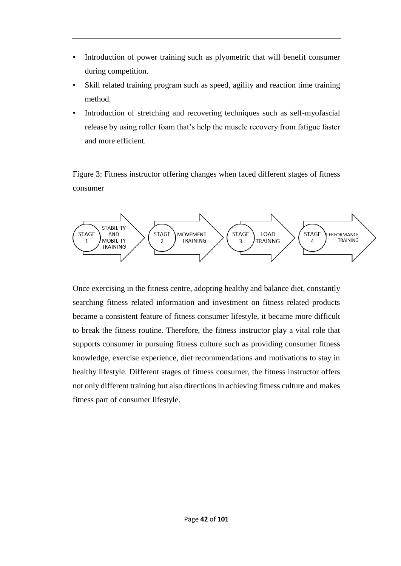- Introduction of power training such as plyometric that will benefit consumer during competition.
- Skill related training program such as speed, agility and reaction time training method.
- Introduction of stretching and recovering techniques such as self-myofascial release by using roller foam that's help the muscle recovery from fatigue faster and more efficient.

Figure 3: Fitness instructor offering changes when faced different stages of fitness consumer



Once exercising in the fitness centre, adopting healthy and balance diet, constantly searching fitness related information and investment on fitness related products became a consistent feature of fitness consumer lifestyle, it became more difficult to break the fitness routine. Therefore, the fitness instructor play a vital role that supports consumer in pursuing fitness culture such as providing consumer fitness knowledge, exercise experience, diet recommendations and motivations to stay in healthy lifestyle. Different stages of fitness consumer, the fitness instructor offers not only different training but also directions in achieving fitness culture and makes fitness part of consumer lifestyle.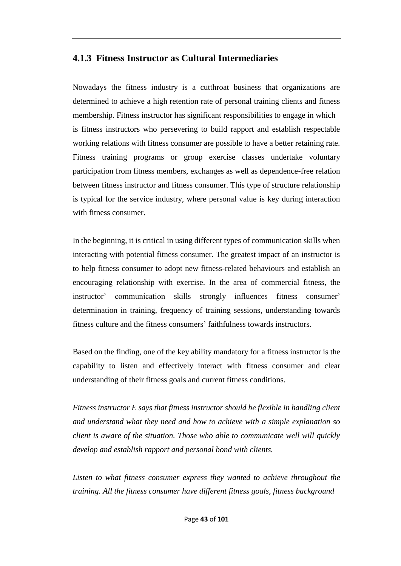### **4.1.3 Fitness Instructor as Cultural Intermediaries**

Nowadays the fitness industry is a cutthroat business that organizations are determined to achieve a high retention rate of personal training clients and fitness membership. Fitness instructor has significant responsibilities to engage in which is fitness instructors who persevering to build rapport and establish respectable working relations with fitness consumer are possible to have a better retaining rate. Fitness training programs or group exercise classes undertake voluntary participation from fitness members, exchanges as well as dependence-free relation between fitness instructor and fitness consumer. This type of structure relationship is typical for the service industry, where personal value is key during interaction with fitness consumer.

In the beginning, it is critical in using different types of communication skills when interacting with potential fitness consumer. The greatest impact of an instructor is to help fitness consumer to adopt new fitness-related behaviours and establish an encouraging relationship with exercise. In the area of commercial fitness, the instructor' communication skills strongly influences fitness consumer' determination in training, frequency of training sessions, understanding towards fitness culture and the fitness consumers' faithfulness towards instructors.

Based on the finding, one of the key ability mandatory for a fitness instructor is the capability to listen and effectively interact with fitness consumer and clear understanding of their fitness goals and current fitness conditions.

*Fitness instructor E says that fitness instructor should be flexible in handling client and understand what they need and how to achieve with a simple explanation so client is aware of the situation. Those who able to communicate well will quickly develop and establish rapport and personal bond with clients.*

*Listen to what fitness consumer express they wanted to achieve throughout the training. All the fitness consumer have different fitness goals, fitness background*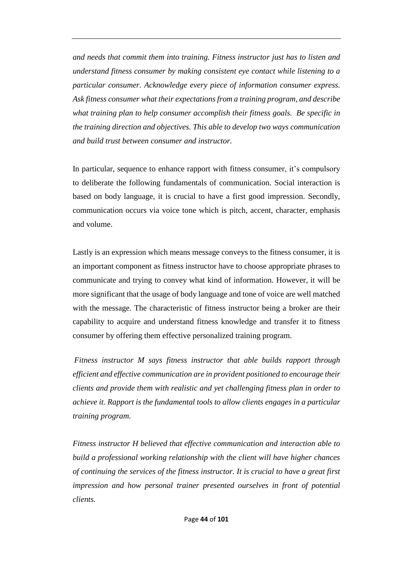*and needs that commit them into training. Fitness instructor just has to listen and understand fitness consumer by making consistent eye contact while listening to a particular consumer. Acknowledge every piece of information consumer express. Ask fitness consumer what their expectations from a training program, and describe what training plan to help consumer accomplish their fitness goals. Be specific in the training direction and objectives. This able to develop two ways communication and build trust between consumer and instructor.* 

In particular, sequence to enhance rapport with fitness consumer, it's compulsory to deliberate the following fundamentals of communication. Social interaction is based on body language, it is crucial to have a first good impression. Secondly, communication occurs via voice tone which is pitch, accent, character, emphasis and volume.

Lastly is an expression which means message conveys to the fitness consumer, it is an important component as fitness instructor have to choose appropriate phrases to communicate and trying to convey what kind of information. However, it will be more significant that the usage of body language and tone of voice are well matched with the message. The characteristic of fitness instructor being a broker are their capability to acquire and understand fitness knowledge and transfer it to fitness consumer by offering them effective personalized training program.

*Fitness instructor M says fitness instructor that able builds rapport through efficient and effective communication are in provident positioned to encourage their clients and provide them with realistic and yet challenging fitness plan in order to achieve it. Rapport is the fundamental tools to allow clients engages in a particular training program.* 

*Fitness instructor H believed that effective communication and interaction able to build a professional working relationship with the client will have higher chances of continuing the services of the fitness instructor. It is crucial to have a great first impression and how personal trainer presented ourselves in front of potential clients.*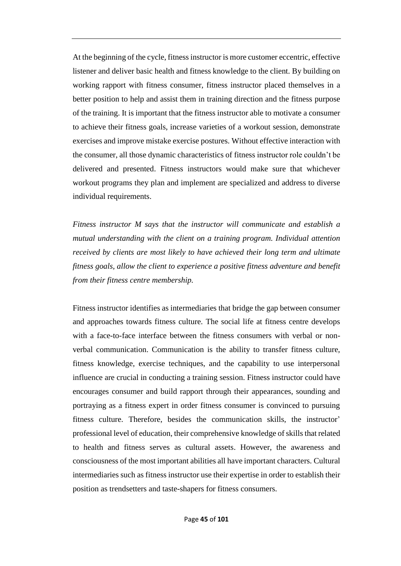At the beginning of the cycle, fitness instructor is more customer eccentric, effective listener and deliver basic health and fitness knowledge to the client. By building on working rapport with fitness consumer, fitness instructor placed themselves in a better position to help and assist them in training direction and the fitness purpose of the training. It is important that the fitness instructor able to motivate a consumer to achieve their fitness goals, increase varieties of a workout session, demonstrate exercises and improve mistake exercise postures. Without effective interaction with the consumer, all those dynamic characteristics of fitness instructor role couldn't be delivered and presented. Fitness instructors would make sure that whichever workout programs they plan and implement are specialized and address to diverse individual requirements.

*Fitness instructor M says that the instructor will communicate and establish a mutual understanding with the client on a training program. Individual attention received by clients are most likely to have achieved their long term and ultimate fitness goals, allow the client to experience a positive fitness adventure and benefit from their fitness centre membership.*

Fitness instructor identifies as intermediaries that bridge the gap between consumer and approaches towards fitness culture. The social life at fitness centre develops with a face-to-face interface between the fitness consumers with verbal or nonverbal communication. Communication is the ability to transfer fitness culture, fitness knowledge, exercise techniques, and the capability to use interpersonal influence are crucial in conducting a training session. Fitness instructor could have encourages consumer and build rapport through their appearances, sounding and portraying as a fitness expert in order fitness consumer is convinced to pursuing fitness culture. Therefore, besides the communication skills, the instructor' professional level of education, their comprehensive knowledge of skills that related to health and fitness serves as cultural assets. However, the awareness and consciousness of the most important abilities all have important characters. Cultural intermediaries such as fitness instructor use their expertise in order to establish their position as trendsetters and taste-shapers for fitness consumers.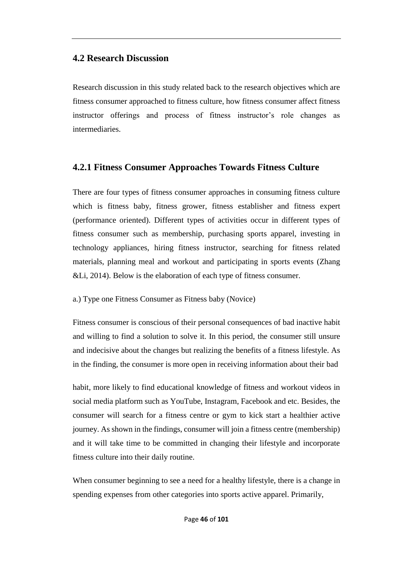### **4.2 Research Discussion**

Research discussion in this study related back to the research objectives which are fitness consumer approached to fitness culture, how fitness consumer affect fitness instructor offerings and process of fitness instructor's role changes as intermediaries.

### **4.2.1 Fitness Consumer Approaches Towards Fitness Culture**

There are four types of fitness consumer approaches in consuming fitness culture which is fitness baby, fitness grower, fitness establisher and fitness expert (performance oriented). Different types of activities occur in different types of fitness consumer such as membership, purchasing sports apparel, investing in technology appliances, hiring fitness instructor, searching for fitness related materials, planning meal and workout and participating in sports events (Zhang &Li, 2014). Below is the elaboration of each type of fitness consumer.

a.) Type one Fitness Consumer as Fitness baby (Novice)

Fitness consumer is conscious of their personal consequences of bad inactive habit and willing to find a solution to solve it. In this period, the consumer still unsure and indecisive about the changes but realizing the benefits of a fitness lifestyle. As in the finding, the consumer is more open in receiving information about their bad

habit, more likely to find educational knowledge of fitness and workout videos in social media platform such as YouTube, Instagram, Facebook and etc. Besides, the consumer will search for a fitness centre or gym to kick start a healthier active journey. As shown in the findings, consumer will join a fitness centre (membership) and it will take time to be committed in changing their lifestyle and incorporate fitness culture into their daily routine.

When consumer beginning to see a need for a healthy lifestyle, there is a change in spending expenses from other categories into sports active apparel. Primarily,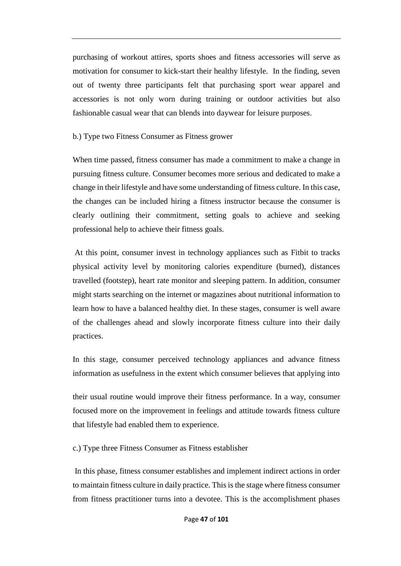purchasing of workout attires, sports shoes and fitness accessories will serve as motivation for consumer to kick-start their healthy lifestyle. In the finding, seven out of twenty three participants felt that purchasing sport wear apparel and accessories is not only worn during training or outdoor activities but also fashionable casual wear that can blends into daywear for leisure purposes.

#### b.) Type two Fitness Consumer as Fitness grower

When time passed, fitness consumer has made a commitment to make a change in pursuing fitness culture. Consumer becomes more serious and dedicated to make a change in their lifestyle and have some understanding of fitness culture. In this case, the changes can be included hiring a fitness instructor because the consumer is clearly outlining their commitment, setting goals to achieve and seeking professional help to achieve their fitness goals.

At this point, consumer invest in technology appliances such as Fitbit to tracks physical activity level by monitoring calories expenditure (burned), distances travelled (footstep), heart rate monitor and sleeping pattern. In addition, consumer might starts searching on the internet or magazines about nutritional information to learn how to have a balanced healthy diet. In these stages, consumer is well aware of the challenges ahead and slowly incorporate fitness culture into their daily practices.

In this stage, consumer perceived technology appliances and advance fitness information as usefulness in the extent which consumer believes that applying into

their usual routine would improve their fitness performance. In a way, consumer focused more on the improvement in feelings and attitude towards fitness culture that lifestyle had enabled them to experience.

c.) Type three Fitness Consumer as Fitness establisher

In this phase, fitness consumer establishes and implement indirect actions in order to maintain fitness culture in daily practice. This is the stage where fitness consumer from fitness practitioner turns into a devotee. This is the accomplishment phases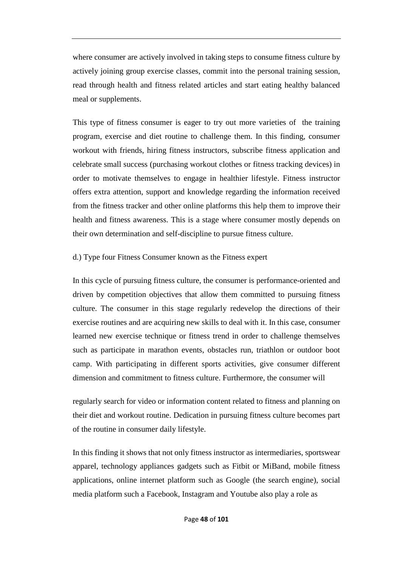where consumer are actively involved in taking steps to consume fitness culture by actively joining group exercise classes, commit into the personal training session, read through health and fitness related articles and start eating healthy balanced meal or supplements.

This type of fitness consumer is eager to try out more varieties of the training program, exercise and diet routine to challenge them. In this finding, consumer workout with friends, hiring fitness instructors, subscribe fitness application and celebrate small success (purchasing workout clothes or fitness tracking devices) in order to motivate themselves to engage in healthier lifestyle. Fitness instructor offers extra attention, support and knowledge regarding the information received from the fitness tracker and other online platforms this help them to improve their health and fitness awareness. This is a stage where consumer mostly depends on their own determination and self-discipline to pursue fitness culture.

#### d.) Type four Fitness Consumer known as the Fitness expert

In this cycle of pursuing fitness culture, the consumer is performance-oriented and driven by competition objectives that allow them committed to pursuing fitness culture. The consumer in this stage regularly redevelop the directions of their exercise routines and are acquiring new skills to deal with it. In this case, consumer learned new exercise technique or fitness trend in order to challenge themselves such as participate in marathon events, obstacles run, triathlon or outdoor boot camp. With participating in different sports activities, give consumer different dimension and commitment to fitness culture. Furthermore, the consumer will

regularly search for video or information content related to fitness and planning on their diet and workout routine. Dedication in pursuing fitness culture becomes part of the routine in consumer daily lifestyle.

In this finding it shows that not only fitness instructor as intermediaries, sportswear apparel, technology appliances gadgets such as Fitbit or MiBand, mobile fitness applications, online internet platform such as Google (the search engine), social media platform such a Facebook, Instagram and Youtube also play a role as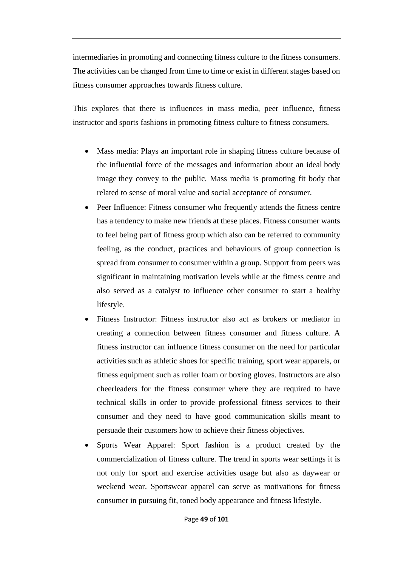intermediaries in promoting and connecting fitness culture to the fitness consumers. The activities can be changed from time to time or exist in different stages based on fitness consumer approaches towards fitness culture.

This explores that there is influences in mass media, peer influence, fitness instructor and sports fashions in promoting fitness culture to fitness consumers.

- Mass media: Plays an important role in shaping fitness culture because of the influential force of the messages and information about an ideal [body](https://en.wikipedia.org/wiki/Body_image)  [image](https://en.wikipedia.org/wiki/Body_image) they convey to the public. Mass media is promoting fit body that related to sense of moral value and social acceptance of consumer.
- Peer Influence: Fitness consumer who frequently attends the fitness centre has a tendency to make new friends at these places. Fitness consumer wants to feel being part of fitness group which also can be referred to community feeling, as the conduct, practices and behaviours of group connection is spread from consumer to consumer within a group. Support from peers was significant in maintaining motivation levels while at the fitness centre and also served as a catalyst to influence other consumer to start a healthy lifestyle.
- Fitness Instructor: Fitness instructor also act as brokers or mediator in creating a connection between fitness consumer and fitness culture. A fitness instructor can influence fitness consumer on the need for particular activities such as athletic shoes for specific training, sport wear apparels, or fitness equipment such as roller foam or boxing gloves. Instructors are also cheerleaders for the fitness consumer where they are required to have technical skills in order to provide professional fitness services to their consumer and they need to have good communication skills meant to persuade their customers how to achieve their fitness objectives.
- Sports Wear Apparel: Sport fashion is a product created by the commercialization of fitness culture. The trend in sports wear settings it is not only for sport and exercise activities usage but also as daywear or weekend wear. Sportswear apparel can serve as motivations for fitness consumer in pursuing fit, toned body appearance and fitness lifestyle.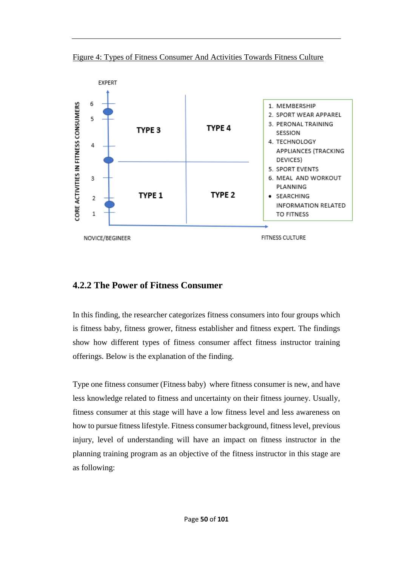Figure 4: Types of Fitness Consumer And Activities Towards Fitness Culture



### **4.2.2 The Power of Fitness Consumer**

In this finding, the researcher categorizes fitness consumers into four groups which is fitness baby, fitness grower, fitness establisher and fitness expert. The findings show how different types of fitness consumer affect fitness instructor training offerings. Below is the explanation of the finding.

Type one fitness consumer (Fitness baby) where fitness consumer is new, and have less knowledge related to fitness and uncertainty on their fitness journey. Usually, fitness consumer at this stage will have a low fitness level and less awareness on how to pursue fitness lifestyle. Fitness consumer background, fitness level, previous injury, level of understanding will have an impact on fitness instructor in the planning training program as an objective of the fitness instructor in this stage are as following: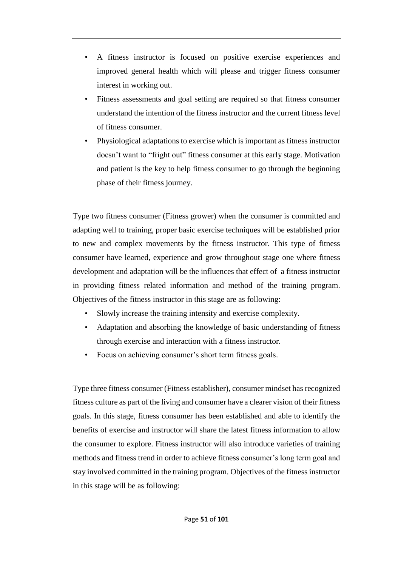- A fitness instructor is focused on positive exercise experiences and improved general health which will please and trigger fitness consumer interest in working out.
- Fitness assessments and goal setting are required so that fitness consumer understand the intention of the fitness instructor and the current fitness level of fitness consumer.
- Physiological adaptations to exercise which is important as fitness instructor doesn't want to "fright out" fitness consumer at this early stage. Motivation and patient is the key to help fitness consumer to go through the beginning phase of their fitness journey.

Type two fitness consumer (Fitness grower) when the consumer is committed and adapting well to training, proper basic exercise techniques will be established prior to new and complex movements by the fitness instructor. This type of fitness consumer have learned, experience and grow throughout stage one where fitness development and adaptation will be the influences that effect of a fitness instructor in providing fitness related information and method of the training program. Objectives of the fitness instructor in this stage are as following:

- Slowly increase the training intensity and exercise complexity.
- Adaptation and absorbing the knowledge of basic understanding of fitness through exercise and interaction with a fitness instructor.
- Focus on achieving consumer's short term fitness goals.

Type three fitness consumer (Fitness establisher), consumer mindset has recognized fitness culture as part of the living and consumer have a clearer vision of their fitness goals. In this stage, fitness consumer has been established and able to identify the benefits of exercise and instructor will share the latest fitness information to allow the consumer to explore. Fitness instructor will also introduce varieties of training methods and fitness trend in order to achieve fitness consumer's long term goal and stay involved committed in the training program. Objectives of the fitness instructor in this stage will be as following: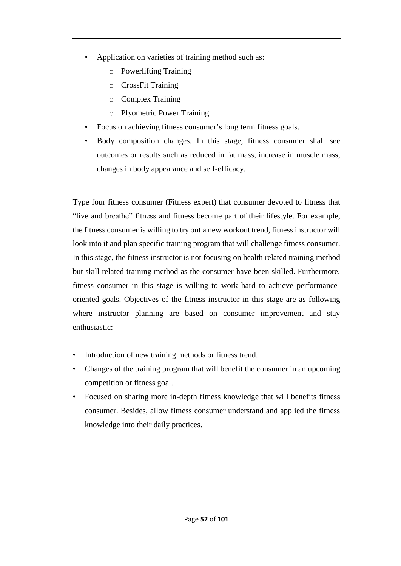- Application on varieties of training method such as:
	- o Powerlifting Training
	- o CrossFit Training
	- o Complex Training
	- o Plyometric Power Training
- Focus on achieving fitness consumer's long term fitness goals.
- Body composition changes. In this stage, fitness consumer shall see outcomes or results such as reduced in fat mass, increase in muscle mass, changes in body appearance and self-efficacy.

Type four fitness consumer (Fitness expert) that consumer devoted to fitness that "live and breathe" fitness and fitness become part of their lifestyle. For example, the fitness consumer is willing to try out a new workout trend, fitness instructor will look into it and plan specific training program that will challenge fitness consumer. In this stage, the fitness instructor is not focusing on health related training method but skill related training method as the consumer have been skilled. Furthermore, fitness consumer in this stage is willing to work hard to achieve performanceoriented goals. Objectives of the fitness instructor in this stage are as following where instructor planning are based on consumer improvement and stay enthusiastic:

- Introduction of new training methods or fitness trend.
- Changes of the training program that will benefit the consumer in an upcoming competition or fitness goal.
- Focused on sharing more in-depth fitness knowledge that will benefits fitness consumer. Besides, allow fitness consumer understand and applied the fitness knowledge into their daily practices.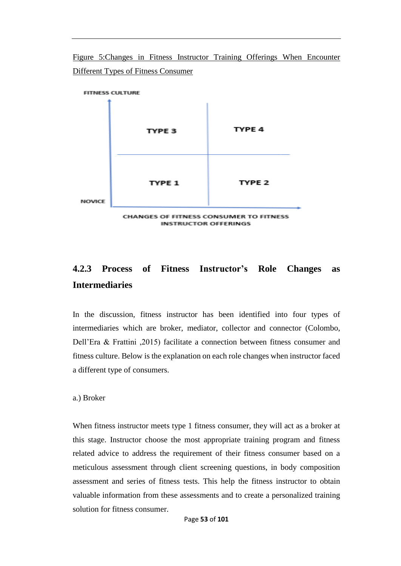Figure 5:Changes in Fitness Instructor Training Offerings When Encounter Different Types of Fitness Consumer



# **4.2.3 Process of Fitness Instructor's Role Changes as Intermediaries**

In the discussion, fitness instructor has been identified into four types of intermediaries which are broker, mediator, collector and connector (Colombo, Dell'Era & Frattini ,2015) facilitate a connection between fitness consumer and fitness culture. Below is the explanation on each role changes when instructor faced a different type of consumers.

a.) Broker

When fitness instructor meets type 1 fitness consumer, they will act as a broker at this stage. Instructor choose the most appropriate training program and fitness related advice to address the requirement of their fitness consumer based on a meticulous assessment through client screening questions, in body composition assessment and series of fitness tests. This help the fitness instructor to obtain valuable information from these assessments and to create a personalized training solution for fitness consumer.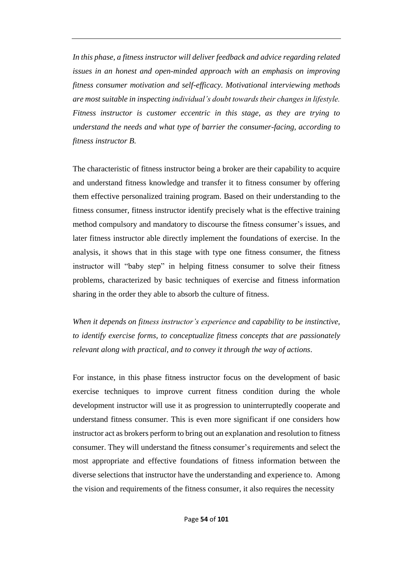*In this phase, a fitness instructor will deliver feedback and advice regarding related issues in an honest and open-minded approach with an emphasis on improving fitness consumer motivation and self-efficacy. Motivational interviewing methods are most suitable in inspecting individual's doubt towards their changes in lifestyle. Fitness instructor is customer eccentric in this stage, as they are trying to understand the needs and what type of barrier the consumer-facing, according to fitness instructor B.* 

The characteristic of fitness instructor being a broker are their capability to acquire and understand fitness knowledge and transfer it to fitness consumer by offering them effective personalized training program. Based on their understanding to the fitness consumer, fitness instructor identify precisely what is the effective training method compulsory and mandatory to discourse the fitness consumer's issues, and later fitness instructor able directly implement the foundations of exercise. In the analysis, it shows that in this stage with type one fitness consumer, the fitness instructor will "baby step" in helping fitness consumer to solve their fitness problems, characterized by basic techniques of exercise and fitness information sharing in the order they able to absorb the culture of fitness.

*When it depends on fitness instructor's experience and capability to be instinctive, to identify exercise forms, to conceptualize fitness concepts that are passionately relevant along with practical, and to convey it through the way of actions*.

For instance, in this phase fitness instructor focus on the development of basic exercise techniques to improve current fitness condition during the whole development instructor will use it as progression to uninterruptedly cooperate and understand fitness consumer. This is even more significant if one considers how instructor act as brokers perform to bring out an explanation and resolution to fitness consumer. They will understand the fitness consumer's requirements and select the most appropriate and effective foundations of fitness information between the diverse selections that instructor have the understanding and experience to. Among the vision and requirements of the fitness consumer, it also requires the necessity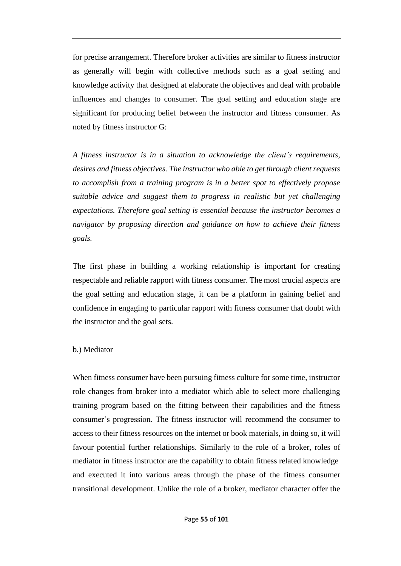for precise arrangement. Therefore broker activities are similar to fitness instructor as generally will begin with collective methods such as a goal setting and knowledge activity that designed at elaborate the objectives and deal with probable influences and changes to consumer. The goal setting and education stage are significant for producing belief between the instructor and fitness consumer. As noted by fitness instructor G:

*A fitness instructor is in a situation to acknowledge the client's requirements, desires and fitness objectives. The instructor who able to get through client requests to accomplish from a training program is in a better spot to effectively propose suitable advice and suggest them to progress in realistic but yet challenging expectations. Therefore goal setting is essential because the instructor becomes a navigator by proposing direction and guidance on how to achieve their fitness goals.* 

The first phase in building a working relationship is important for creating respectable and reliable rapport with fitness consumer. The most crucial aspects are the goal setting and education stage, it can be a platform in gaining belief and confidence in engaging to particular rapport with fitness consumer that doubt with the instructor and the goal sets.

#### b.) Mediator

When fitness consumer have been pursuing fitness culture for some time, instructor role changes from broker into a mediator which able to select more challenging training program based on the fitting between their capabilities and the fitness consumer's progression. The fitness instructor will recommend the consumer to access to their fitness resources on the internet or book materials, in doing so, it will favour potential further relationships. Similarly to the role of a broker, roles of mediator in fitness instructor are the capability to obtain fitness related knowledge and executed it into various areas through the phase of the fitness consumer transitional development. Unlike the role of a broker, mediator character offer the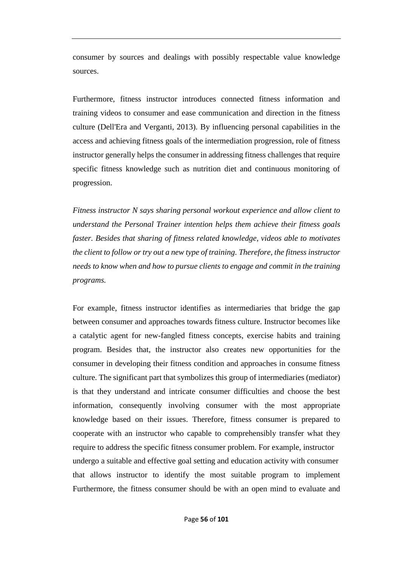consumer by sources and dealings with possibly respectable value knowledge sources.

Furthermore, fitness instructor introduces connected fitness information and training videos to consumer and ease communication and direction in the fitness culture (Dell'Era and Verganti, 2013). By influencing personal capabilities in the access and achieving fitness goals of the intermediation progression, role of fitness instructor generally helps the consumer in addressing fitness challenges that require specific fitness knowledge such as nutrition diet and continuous monitoring of progression.

*Fitness instructor N says sharing personal workout experience and allow client to understand the Personal Trainer intention helps them achieve their fitness goals faster. Besides that sharing of fitness related knowledge, videos able to motivates the client to follow or try out a new type of training. Therefore, the fitness instructor needs to know when and how to pursue clients to engage and commit in the training programs.* 

For example, fitness instructor identifies as intermediaries that bridge the gap between consumer and approaches towards fitness culture. Instructor becomes like a catalytic agent for new-fangled fitness concepts, exercise habits and training program. Besides that, the instructor also creates new opportunities for the consumer in developing their fitness condition and approaches in consume fitness culture. The significant part that symbolizes this group of intermediaries (mediator) is that they understand and intricate consumer difficulties and choose the best information, consequently involving consumer with the most appropriate knowledge based on their issues. Therefore, fitness consumer is prepared to cooperate with an instructor who capable to comprehensibly transfer what they require to address the specific fitness consumer problem. For example, instructor undergo a suitable and effective goal setting and education activity with consumer that allows instructor to identify the most suitable program to implement Furthermore, the fitness consumer should be with an open mind to evaluate and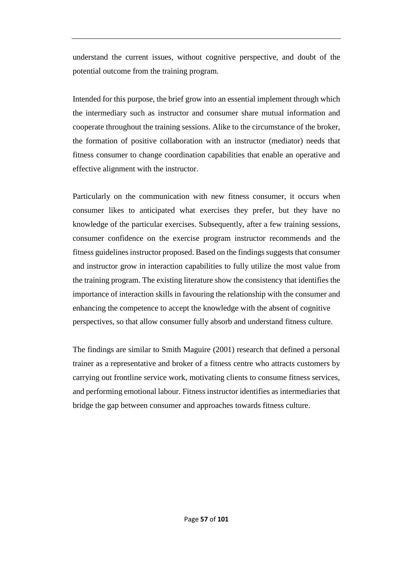understand the current issues, without cognitive perspective, and doubt of the potential outcome from the training program.

Intended for this purpose, the brief grow into an essential implement through which the intermediary such as instructor and consumer share mutual information and cooperate throughout the training sessions. Alike to the circumstance of the broker, the formation of positive collaboration with an instructor (mediator) needs that fitness consumer to change coordination capabilities that enable an operative and effective alignment with the instructor.

Particularly on the communication with new fitness consumer, it occurs when consumer likes to anticipated what exercises they prefer, but they have no knowledge of the particular exercises. Subsequently, after a few training sessions, consumer confidence on the exercise program instructor recommends and the fitness guidelines instructor proposed. Based on the findings suggests that consumer and instructor grow in interaction capabilities to fully utilize the most value from the training program. The existing literature show the consistency that identifies the importance of interaction skills in favouring the relationship with the consumer and enhancing the competence to accept the knowledge with the absent of cognitive perspectives, so that allow consumer fully absorb and understand fitness culture.

The findings are similar to Smith Maguire (2001) research that defined a personal trainer as a representative and broker of a fitness centre who attracts customers by carrying out frontline service work, motivating clients to consume fitness services, and performing emotional labour. Fitness instructor identifies as intermediaries that bridge the gap between consumer and approaches towards fitness culture.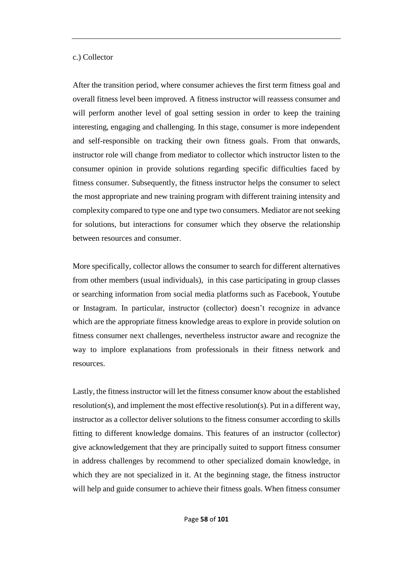#### c.) Collector

After the transition period, where consumer achieves the first term fitness goal and overall fitness level been improved. A fitness instructor will reassess consumer and will perform another level of goal setting session in order to keep the training interesting, engaging and challenging. In this stage, consumer is more independent and self-responsible on tracking their own fitness goals. From that onwards, instructor role will change from mediator to collector which instructor listen to the consumer opinion in provide solutions regarding specific difficulties faced by fitness consumer. Subsequently, the fitness instructor helps the consumer to select the most appropriate and new training program with different training intensity and complexity compared to type one and type two consumers. Mediator are not seeking for solutions, but interactions for consumer which they observe the relationship between resources and consumer.

More specifically, collector allows the consumer to search for different alternatives from other members (usual individuals), in this case participating in group classes or searching information from social media platforms such as Facebook, Youtube or Instagram. In particular, instructor (collector) doesn't recognize in advance which are the appropriate fitness knowledge areas to explore in provide solution on fitness consumer next challenges, nevertheless instructor aware and recognize the way to implore explanations from professionals in their fitness network and resources.

Lastly, the fitness instructor will let the fitness consumer know about the established resolution(s), and implement the most effective resolution(s). Put in a different way, instructor as a collector deliver solutions to the fitness consumer according to skills fitting to different knowledge domains. This features of an instructor (collector) give acknowledgement that they are principally suited to support fitness consumer in address challenges by recommend to other specialized domain knowledge, in which they are not specialized in it. At the beginning stage, the fitness instructor will help and guide consumer to achieve their fitness goals. When fitness consumer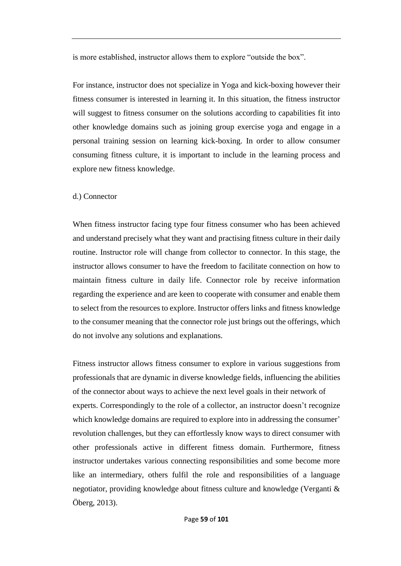is more established, instructor allows them to explore "outside the box".

For instance, instructor does not specialize in Yoga and kick-boxing however their fitness consumer is interested in learning it. In this situation, the fitness instructor will suggest to fitness consumer on the solutions according to capabilities fit into other knowledge domains such as joining group exercise yoga and engage in a personal training session on learning kick-boxing. In order to allow consumer consuming fitness culture, it is important to include in the learning process and explore new fitness knowledge.

#### d.) Connector

When fitness instructor facing type four fitness consumer who has been achieved and understand precisely what they want and practising fitness culture in their daily routine. Instructor role will change from collector to connector. In this stage, the instructor allows consumer to have the freedom to facilitate connection on how to maintain fitness culture in daily life. Connector role by receive information regarding the experience and are keen to cooperate with consumer and enable them to select from the resources to explore. Instructor offers links and fitness knowledge to the consumer meaning that the connector role just brings out the offerings, which do not involve any solutions and explanations.

Fitness instructor allows fitness consumer to explore in various suggestions from professionals that are dynamic in diverse knowledge fields, influencing the abilities of the connector about ways to achieve the next level goals in their network of experts. Correspondingly to the role of a collector, an instructor doesn't recognize which knowledge domains are required to explore into in addressing the consumer' revolution challenges, but they can effortlessly know ways to direct consumer with other professionals active in different fitness domain. Furthermore, fitness instructor undertakes various connecting responsibilities and some become more like an intermediary, others fulfil the role and responsibilities of a language negotiator, providing knowledge about fitness culture and knowledge (Verganti & Öberg, 2013).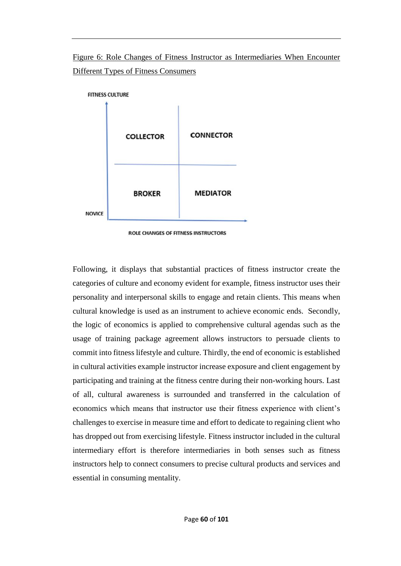Figure 6: Role Changes of Fitness Instructor as Intermediaries When Encounter Different Types of Fitness Consumers



Following, it displays that substantial practices of fitness instructor create the categories of culture and economy evident for example, fitness instructor uses their personality and interpersonal skills to engage and retain clients. This means when cultural knowledge is used as an instrument to achieve economic ends. Secondly, the logic of economics is applied to comprehensive cultural agendas such as the usage of training package agreement allows instructors to persuade clients to commit into fitness lifestyle and culture. Thirdly, the end of economic is established in cultural activities example instructor increase exposure and client engagement by participating and training at the fitness centre during their non-working hours. Last of all, cultural awareness is surrounded and transferred in the calculation of economics which means that instructor use their fitness experience with client's challenges to exercise in measure time and effort to dedicate to regaining client who has dropped out from exercising lifestyle. Fitness instructor included in the cultural intermediary effort is therefore intermediaries in both senses such as fitness instructors help to connect consumers to precise cultural products and services and essential in consuming mentality.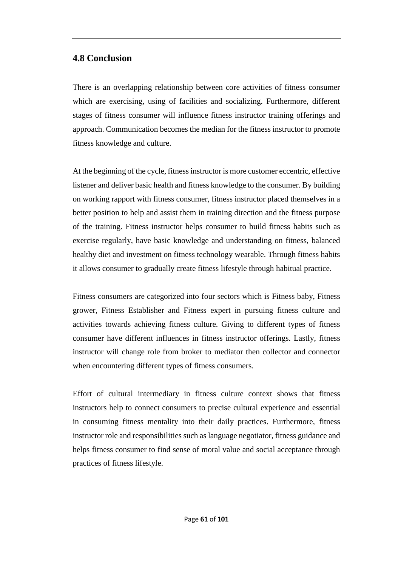## **4.8 Conclusion**

There is an overlapping relationship between core activities of fitness consumer which are exercising, using of facilities and socializing. Furthermore, different stages of fitness consumer will influence fitness instructor training offerings and approach. Communication becomes the median for the fitness instructor to promote fitness knowledge and culture.

At the beginning of the cycle, fitness instructor is more customer eccentric, effective listener and deliver basic health and fitness knowledge to the consumer. By building on working rapport with fitness consumer, fitness instructor placed themselves in a better position to help and assist them in training direction and the fitness purpose of the training. Fitness instructor helps consumer to build fitness habits such as exercise regularly, have basic knowledge and understanding on fitness, balanced healthy diet and investment on fitness technology wearable. Through fitness habits it allows consumer to gradually create fitness lifestyle through habitual practice.

Fitness consumers are categorized into four sectors which is Fitness baby, Fitness grower, Fitness Establisher and Fitness expert in pursuing fitness culture and activities towards achieving fitness culture. Giving to different types of fitness consumer have different influences in fitness instructor offerings. Lastly, fitness instructor will change role from broker to mediator then collector and connector when encountering different types of fitness consumers.

Effort of cultural intermediary in fitness culture context shows that fitness instructors help to connect consumers to precise cultural experience and essential in consuming fitness mentality into their daily practices. Furthermore, fitness instructor role and responsibilities such as language negotiator, fitness guidance and helps fitness consumer to find sense of moral value and social acceptance through practices of fitness lifestyle.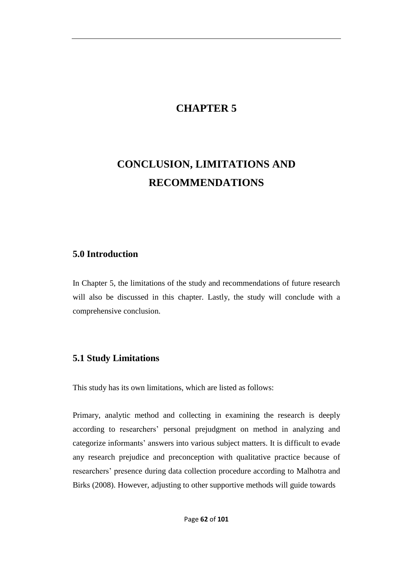# **CHAPTER 5**

# **CONCLUSION, LIMITATIONS AND RECOMMENDATIONS**

### **5.0 Introduction**

In Chapter 5, the limitations of the study and recommendations of future research will also be discussed in this chapter. Lastly, the study will conclude with a comprehensive conclusion.

### **5.1 Study Limitations**

This study has its own limitations, which are listed as follows:

Primary, analytic method and collecting in examining the research is deeply according to researchers' personal prejudgment on method in analyzing and categorize informants' answers into various subject matters. It is difficult to evade any research prejudice and preconception with qualitative practice because of researchers' presence during data collection procedure according to Malhotra and Birks (2008). However, adjusting to other supportive methods will guide towards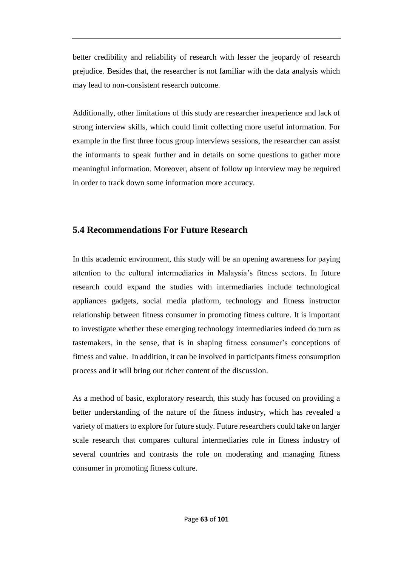better credibility and reliability of research with lesser the jeopardy of research prejudice. Besides that, the researcher is not familiar with the data analysis which may lead to non-consistent research outcome.

Additionally, other limitations of this study are researcher inexperience and lack of strong interview skills, which could limit collecting more useful information. For example in the first three focus group interviews sessions, the researcher can assist the informants to speak further and in details on some questions to gather more meaningful information. Moreover, absent of follow up interview may be required in order to track down some information more accuracy.

## **5.4 Recommendations For Future Research**

In this academic environment, this study will be an opening awareness for paying attention to the cultural intermediaries in Malaysia's fitness sectors. In future research could expand the studies with intermediaries include technological appliances gadgets, social media platform, technology and fitness instructor relationship between fitness consumer in promoting fitness culture. It is important to investigate whether these emerging technology intermediaries indeed do turn as tastemakers, in the sense, that is in shaping fitness consumer's conceptions of fitness and value. In addition, it can be involved in participants fitness consumption process and it will bring out richer content of the discussion.

As a method of basic, exploratory research, this study has focused on providing a better understanding of the nature of the fitness industry, which has revealed a variety of matters to explore for future study. Future researchers could take on larger scale research that compares cultural intermediaries role in fitness industry of several countries and contrasts the role on moderating and managing fitness consumer in promoting fitness culture.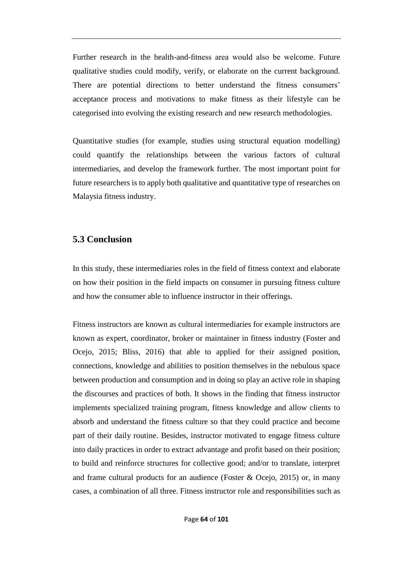Further research in the health-and-fitness area would also be welcome. Future qualitative studies could modify, verify, or elaborate on the current background. There are potential directions to better understand the fitness consumers' acceptance process and motivations to make fitness as their lifestyle can be categorised into evolving the existing research and new research methodologies.

Quantitative studies (for example, studies using structural equation modelling) could quantify the relationships between the various factors of cultural intermediaries, and develop the framework further. The most important point for future researchers is to apply both qualitative and quantitative type of researches on Malaysia fitness industry.

#### **5.3 Conclusion**

In this study, these intermediaries roles in the field of fitness context and elaborate on how their position in the field impacts on consumer in pursuing fitness culture and how the consumer able to influence instructor in their offerings.

Fitness instructors are known as cultural intermediaries for example instructors are known as expert, coordinator, broker or maintainer in fitness industry [\(Foster and](https://www.ncbi.nlm.nih.gov/pmc/articles/PMC6256716/#bibr14-1461444817711403)  [Ocejo, 2015;](https://www.ncbi.nlm.nih.gov/pmc/articles/PMC6256716/#bibr14-1461444817711403) [Bliss, 2016\)](https://www.ncbi.nlm.nih.gov/pmc/articles/PMC6256716/#bibr2-1461444817711403) that able to applied for their assigned position, connections, knowledge and abilities to position themselves in the nebulous space between production and consumption and in doing so play an active role in shaping the discourses and practices of both. It shows in the finding that fitness instructor implements specialized training program, fitness knowledge and allow clients to absorb and understand the fitness culture so that they could practice and become part of their daily routine. Besides, instructor motivated to engage fitness culture into daily practices in order to extract advantage and profit based on their position; to build and reinforce structures for collective good; and/or to translate, interpret and frame cultural products for an audience (Foster & [Ocejo, 2015\)](https://www.ncbi.nlm.nih.gov/pmc/articles/PMC6256716/#bibr14-1461444817711403) or, in many cases, a combination of all three. Fitness instructor role and responsibilities such as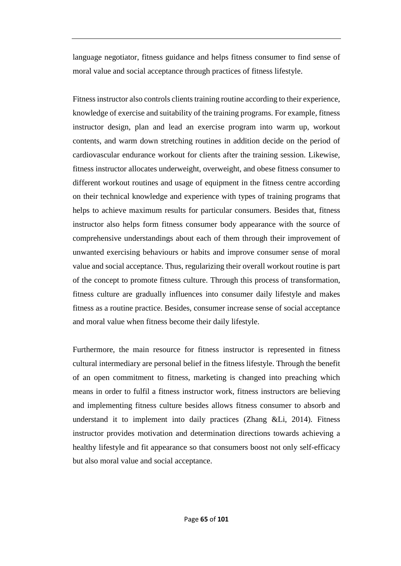language negotiator, fitness guidance and helps fitness consumer to find sense of moral value and social acceptance through practices of fitness lifestyle.

Fitness instructor also controls clients training routine according to their experience, knowledge of exercise and suitability of the training programs. For example, fitness instructor design, plan and lead an exercise program into warm up, workout contents, and warm down stretching routines in addition decide on the period of cardiovascular endurance workout for clients after the training session. Likewise, fitness instructor allocates underweight, overweight, and obese fitness consumer to different workout routines and usage of equipment in the fitness centre according on their technical knowledge and experience with types of training programs that helps to achieve maximum results for particular consumers. Besides that, fitness instructor also helps form fitness consumer body appearance with the source of comprehensive understandings about each of them through their improvement of unwanted exercising behaviours or habits and improve consumer sense of moral value and social acceptance. Thus, regularizing their overall workout routine is part of the concept to promote fitness culture. Through this process of transformation, fitness culture are gradually influences into consumer daily lifestyle and makes fitness as a routine practice. Besides, consumer increase sense of social acceptance and moral value when fitness become their daily lifestyle.

Furthermore, the main resource for fitness instructor is represented in fitness cultural intermediary are personal belief in the fitness lifestyle. Through the benefit of an open commitment to fitness, marketing is changed into preaching which means in order to fulfil a fitness instructor work, fitness instructors are believing and implementing fitness culture besides allows fitness consumer to absorb and understand it to implement into daily practices (Zhang &Li, 2014). Fitness instructor provides motivation and determination directions towards achieving a healthy lifestyle and fit appearance so that consumers boost not only self-efficacy but also moral value and social acceptance.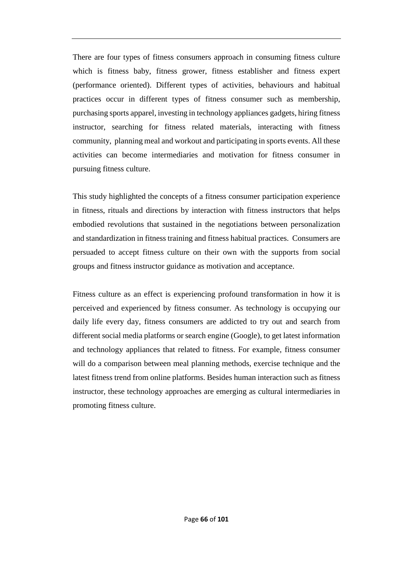There are four types of fitness consumers approach in consuming fitness culture which is fitness baby, fitness grower, fitness establisher and fitness expert (performance oriented). Different types of activities, behaviours and habitual practices occur in different types of fitness consumer such as membership, purchasing sports apparel, investing in technology appliances gadgets, hiring fitness instructor, searching for fitness related materials, interacting with fitness community, planning meal and workout and participating in sports events. All these activities can become intermediaries and motivation for fitness consumer in pursuing fitness culture.

This study highlighted the concepts of a fitness consumer participation experience in fitness, rituals and directions by interaction with fitness instructors that helps embodied revolutions that sustained in the negotiations between personalization and standardization in fitness training and fitness habitual practices. Consumers are persuaded to accept fitness culture on their own with the supports from social groups and fitness instructor guidance as motivation and acceptance.

Fitness culture as an effect is experiencing profound transformation in how it is perceived and experienced by fitness consumer. As technology is occupying our daily life every day, fitness consumers are addicted to try out and search from different social media platforms or search engine (Google), to get latest information and technology appliances that related to fitness. For example, fitness consumer will do a comparison between meal planning methods, exercise technique and the latest fitness trend from online platforms. Besides human interaction such as fitness instructor, these technology approaches are emerging as cultural intermediaries in promoting fitness culture.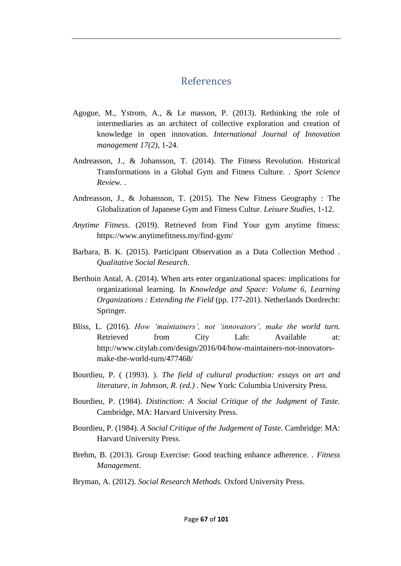# References

- Agogue, M., Ystrom, A., & Le masson, P. (2013). Rethinking the role of intermediaries as an architect of collective exploration and creation of knowledge in open innovation. *International Journal of Innovation management 17(2)*, 1-24.
- Andreasson, J., & Johansson, T. (2014). The Fitness Revolution. Historical Transformations in a Global Gym and Fitness Culture. . *Sport Science Review.* .
- Andreasson, J., & Johansson, T. (2015). The New Fitness Geography : The Globalization of Japanese Gym and Fitness Cultur. *Leisure Studies*, 1-12.
- *Anytime Fitness*. (2019). Retrieved from Find Your gym anytime fitness: https://www.anytimefitness.my/find-gym/
- Barbara, B. K. (2015). Participant Observation as a Data Collection Method . *Qualitative Social Research*.
- Berthoin Antal, A. (2014). When arts enter organizational spaces: implications for organizational learning. In *Knowledge and Space: Volume 6, Learning Organizations : Extending the Field* (pp. 177-201). Netherlands Dordrecht: Springer.
- Bliss, L. (2016). *How 'maintainers', not 'innovators', make the world turn.* Retrieved from City Lab: Available at: http://www.citylab.com/design/2016/04/how-maintainers-not-innovatorsmake-the-world-turn/477468/
- Bourdieu, P. ( (1993). ). *The field of cultural production: essays on art and literature, in Johnson, R. (ed.) .* New York: Columbia University Press.
- Bourdieu, P. (1984). *Distinction: A Social Critique of the Judgment of Taste.* Cambridge, MA: Harvard University Press.
- Bourdieu, P. (1984). *A Social Critique of the Judgement of Taste.* Cambridge: MA: Harvard University Press.
- Brehm, B. (2013). Group Exercise: Good teaching enhance adherence. . *Fitness Management*.
- Bryman, A. (2012). *Social Research Methods.* Oxford University Press.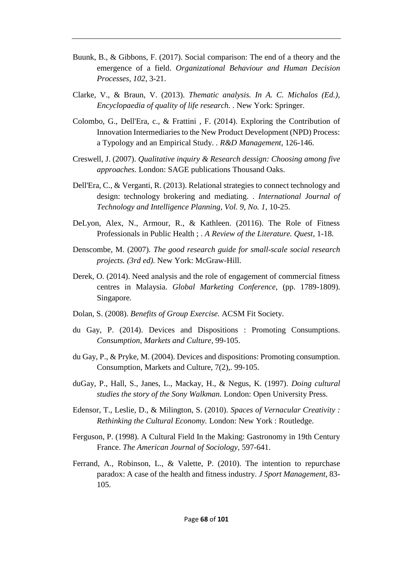- Buunk, B., & Gibbons, F. (2017). Social comparison: The end of a theory and the emergence of a field. *Organizational Behaviour and Human Decision Processes, 102*, 3-21.
- Clarke, V., & Braun, V. (2013). *Thematic analysis. In A. C. Michalos (Ed.), Encyclopaedia of quality of life research. .* New York: Springer.
- Colombo, G., Dell'Era, c., & Frattini , F. (2014). Exploring the Contribution of Innovation Intermediaries to the New Product Development (NPD) Process: a Typology and an Empirical Study. . *R&D Management*, 126-146.
- Creswell, J. (2007). *Qualitative inquiry & Research dessign: Choosing among five approaches.* London: SAGE publications Thousand Oaks.
- Dell'Era, C., & Verganti, R. (2013). Relational strategies to connect technology and design: technology brokering and mediating. . *International Journal of Technology and Intelligence Planning, Vol. 9, No. 1*, 10-25.
- DeLyon, Alex, N., Armour, R., & Kathleen. (20116). The Role of Fitness Professionals in Public Health ; . *A Review of the Literature. Quest*, 1-18.
- Denscombe, M. (2007). *The good research guide for small-scale social research projects. (3rd ed).* New York: McGraw-Hill.
- Derek, O. (2014). Need analysis and the role of engagement of commercial fitness centres in Malaysia. *Global Marketing Conference*, (pp. 1789-1809). Singapore.
- Dolan, S. (2008). *Benefits of Group Exercise.* ACSM Fit Society.
- du Gay, P. (2014). Devices and Dispositions : Promoting Consumptions. *Consumption, Markets and Culture*, 99-105.
- du Gay, P., & Pryke, M. (2004). Devices and dispositions: Promoting consumption. Consumption, Markets and Culture, 7(2),. 99-105.
- duGay, P., Hall, S., Janes, L., Mackay, H., & Negus, K. (1997). *Doing cultural studies the story of the Sony Walkman.* London: Open University Press.
- Edensor, T., Leslie, D., & Milington, S. (2010). *Spaces of Vernacular Creativity : Rethinking the Cultural Economy.* London: New York : Routledge.
- Ferguson, P. (1998). A Cultural Field In the Making: Gastronomy in 19th Century France. *The American Journal of Sociology*, 597-641.
- Ferrand, A., Robinson, L., & Valette, P. (2010). The intention to repurchase paradox: A case of the health and fitness industry. *J Sport Management*, 83- 105.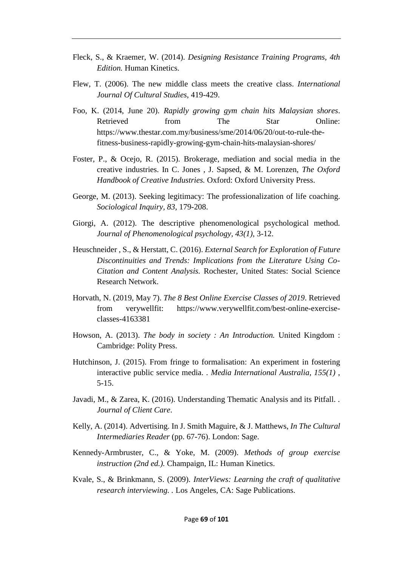- Fleck, S., & Kraemer, W. (2014). *Designing Resistance Training Programs, 4th Edition.* Human Kinetics.
- Flew, T. (2006). The new middle class meets the creative class. *International Journal Of Cultural Studies*, 419-429.
- Foo, K. (2014, June 20). *Rapidly growing gym chain hits Malaysian shores*. Retrieved from The Star Online: https://www.thestar.com.my/business/sme/2014/06/20/out-to-rule-thefitness-business-rapidly-growing-gym-chain-hits-malaysian-shores/
- Foster, P., & Ocejo, R. (2015). Brokerage, mediation and social media in the creative industries. In C. Jones , J. Sapsed, & M. Lorenzen, *The Oxford Handbook of Creative Industries.* Oxford: Oxford University Press.
- George, M. (2013). Seeking legitimacy: The professionalization of life coaching. *Sociological Inquiry, 83*, 179-208.
- Giorgi, A. (2012). The descriptive phenomenological psychological method. *Journal of Phenomenological psychology, 43(1)*, 3-12.
- Heuschneider , S., & Herstatt, C. (2016). *External Search for Exploration of Future Discontinuities and Trends: Implications from the Literature Using Co-Citation and Content Analysis.* Rochester, United States: Social Science Research Network.
- Horvath, N. (2019, May 7). *The 8 Best Online Exercise Classes of 2019*. Retrieved from verywellfit: https://www.verywellfit.com/best-online-exerciseclasses-4163381
- Howson, A. (2013). *The body in society : An Introduction.* United Kingdom : Cambridge: Polity Press.
- Hutchinson, J. (2015). From fringe to formalisation: An experiment in fostering interactive public service media. . *Media International Australia, 155(1)* , 5-15.
- Javadi, M., & Zarea, K. (2016). Understanding Thematic Analysis and its Pitfall. . *Journal of Client Care*.
- Kelly, A. (2014). Advertising. In J. Smith Maguire, & J. Matthews, *In The Cultural Intermediaries Reader* (pp. 67-76). London: Sage.
- Kennedy-Armbruster, C., & Yoke, M. (2009). *Methods of group exercise instruction (2nd ed.).* Champaign, IL: Human Kinetics.
- Kvale, S., & Brinkmann, S. (2009). *InterViews: Learning the craft of qualitative research interviewing. .* Los Angeles, CA: Sage Publications.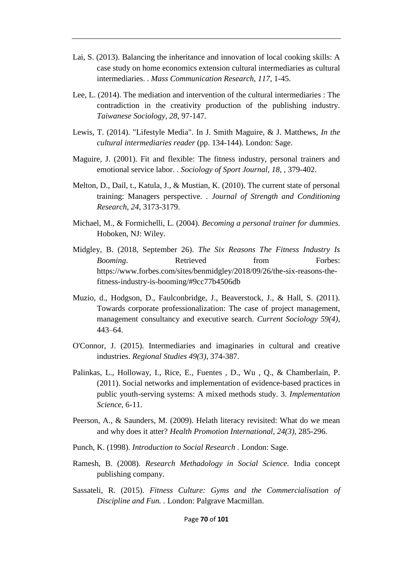- Lai, S. (2013). Balancing the inheritance and innovation of local cooking skills: A case study on home economics extension cultural intermediaries as cultural intermediaries. . *Mass Communication Research, 117*, 1-45.
- Lee, L. (2014). The mediation and intervention of the cultural intermediaries : The contradiction in the creativity production of the publishing industry. *Taiwanese Sociology, 28*, 97-147.
- Lewis, T. (2014). "Lifestyle Media". In J. Smith Maguire, & J. Matthews, *In the cultural intermediaries reader* (pp. 134-144). London: Sage.
- Maguire, J. (2001). Fit and flexible: The fitness industry, personal trainers and emotional service labor. . *Sociology of Sport Journal, 18,* , 379-402.
- Melton, D., Dail, t., Katula, J., & Mustian, K. (2010). The current state of personal training: Managers perspective. . *Journal of Strength and Conditioning Research, 24*, 3173-3179.
- Michael, M., & Formichelli, L. (2004). *Becoming a personal trainer for dummies.* Hoboken, NJ: Wiley.
- Midgley, B. (2018, September 26). *The Six Reasons The Fitness Industry Is Booming.* Retrieved from Forbes: https://www.forbes.com/sites/benmidgley/2018/09/26/the-six-reasons-thefitness-industry-is-booming/#9cc77b4506db
- Muzio, d., Hodgson, D., Faulconbridge, J., Beaverstock, J., & Hall, S. (2011). Towards corporate professionalization: The case of project management, management consultancy and executive search. *Current Sociology 59(4)*, 443–64.
- O'Connor, J. (2015). Intermediaries and imaginaries in cultural and creative industries. *Regional Studies 49(3)*, 374-387.
- Palinkas, L., Holloway, I., Rice, E., Fuentes , D., Wu , Q., & Chamberlain, P. (2011). Social networks and implementation of evidence-based practices in public youth-serving systems: A mixed methods study. 3. *Implementation Science*, 6-11.
- Peerson, A., & Saunders, M. (2009). Helath literacy revisited: What do we mean and why does it atter? *Health Promotion International, 24(3)*, 285-296.
- Punch, K. (1998). *Introduction to Social Research .* London: Sage.
- Ramesh, B. (2008). *Research Methadology in Social Science.* India concept publishing company.
- Sassateli, R. (2015). *Fitness Culture: Gyms and the Commercialisation of Discipline and Fun. .* London: Palgrave Macmillan.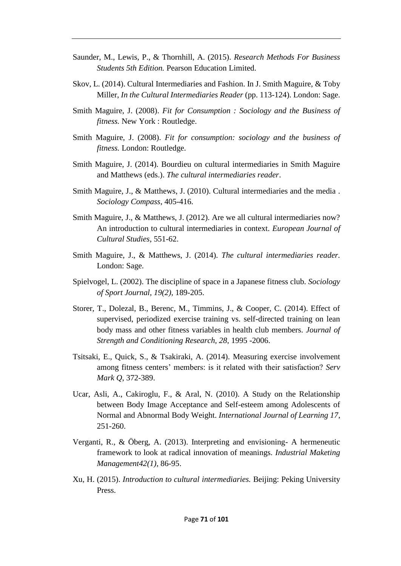- Saunder, M., Lewis, P., & Thornhill, A. (2015). *Research Methods For Business Students 5th Edition.* Pearson Education Limited.
- Skov, L. (2014). Cultural Intermediaries and Fashion. In J. Smith Maguire, & Toby Miller, *In the Cultural Intermediaries Reader* (pp. 113-124). London: Sage.
- Smith Maguire, J. (2008). *Fit for Consumption : Sociology and the Business of fitness.* New York : Routledge.
- Smith Maguire, J. (2008). *Fit for consumption: sociology and the business of fitness.* London: Routledge.
- Smith Maguire, J. (2014). Bourdieu on cultural intermediaries in Smith Maguire and Matthews (eds.). *The cultural intermediaries reader*.
- Smith Maguire, J., & Matthews, J. (2010). Cultural intermediaries and the media . *Sociology Compass*, 405-416.
- Smith Maguire, J., & Matthews, J. (2012). Are we all cultural intermediaries now? An introduction to cultural intermediaries in context. *European Journal of Cultural Studies*, 551-62.
- Smith Maguire, J., & Matthews, J. (2014). *The cultural intermediaries reader.* London: Sage.
- Spielvogel, L. (2002). The discipline of space in a Japanese fitness club. *Sociology of Sport Journal, 19(2)*, 189-205.
- Storer, T., Dolezal, B., Berenc, M., Timmins, J., & Cooper, C. (2014). Effect of supervised, periodized exercise training vs. self-directed training on lean body mass and other fitness variables in health club members. *Journal of Strength and Conditioning Research, 28*, 1995 -2006.
- Tsitsaki, E., Quick, S., & Tsakiraki, A. (2014). Measuring exercise involvement among fitness centers' members: is it related with their satisfaction? *Serv Mark Q*, 372-389.
- Ucar, Asli, A., Cakiroglu, F., & Aral, N. (2010). A Study on the Relationship between Body Image Acceptance and Self-esteem among Adolescents of Normal and Abnormal Body Weight. *International Journal of Learning 17*, 251-260.
- Verganti, R., & Öberg, A. (2013). Interpreting and envisioning- A hermeneutic framework to look at radical innovation of meanings. *Industrial Maketing Management42(1)*, 86-95.
- Xu, H. (2015). *Introduction to cultural intermediaries.* Beijing: Peking University Press.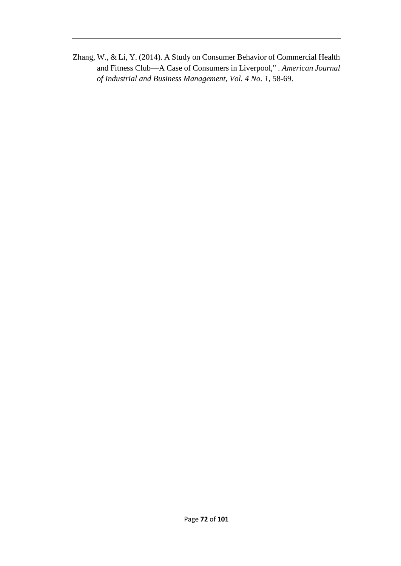Zhang, W., & Li, Y. (2014). A Study on Consumer Behavior of Commercial Health and Fitness Club—A Case of Consumers in Liverpool," . *American Journal of Industrial and Business Management, Vol. 4 No. 1*, 58-69.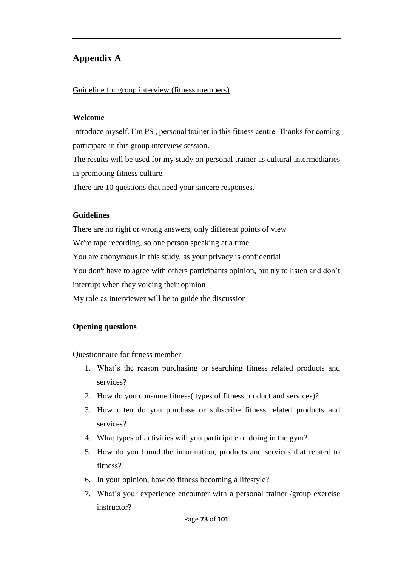# **Appendix A**

#### Guideline for group interview (fitness members)

#### **Welcome**

Introduce myself. I'm PS , personal trainer in this fitness centre. Thanks for coming participate in this group interview session.

The results will be used for my study on personal trainer as cultural intermediaries in promoting fitness culture.

There are 10 questions that need your sincere responses.

#### **Guidelines**

There are no right or wrong answers, only different points of view We're tape recording, so one person speaking at a time. You are anonymous in this study, as your privacy is confidential You don't have to agree with others participants opinion, but try to listen and don't interrupt when they voicing their opinion My role as interviewer will be to guide the discussion

#### **Opening questions**

Questionnaire for fitness member

- 1. What's the reason purchasing or searching fitness related products and services?
- 2. How do you consume fitness( types of fitness product and services)?
- 3. How often do you purchase or subscribe fitness related products and services?
- 4. What types of activities will you participate or doing in the gym?
- 5. How do you found the information, products and services that related to fitness?
- 6. In your opinion, how do fitness becoming a lifestyle?
- 7. What's your experience encounter with a personal trainer /group exercise instructor?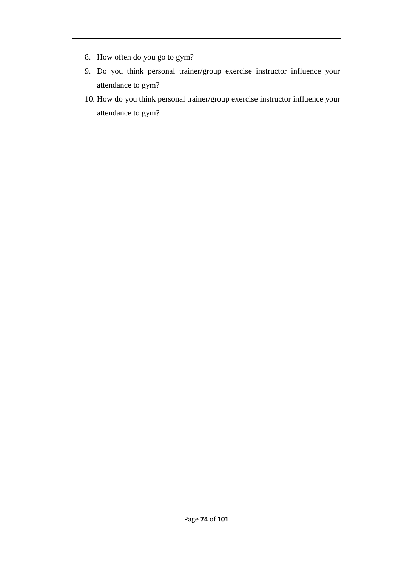- 8. How often do you go to gym?
- 9. Do you think personal trainer/group exercise instructor influence your attendance to gym?
- 10. How do you think personal trainer/group exercise instructor influence your attendance to gym?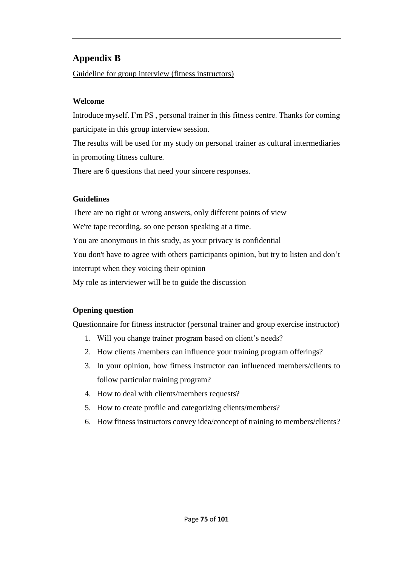# **Appendix B**

Guideline for group interview (fitness instructors)

### **Welcome**

Introduce myself. I'm PS , personal trainer in this fitness centre. Thanks for coming participate in this group interview session.

The results will be used for my study on personal trainer as cultural intermediaries in promoting fitness culture.

There are 6 questions that need your sincere responses.

### **Guidelines**

There are no right or wrong answers, only different points of view We're tape recording, so one person speaking at a time. You are anonymous in this study, as your privacy is confidential You don't have to agree with others participants opinion, but try to listen and don't interrupt when they voicing their opinion My role as interviewer will be to guide the discussion

# **Opening question**

Questionnaire for fitness instructor (personal trainer and group exercise instructor)

- 1. Will you change trainer program based on client's needs?
- 2. How clients /members can influence your training program offerings?
- 3. In your opinion, how fitness instructor can influenced members/clients to follow particular training program?
- 4. How to deal with clients/members requests?
- 5. How to create profile and categorizing clients/members?
- 6. How fitness instructors convey idea/concept of training to members/clients?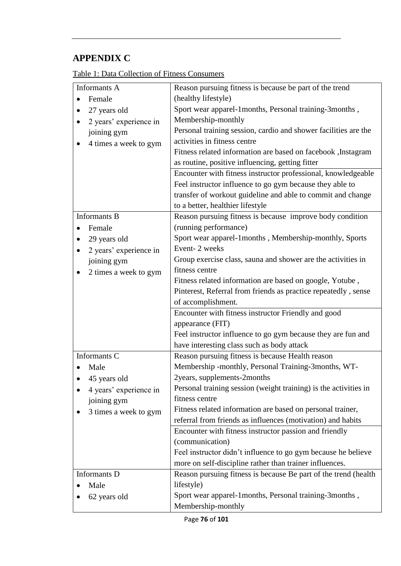# **APPENDIX C**

| Table 1: Data Collection of Fitness Consumers |
|-----------------------------------------------|
|-----------------------------------------------|

| Informants A                        | Reason pursuing fitness is because be part of the trend          |
|-------------------------------------|------------------------------------------------------------------|
| Female                              | (healthy lifestyle)                                              |
| 27 years old                        | Sport wear apparel-1months, Personal training-3months,           |
| 2 years' experience in<br>$\bullet$ | Membership-monthly                                               |
| joining gym                         | Personal training session, cardio and shower facilities are the  |
| 4 times a week to gym               | activities in fitness centre                                     |
|                                     | Fitness related information are based on facebook, Instagram     |
|                                     | as routine, positive influencing, getting fitter                 |
|                                     | Encounter with fitness instructor professional, knowledgeable    |
|                                     | Feel instructor influence to go gym because they able to         |
|                                     | transfer of workout guideline and able to commit and change      |
|                                     | to a better, healthier lifestyle                                 |
| <b>Informants B</b>                 | Reason pursuing fitness is because improve body condition        |
| Female                              | (running performance)                                            |
| 29 years old                        | Sport wear apparel-1months, Membership-monthly, Sports           |
| 2 years' experience in              | Event-2 weeks                                                    |
| joining gym                         | Group exercise class, sauna and shower are the activities in     |
| 2 times a week to gym               | fitness centre                                                   |
|                                     | Fitness related information are based on google, Yotube,         |
|                                     | Pinterest, Referral from friends as practice repeatedly, sense   |
|                                     | of accomplishment.                                               |
|                                     | Encounter with fitness instructor Friendly and good              |
|                                     | appearance (FIT)                                                 |
|                                     | Feel instructor influence to go gym because they are fun and     |
|                                     | have interesting class such as body attack                       |
| Informants C                        | Reason pursuing fitness is because Health reason                 |
| Male                                | Membership -monthly, Personal Training-3months, WT-              |
| 45 years old                        | 2years, supplements-2months                                      |
| 4 years' experience in              | Personal training session (weight training) is the activities in |
| joining gym                         | fitness centre                                                   |
| 3 times a week to gym               | Fitness related information are based on personal trainer,       |
|                                     | referral from friends as influences (motivation) and habits      |
|                                     | Encounter with fitness instructor passion and friendly           |
|                                     | (communication)                                                  |
|                                     | Feel instructor didn't influence to go gym because he believe    |
|                                     | more on self-discipline rather than trainer influences.          |
| Informants D                        | Reason pursuing fitness is because Be part of the trend (health) |
| Male                                | lifestyle)                                                       |
| 62 years old                        | Sport wear apparel-1months, Personal training-3months,           |
|                                     | Membership-monthly                                               |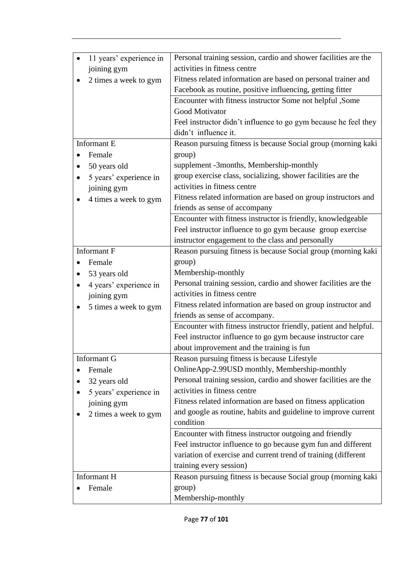| Personal training session, cardio and shower facilities are the<br>11 years' experience in<br>$\bullet$<br>activities in fitness centre<br>joining gym<br>Fitness related information are based on personal trainer and<br>2 times a week to gym<br>Facebook as routine, positive influencing, getting fitter |  |
|---------------------------------------------------------------------------------------------------------------------------------------------------------------------------------------------------------------------------------------------------------------------------------------------------------------|--|
|                                                                                                                                                                                                                                                                                                               |  |
|                                                                                                                                                                                                                                                                                                               |  |
|                                                                                                                                                                                                                                                                                                               |  |
|                                                                                                                                                                                                                                                                                                               |  |
| Encounter with fitness instructor Some not helpful ,Some                                                                                                                                                                                                                                                      |  |
| Good Motivator                                                                                                                                                                                                                                                                                                |  |
| Feel instructor didn't influence to go gym because he feel they                                                                                                                                                                                                                                               |  |
| didn't influence it.                                                                                                                                                                                                                                                                                          |  |
| Informant E<br>Reason pursuing fitness is because Social group (morning kaki                                                                                                                                                                                                                                  |  |
| group)<br>Female                                                                                                                                                                                                                                                                                              |  |
| supplement -3months, Membership-monthly<br>50 years old                                                                                                                                                                                                                                                       |  |
| group exercise class, socializing, shower facilities are the<br>5 years' experience in                                                                                                                                                                                                                        |  |
| activities in fitness centre<br>joining gym                                                                                                                                                                                                                                                                   |  |
| Fitness related information are based on group instructors and<br>4 times a week to gym                                                                                                                                                                                                                       |  |
| friends as sense of accompany                                                                                                                                                                                                                                                                                 |  |
| Encounter with fitness instructor is friendly, knowledgeable                                                                                                                                                                                                                                                  |  |
| Feel instructor influence to go gym because group exercise                                                                                                                                                                                                                                                    |  |
| instructor engagement to the class and personally                                                                                                                                                                                                                                                             |  |
| <b>Informant F</b><br>Reason pursuing fitness is because Social group (morning kaki                                                                                                                                                                                                                           |  |
| group)<br>Female                                                                                                                                                                                                                                                                                              |  |
| Membership-monthly<br>53 years old                                                                                                                                                                                                                                                                            |  |
| Personal training session, cardio and shower facilities are the<br>4 years' experience in                                                                                                                                                                                                                     |  |
| activities in fitness centre<br>joining gym                                                                                                                                                                                                                                                                   |  |
| Fitness related information are based on group instructor and<br>5 times a week to gym                                                                                                                                                                                                                        |  |
| friends as sense of accompany.                                                                                                                                                                                                                                                                                |  |
| Encounter with fitness instructor friendly, patient and helpful.                                                                                                                                                                                                                                              |  |
| Feel instructor influence to go gym because instructor care                                                                                                                                                                                                                                                   |  |
| about improvement and the training is fun                                                                                                                                                                                                                                                                     |  |
|                                                                                                                                                                                                                                                                                                               |  |
| Reason pursuing fitness is because Lifestyle<br>Informant G                                                                                                                                                                                                                                                   |  |
| OnlineApp-2.99USD monthly, Membership-monthly<br>Female                                                                                                                                                                                                                                                       |  |
| Personal training session, cardio and shower facilities are the<br>32 years old                                                                                                                                                                                                                               |  |
| activities in fitness centre                                                                                                                                                                                                                                                                                  |  |
| 5 years' experience in<br>Fitness related information are based on fitness application                                                                                                                                                                                                                        |  |
| joining gym<br>and google as routine, habits and guideline to improve current                                                                                                                                                                                                                                 |  |
| 2 times a week to gym<br>condition                                                                                                                                                                                                                                                                            |  |
| Encounter with fitness instructor outgoing and friendly                                                                                                                                                                                                                                                       |  |
| Feel instructor influence to go because gym fun and different                                                                                                                                                                                                                                                 |  |
| variation of exercise and current trend of training (different                                                                                                                                                                                                                                                |  |
| training every session)                                                                                                                                                                                                                                                                                       |  |
| Informant H<br>Reason pursuing fitness is because Social group (morning kaki                                                                                                                                                                                                                                  |  |
| group)<br>Female                                                                                                                                                                                                                                                                                              |  |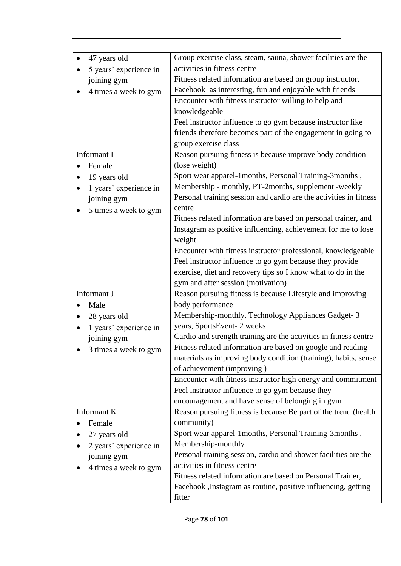| 47 years old                | Group exercise class, steam, sauna, shower facilities are the      |
|-----------------------------|--------------------------------------------------------------------|
| 5 years' experience in      | activities in fitness centre                                       |
| joining gym                 | Fitness related information are based on group instructor,         |
| 4 times a week to gym       | Facebook as interesting, fun and enjoyable with friends            |
|                             | Encounter with fitness instructor willing to help and              |
|                             | knowledgeable                                                      |
|                             | Feel instructor influence to go gym because instructor like        |
|                             | friends therefore becomes part of the engagement in going to       |
|                             | group exercise class                                               |
| Informant I                 | Reason pursuing fitness is because improve body condition          |
| Female                      | (lose weight)                                                      |
| 19 years old                | Sport wear apparel-1months, Personal Training-3months,             |
| 1 years' experience in<br>٠ | Membership - monthly, PT-2months, supplement -weekly               |
| joining gym                 | Personal training session and cardio are the activities in fitness |
|                             | centre                                                             |
| 5 times a week to gym       | Fitness related information are based on personal trainer, and     |
|                             | Instagram as positive influencing, achievement for me to lose      |
|                             | weight                                                             |
|                             | Encounter with fitness instructor professional, knowledgeable      |
|                             | Feel instructor influence to go gym because they provide           |
|                             | exercise, diet and recovery tips so I know what to do in the       |
|                             | gym and after session (motivation)                                 |
| Informant J                 | Reason pursuing fitness is because Lifestyle and improving         |
| Male                        | body performance                                                   |
| 28 years old                | Membership-monthly, Technology Appliances Gadget-3                 |
| 1 years' experience in      | years, SportsEvent-2 weeks                                         |
| joining gym                 | Cardio and strength training are the activities in fitness centre  |
| 3 times a week to gym       | Fitness related information are based on google and reading        |
|                             | materials as improving body condition (training), habits, sense    |
|                             | of achievement (improving)                                         |
|                             | Encounter with fitness instructor high energy and commitment       |
|                             | Feel instructor influence to go gym because they                   |
|                             | encouragement and have sense of belonging in gym                   |
| Informant K                 | Reason pursuing fitness is because Be part of the trend (health    |
| Female                      | community)                                                         |
|                             | Sport wear apparel-1months, Personal Training-3months,             |
| 27 years old                | Membership-monthly                                                 |
| 2 years' experience in      | Personal training session, cardio and shower facilities are the    |
| joining gym                 | activities in fitness centre                                       |
| 4 times a week to gym       | Fitness related information are based on Personal Trainer,         |
|                             |                                                                    |
|                             | Facebook , Instagram as routine, positive influencing, getting     |
|                             | fitter                                                             |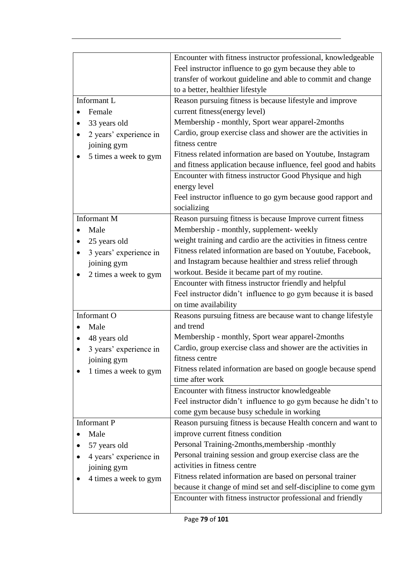|                        | Encounter with fitness instructor professional, knowledgeable<br>Feel instructor influence to go gym because they able to<br>transfer of workout guideline and able to commit and change<br>to a better, healthier lifestyle |
|------------------------|------------------------------------------------------------------------------------------------------------------------------------------------------------------------------------------------------------------------------|
| Informant L            | Reason pursuing fitness is because lifestyle and improve                                                                                                                                                                     |
| Female                 | current fitness(energy level)                                                                                                                                                                                                |
| 33 years old           | Membership - monthly, Sport wear apparel-2months                                                                                                                                                                             |
| 2 years' experience in | Cardio, group exercise class and shower are the activities in                                                                                                                                                                |
| joining gym            | fitness centre                                                                                                                                                                                                               |
| 5 times a week to gym  | Fitness related information are based on Youtube, Instagram                                                                                                                                                                  |
|                        | and fitness application because influence, feel good and habits                                                                                                                                                              |
|                        | Encounter with fitness instructor Good Physique and high                                                                                                                                                                     |
|                        | energy level                                                                                                                                                                                                                 |
|                        | Feel instructor influence to go gym because good rapport and                                                                                                                                                                 |
|                        | socializing                                                                                                                                                                                                                  |
| <b>Informant M</b>     | Reason pursuing fitness is because Improve current fitness                                                                                                                                                                   |
| Male                   | Membership - monthly, supplement- weekly                                                                                                                                                                                     |
| 25 years old           | weight training and cardio are the activities in fitness centre                                                                                                                                                              |
| 3 years' experience in | Fitness related information are based on Youtube, Facebook,                                                                                                                                                                  |
| joining gym            | and Instagram because healthier and stress relief through                                                                                                                                                                    |
| 2 times a week to gym  | workout. Beside it became part of my routine.                                                                                                                                                                                |
|                        | Encounter with fitness instructor friendly and helpful                                                                                                                                                                       |
|                        | Feel instructor didn't influence to go gym because it is based                                                                                                                                                               |
|                        | on time availability                                                                                                                                                                                                         |
| Informant O            | Reasons pursuing fitness are because want to change lifestyle                                                                                                                                                                |
| Male                   | and trend                                                                                                                                                                                                                    |
| 48 years old           | Membership - monthly, Sport wear apparel-2months                                                                                                                                                                             |
| 3 years' experience in | Cardio, group exercise class and shower are the activities in                                                                                                                                                                |
| joining gym            | fitness centre                                                                                                                                                                                                               |
| 1 times a week to gym  | Fitness related information are based on google because spend                                                                                                                                                                |
|                        | time after work                                                                                                                                                                                                              |
|                        | Encounter with fitness instructor knowledgeable                                                                                                                                                                              |
|                        | Feel instructor didn't influence to go gym because he didn't to                                                                                                                                                              |
|                        | come gym because busy schedule in working                                                                                                                                                                                    |
| <b>Informant P</b>     | Reason pursuing fitness is because Health concern and want to                                                                                                                                                                |
| Male                   | improve current fitness condition                                                                                                                                                                                            |
| 57 years old           | Personal Training-2months, membership -monthly                                                                                                                                                                               |
| 4 years' experience in | Personal training session and group exercise class are the                                                                                                                                                                   |
| joining gym            | activities in fitness centre                                                                                                                                                                                                 |
| 4 times a week to gym  | Fitness related information are based on personal trainer                                                                                                                                                                    |
|                        | because it change of mind set and self-discipline to come gym                                                                                                                                                                |
|                        | Encounter with fitness instructor professional and friendly                                                                                                                                                                  |
|                        |                                                                                                                                                                                                                              |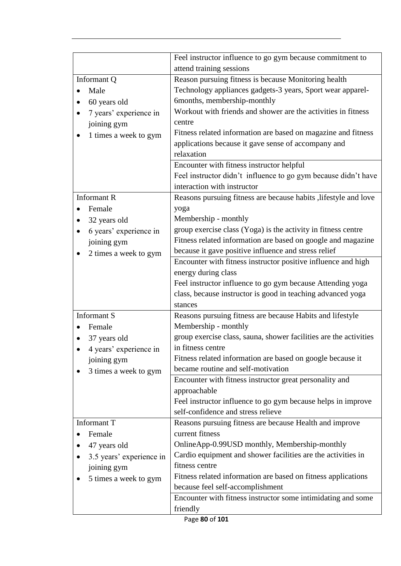| Feel instructor influence to go gym because commitment to<br>attend training sessions                                                                                                                                                                                                                                                                                                                                                                                             |
|-----------------------------------------------------------------------------------------------------------------------------------------------------------------------------------------------------------------------------------------------------------------------------------------------------------------------------------------------------------------------------------------------------------------------------------------------------------------------------------|
| Reason pursuing fitness is because Monitoring health<br>Technology appliances gadgets-3 years, Sport wear apparel-<br>6months, membership-monthly<br>Workout with friends and shower are the activities in fitness<br>centre<br>Fitness related information are based on magazine and fitness<br>applications because it gave sense of accompany and<br>relaxation<br>Encounter with fitness instructor helpful<br>Feel instructor didn't influence to go gym because didn't have |
| interaction with instructor<br>Reasons pursuing fitness are because habits , lifestyle and love<br>yoga                                                                                                                                                                                                                                                                                                                                                                           |
| Membership - monthly<br>group exercise class (Yoga) is the activity in fitness centre<br>Fitness related information are based on google and magazine<br>because it gave positive influence and stress relief                                                                                                                                                                                                                                                                     |
| Encounter with fitness instructor positive influence and high<br>energy during class<br>Feel instructor influence to go gym because Attending yoga<br>class, because instructor is good in teaching advanced yoga<br>stances                                                                                                                                                                                                                                                      |
| Reasons pursuing fitness are because Habits and lifestyle<br>Membership - monthly<br>group exercise class, sauna, shower facilities are the activities<br>in fitness centre<br>Fitness related information are based on google because it<br>became routine and self-motivation                                                                                                                                                                                                   |
| Encounter with fitness instructor great personality and<br>approachable<br>Feel instructor influence to go gym because helps in improve<br>self-confidence and stress relieve                                                                                                                                                                                                                                                                                                     |
| Reasons pursuing fitness are because Health and improve<br>current fitness<br>OnlineApp-0.99USD monthly, Membership-monthly<br>Cardio equipment and shower facilities are the activities in<br>fitness centre<br>Fitness related information are based on fitness applications<br>because feel self-accomplishment<br>Encounter with fitness instructor some intimidating and some<br>friendly                                                                                    |
|                                                                                                                                                                                                                                                                                                                                                                                                                                                                                   |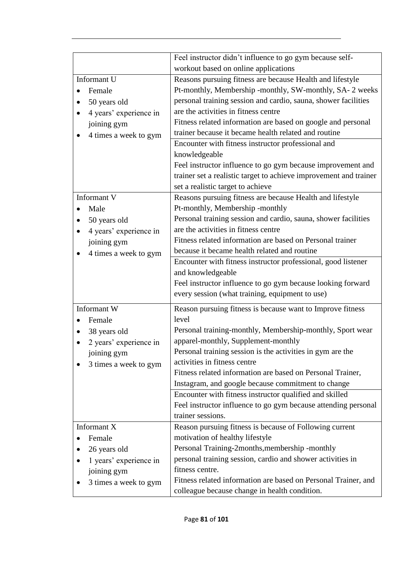|                           | Feel instructor didn't influence to go gym because self-          |
|---------------------------|-------------------------------------------------------------------|
|                           | workout based on online applications                              |
| Informant U               | Reasons pursuing fitness are because Health and lifestyle         |
| Female                    | Pt-monthly, Membership -monthly, SW-monthly, SA- 2 weeks          |
| 50 years old              | personal training session and cardio, sauna, shower facilities    |
| 4 years' experience in    | are the activities in fitness centre                              |
| joining gym               | Fitness related information are based on google and personal      |
| 4 times a week to gym     | trainer because it became health related and routine              |
|                           | Encounter with fitness instructor professional and                |
|                           | knowledgeable                                                     |
|                           | Feel instructor influence to go gym because improvement and       |
|                           | trainer set a realistic target to achieve improvement and trainer |
|                           | set a realistic target to achieve                                 |
| Informant V               | Reasons pursuing fitness are because Health and lifestyle         |
| Male                      | Pt-monthly, Membership -monthly                                   |
| 50 years old<br>$\bullet$ | Personal training session and cardio, sauna, shower facilities    |
| 4 years' experience in    | are the activities in fitness centre                              |
| joining gym               | Fitness related information are based on Personal trainer         |
| 4 times a week to gym     | because it became health related and routine                      |
|                           | Encounter with fitness instructor professional, good listener     |
|                           | and knowledgeable                                                 |
|                           | Feel instructor influence to go gym because looking forward       |
|                           | every session (what training, equipment to use)                   |
| Informant W               | Reason pursuing fitness is because want to Improve fitness        |
| Female                    | level                                                             |
| 38 years old              | Personal training-monthly, Membership-monthly, Sport wear         |
| 2 years' experience in    | apparel-monthly, Supplement-monthly                               |
| joining gym               | Personal training session is the activities in gym are the        |
| 3 times a week to gym     | activities in fitness centre                                      |
|                           | Fitness related information are based on Personal Trainer,        |
|                           | Instagram, and google because commitment to change                |
|                           | Encounter with fitness instructor qualified and skilled           |
|                           | Feel instructor influence to go gym because attending personal    |
|                           | trainer sessions.                                                 |
| Informant X               | Reason pursuing fitness is because of Following current           |
| Female                    | motivation of healthy lifestyle                                   |
| 26 years old              | Personal Training-2months, membership -monthly                    |
| 1 years' experience in    | personal training session, cardio and shower activities in        |
| joining gym               | fitness centre.                                                   |
| 3 times a week to gym     | Fitness related information are based on Personal Trainer, and    |
|                           | colleague because change in health condition.                     |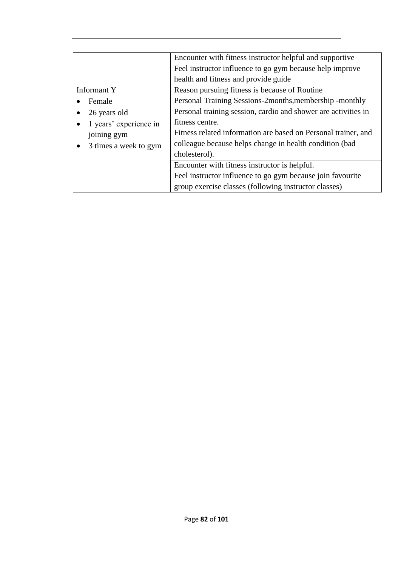|                                    | Encounter with fitness instructor helpful and supportive<br>Feel instructor influence to go gym because help improve<br>health and fitness and provide guide |
|------------------------------------|--------------------------------------------------------------------------------------------------------------------------------------------------------------|
| Informant Y                        | Reason pursuing fitness is because of Routine                                                                                                                |
| Female                             | Personal Training Sessions-2months, membership -monthly                                                                                                      |
| 26 years old                       | Personal training session, cardio and shower are activities in                                                                                               |
| 1 years' experience in             | fitness centre.                                                                                                                                              |
| joining gym                        | Fitness related information are based on Personal trainer, and                                                                                               |
| 3 times a week to gym<br>$\bullet$ | colleague because helps change in health condition (bad                                                                                                      |
|                                    | cholesterol).                                                                                                                                                |
|                                    | Encounter with fitness instructor is helpful.                                                                                                                |
|                                    | Feel instructor influence to go gym because join favourite                                                                                                   |
|                                    | group exercise classes (following instructor classes)                                                                                                        |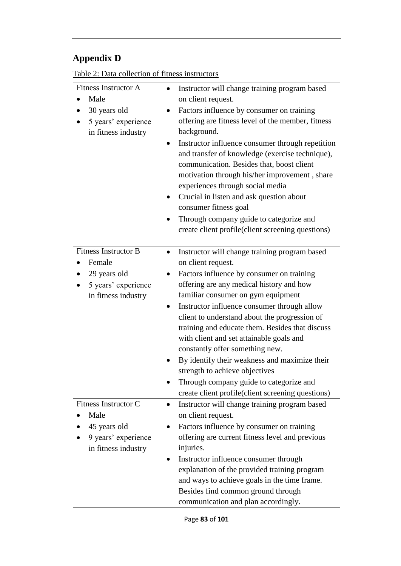# **Appendix D**

Table 2: Data collection of fitness instructors

| <b>Fitness Instructor A</b><br>Male<br>30 years old<br>5 years' experience<br>in fitness industry   | Instructor will change training program based<br>on client request.<br>Factors influence by consumer on training<br>offering are fitness level of the member, fitness<br>background.<br>Instructor influence consumer through repetition<br>and transfer of knowledge (exercise technique),<br>communication. Besides that, boost client<br>motivation through his/her improvement, share<br>experiences through social media<br>Crucial in listen and ask question about<br>consumer fitness goal<br>Through company guide to categorize and<br>create client profile(client screening questions)                      |
|-----------------------------------------------------------------------------------------------------|-------------------------------------------------------------------------------------------------------------------------------------------------------------------------------------------------------------------------------------------------------------------------------------------------------------------------------------------------------------------------------------------------------------------------------------------------------------------------------------------------------------------------------------------------------------------------------------------------------------------------|
| <b>Fitness Instructor B</b><br>Female<br>29 years old<br>5 years' experience<br>in fitness industry | Instructor will change training program based<br>on client request.<br>Factors influence by consumer on training<br>offering are any medical history and how<br>familiar consumer on gym equipment<br>Instructor influence consumer through allow<br>client to understand about the progression of<br>training and educate them. Besides that discuss<br>with client and set attainable goals and<br>constantly offer something new.<br>By identify their weakness and maximize their<br>strength to achieve objectives<br>Through company guide to categorize and<br>create client profile(client screening questions) |
| <b>Fitness Instructor C</b><br>Male<br>45 years old<br>9 years' experience<br>in fitness industry   | Instructor will change training program based<br>$\bullet$<br>on client request.<br>Factors influence by consumer on training<br>offering are current fitness level and previous<br>injuries.<br>Instructor influence consumer through<br>explanation of the provided training program<br>and ways to achieve goals in the time frame.<br>Besides find common ground through<br>communication and plan accordingly.                                                                                                                                                                                                     |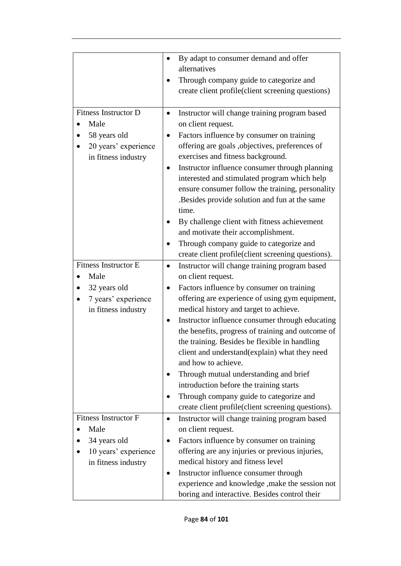|                             | By adapt to consumer demand and offer                      |
|-----------------------------|------------------------------------------------------------|
|                             | alternatives                                               |
|                             | Through company guide to categorize and                    |
|                             | create client profile(client screening questions)          |
|                             |                                                            |
| <b>Fitness Instructor D</b> | Instructor will change training program based              |
| Male                        | on client request.                                         |
| 58 years old                | Factors influence by consumer on training                  |
| 20 years' experience        | offering are goals ,objectives, preferences of             |
| in fitness industry         | exercises and fitness background.                          |
|                             | Instructor influence consumer through planning             |
|                             | interested and stimulated program which help               |
|                             | ensure consumer follow the training, personality           |
|                             | Besides provide solution and fun at the same.              |
|                             | time.                                                      |
|                             | By challenge client with fitness achievement               |
|                             | and motivate their accomplishment.                         |
|                             | Through company guide to categorize and                    |
|                             | create client profile(client screening questions).         |
| <b>Fitness Instructor E</b> | Instructor will change training program based              |
| Male                        | on client request.                                         |
| 32 years old                | Factors influence by consumer on training                  |
| 7 years' experience         | offering are experience of using gym equipment,            |
| in fitness industry         | medical history and target to achieve.                     |
|                             | Instructor influence consumer through educating            |
|                             | the benefits, progress of training and outcome of          |
|                             | the training. Besides be flexible in handling              |
|                             | client and understand(explain) what they need              |
|                             | and how to achieve.                                        |
|                             | Through mutual understanding and brief                     |
|                             | introduction before the training starts                    |
|                             | Through company guide to categorize and                    |
|                             | create client profile (client screening questions).        |
| <b>Fitness Instructor F</b> | Instructor will change training program based<br>$\bullet$ |
| Male                        | on client request.                                         |
| 34 years old                | Factors influence by consumer on training                  |
| 10 years' experience        | offering are any injuries or previous injuries,            |
| in fitness industry         | medical history and fitness level                          |
|                             | Instructor influence consumer through<br>٠                 |
|                             | experience and knowledge , make the session not            |
|                             | boring and interactive. Besides control their              |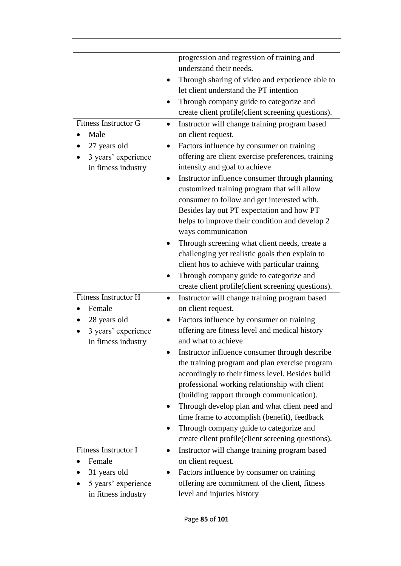|                             | progression and regression of training and                 |
|-----------------------------|------------------------------------------------------------|
|                             | understand their needs.                                    |
|                             | Through sharing of video and experience able to            |
|                             | let client understand the PT intention                     |
|                             | Through company guide to categorize and                    |
|                             | create client profile(client screening questions).         |
| <b>Fitness Instructor G</b> | Instructor will change training program based<br>$\bullet$ |
| Male                        | on client request.                                         |
|                             |                                                            |
| 27 years old                | Factors influence by consumer on training                  |
| 3 years' experience         | offering are client exercise preferences, training         |
| in fitness industry         | intensity and goal to achieve                              |
|                             | Instructor influence consumer through planning             |
|                             | customized training program that will allow                |
|                             | consumer to follow and get interested with.                |
|                             | Besides lay out PT expectation and how PT                  |
|                             | helps to improve their condition and develop 2             |
|                             | ways communication                                         |
|                             | Through screening what client needs, create a              |
|                             | challenging yet realistic goals then explain to            |
|                             | client hos to achieve with particular trainng              |
|                             | Through company guide to categorize and                    |
|                             | create client profile(client screening questions).         |
| <b>Fitness Instructor H</b> | Instructor will change training program based              |
| Female                      | on client request.                                         |
| 28 years old                | Factors influence by consumer on training                  |
| 3 years' experience         | offering are fitness level and medical history             |
| in fitness industry         | and what to achieve                                        |
|                             | Instructor influence consumer through describe             |
|                             | the training program and plan exercise program             |
|                             | accordingly to their fitness level. Besides build          |
|                             | professional working relationship with client              |
|                             | (building rapport through communication).                  |
|                             |                                                            |
|                             | Through develop plan and what client need and              |
|                             | time frame to accomplish (benefit), feedback               |
|                             | Through company guide to categorize and                    |
|                             | create client profile(client screening questions).         |
| <b>Fitness Instructor I</b> | Instructor will change training program based<br>$\bullet$ |
| Female                      | on client request.                                         |
| 31 years old                | Factors influence by consumer on training                  |
| 5 years' experience         | offering are commitment of the client, fitness             |
| in fitness industry         | level and injuries history                                 |
|                             |                                                            |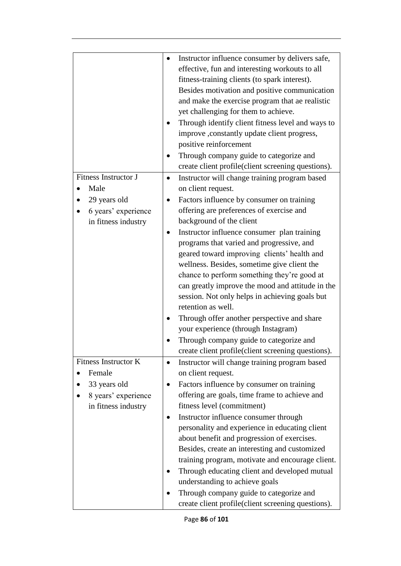|                                       | Instructor influence consumer by delivers safe,<br>effective, fun and interesting workouts to all<br>fitness-training clients (to spark interest).<br>Besides motivation and positive communication<br>and make the exercise program that ae realistic<br>yet challenging for them to achieve.<br>Through identify client fitness level and ways to<br>improve , constantly update client progress,<br>positive reinforcement<br>Through company guide to categorize and<br>create client profile(client screening questions). |
|---------------------------------------|--------------------------------------------------------------------------------------------------------------------------------------------------------------------------------------------------------------------------------------------------------------------------------------------------------------------------------------------------------------------------------------------------------------------------------------------------------------------------------------------------------------------------------|
| Fitness Instructor J                  | Instructor will change training program based<br>$\bullet$                                                                                                                                                                                                                                                                                                                                                                                                                                                                     |
| Male                                  | on client request.                                                                                                                                                                                                                                                                                                                                                                                                                                                                                                             |
| 29 years old                          | Factors influence by consumer on training                                                                                                                                                                                                                                                                                                                                                                                                                                                                                      |
| 6 years' experience                   | offering are preferences of exercise and                                                                                                                                                                                                                                                                                                                                                                                                                                                                                       |
| in fitness industry                   | background of the client                                                                                                                                                                                                                                                                                                                                                                                                                                                                                                       |
|                                       | Instructor influence consumer plan training<br>programs that varied and progressive, and                                                                                                                                                                                                                                                                                                                                                                                                                                       |
|                                       | geared toward improving clients' health and                                                                                                                                                                                                                                                                                                                                                                                                                                                                                    |
|                                       | wellness. Besides, sometime give client the                                                                                                                                                                                                                                                                                                                                                                                                                                                                                    |
|                                       | chance to perform something they're good at                                                                                                                                                                                                                                                                                                                                                                                                                                                                                    |
|                                       | can greatly improve the mood and attitude in the                                                                                                                                                                                                                                                                                                                                                                                                                                                                               |
|                                       | session. Not only helps in achieving goals but                                                                                                                                                                                                                                                                                                                                                                                                                                                                                 |
|                                       | retention as well.                                                                                                                                                                                                                                                                                                                                                                                                                                                                                                             |
|                                       | Through offer another perspective and share                                                                                                                                                                                                                                                                                                                                                                                                                                                                                    |
|                                       | your experience (through Instagram)                                                                                                                                                                                                                                                                                                                                                                                                                                                                                            |
|                                       | Through company guide to categorize and                                                                                                                                                                                                                                                                                                                                                                                                                                                                                        |
|                                       | create client profile(client screening questions).                                                                                                                                                                                                                                                                                                                                                                                                                                                                             |
| <b>Fitness Instructor K</b><br>Female | Instructor will change training program based                                                                                                                                                                                                                                                                                                                                                                                                                                                                                  |
| 33 years old                          | on client request.<br>Factors influence by consumer on training                                                                                                                                                                                                                                                                                                                                                                                                                                                                |
| 8 years' experience                   | offering are goals, time frame to achieve and                                                                                                                                                                                                                                                                                                                                                                                                                                                                                  |
| in fitness industry                   | fitness level (commitment)                                                                                                                                                                                                                                                                                                                                                                                                                                                                                                     |
|                                       | Instructor influence consumer through                                                                                                                                                                                                                                                                                                                                                                                                                                                                                          |
|                                       | personality and experience in educating client                                                                                                                                                                                                                                                                                                                                                                                                                                                                                 |
|                                       | about benefit and progression of exercises.                                                                                                                                                                                                                                                                                                                                                                                                                                                                                    |
|                                       | Besides, create an interesting and customized                                                                                                                                                                                                                                                                                                                                                                                                                                                                                  |
|                                       | training program, motivate and encourage client.                                                                                                                                                                                                                                                                                                                                                                                                                                                                               |
|                                       | Through educating client and developed mutual                                                                                                                                                                                                                                                                                                                                                                                                                                                                                  |
|                                       | understanding to achieve goals                                                                                                                                                                                                                                                                                                                                                                                                                                                                                                 |
|                                       | Through company guide to categorize and<br>create client profile(client screening questions).                                                                                                                                                                                                                                                                                                                                                                                                                                  |
|                                       |                                                                                                                                                                                                                                                                                                                                                                                                                                                                                                                                |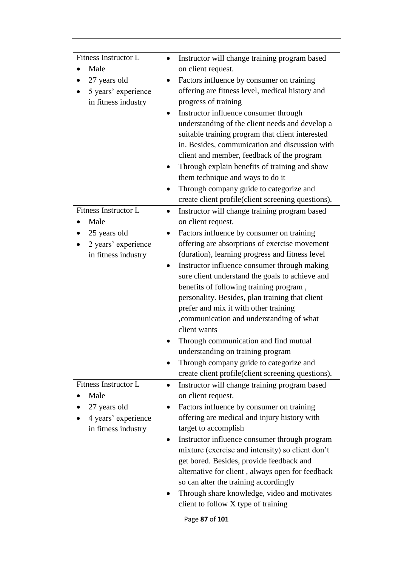| Fitness Instructor L<br>Instructor will change training program based<br>Male<br>on client request.<br>27 years old<br>Factors influence by consumer on training<br>offering are fitness level, medical history and<br>5 years' experience<br>progress of training<br>in fitness industry<br>Instructor influence consumer through<br>understanding of the client needs and develop a<br>suitable training program that client interested<br>in. Besides, communication and discussion with<br>client and member, feedback of the program<br>Through explain benefits of training and show<br>them technique and ways to do it<br>Through company guide to categorize and<br>create client profile(client screening questions).<br><b>Fitness Instructor L</b><br>Instructor will change training program based<br>٠<br>Male<br>on client request.<br>25 years old<br>Factors influence by consumer on training<br>offering are absorptions of exercise movement<br>2 years' experience<br>(duration), learning progress and fitness level<br>in fitness industry<br>Instructor influence consumer through making<br>sure client understand the goals to achieve and<br>benefits of following training program,<br>personality. Besides, plan training that client<br>prefer and mix it with other training<br>,communication and understanding of what<br>client wants<br>Through communication and find mutual<br>understanding on training program<br>Through company guide to categorize and<br>create client profile(client screening questions).<br><b>Fitness Instructor L</b><br>Instructor will change training program based<br>$\bullet$<br>Male<br>on client request.<br>27 years old<br>Factors influence by consumer on training<br>offering are medical and injury history with<br>4 years' experience<br>target to accomplish<br>in fitness industry<br>Instructor influence consumer through program<br>mixture (exercise and intensity) so client don't<br>get bored. Besides, provide feedback and<br>alternative for client, always open for feedback<br>so can alter the training accordingly<br>Through share knowledge, video and motivates |  |
|--------------------------------------------------------------------------------------------------------------------------------------------------------------------------------------------------------------------------------------------------------------------------------------------------------------------------------------------------------------------------------------------------------------------------------------------------------------------------------------------------------------------------------------------------------------------------------------------------------------------------------------------------------------------------------------------------------------------------------------------------------------------------------------------------------------------------------------------------------------------------------------------------------------------------------------------------------------------------------------------------------------------------------------------------------------------------------------------------------------------------------------------------------------------------------------------------------------------------------------------------------------------------------------------------------------------------------------------------------------------------------------------------------------------------------------------------------------------------------------------------------------------------------------------------------------------------------------------------------------------------------------------------------------------------------------------------------------------------------------------------------------------------------------------------------------------------------------------------------------------------------------------------------------------------------------------------------------------------------------------------------------------------------------------------------------------------------------------------------------------------------------------------------------------|--|
|                                                                                                                                                                                                                                                                                                                                                                                                                                                                                                                                                                                                                                                                                                                                                                                                                                                                                                                                                                                                                                                                                                                                                                                                                                                                                                                                                                                                                                                                                                                                                                                                                                                                                                                                                                                                                                                                                                                                                                                                                                                                                                                                                                    |  |
|                                                                                                                                                                                                                                                                                                                                                                                                                                                                                                                                                                                                                                                                                                                                                                                                                                                                                                                                                                                                                                                                                                                                                                                                                                                                                                                                                                                                                                                                                                                                                                                                                                                                                                                                                                                                                                                                                                                                                                                                                                                                                                                                                                    |  |
|                                                                                                                                                                                                                                                                                                                                                                                                                                                                                                                                                                                                                                                                                                                                                                                                                                                                                                                                                                                                                                                                                                                                                                                                                                                                                                                                                                                                                                                                                                                                                                                                                                                                                                                                                                                                                                                                                                                                                                                                                                                                                                                                                                    |  |
|                                                                                                                                                                                                                                                                                                                                                                                                                                                                                                                                                                                                                                                                                                                                                                                                                                                                                                                                                                                                                                                                                                                                                                                                                                                                                                                                                                                                                                                                                                                                                                                                                                                                                                                                                                                                                                                                                                                                                                                                                                                                                                                                                                    |  |
|                                                                                                                                                                                                                                                                                                                                                                                                                                                                                                                                                                                                                                                                                                                                                                                                                                                                                                                                                                                                                                                                                                                                                                                                                                                                                                                                                                                                                                                                                                                                                                                                                                                                                                                                                                                                                                                                                                                                                                                                                                                                                                                                                                    |  |
|                                                                                                                                                                                                                                                                                                                                                                                                                                                                                                                                                                                                                                                                                                                                                                                                                                                                                                                                                                                                                                                                                                                                                                                                                                                                                                                                                                                                                                                                                                                                                                                                                                                                                                                                                                                                                                                                                                                                                                                                                                                                                                                                                                    |  |
|                                                                                                                                                                                                                                                                                                                                                                                                                                                                                                                                                                                                                                                                                                                                                                                                                                                                                                                                                                                                                                                                                                                                                                                                                                                                                                                                                                                                                                                                                                                                                                                                                                                                                                                                                                                                                                                                                                                                                                                                                                                                                                                                                                    |  |
|                                                                                                                                                                                                                                                                                                                                                                                                                                                                                                                                                                                                                                                                                                                                                                                                                                                                                                                                                                                                                                                                                                                                                                                                                                                                                                                                                                                                                                                                                                                                                                                                                                                                                                                                                                                                                                                                                                                                                                                                                                                                                                                                                                    |  |
|                                                                                                                                                                                                                                                                                                                                                                                                                                                                                                                                                                                                                                                                                                                                                                                                                                                                                                                                                                                                                                                                                                                                                                                                                                                                                                                                                                                                                                                                                                                                                                                                                                                                                                                                                                                                                                                                                                                                                                                                                                                                                                                                                                    |  |
|                                                                                                                                                                                                                                                                                                                                                                                                                                                                                                                                                                                                                                                                                                                                                                                                                                                                                                                                                                                                                                                                                                                                                                                                                                                                                                                                                                                                                                                                                                                                                                                                                                                                                                                                                                                                                                                                                                                                                                                                                                                                                                                                                                    |  |
|                                                                                                                                                                                                                                                                                                                                                                                                                                                                                                                                                                                                                                                                                                                                                                                                                                                                                                                                                                                                                                                                                                                                                                                                                                                                                                                                                                                                                                                                                                                                                                                                                                                                                                                                                                                                                                                                                                                                                                                                                                                                                                                                                                    |  |
|                                                                                                                                                                                                                                                                                                                                                                                                                                                                                                                                                                                                                                                                                                                                                                                                                                                                                                                                                                                                                                                                                                                                                                                                                                                                                                                                                                                                                                                                                                                                                                                                                                                                                                                                                                                                                                                                                                                                                                                                                                                                                                                                                                    |  |
|                                                                                                                                                                                                                                                                                                                                                                                                                                                                                                                                                                                                                                                                                                                                                                                                                                                                                                                                                                                                                                                                                                                                                                                                                                                                                                                                                                                                                                                                                                                                                                                                                                                                                                                                                                                                                                                                                                                                                                                                                                                                                                                                                                    |  |
|                                                                                                                                                                                                                                                                                                                                                                                                                                                                                                                                                                                                                                                                                                                                                                                                                                                                                                                                                                                                                                                                                                                                                                                                                                                                                                                                                                                                                                                                                                                                                                                                                                                                                                                                                                                                                                                                                                                                                                                                                                                                                                                                                                    |  |
|                                                                                                                                                                                                                                                                                                                                                                                                                                                                                                                                                                                                                                                                                                                                                                                                                                                                                                                                                                                                                                                                                                                                                                                                                                                                                                                                                                                                                                                                                                                                                                                                                                                                                                                                                                                                                                                                                                                                                                                                                                                                                                                                                                    |  |
|                                                                                                                                                                                                                                                                                                                                                                                                                                                                                                                                                                                                                                                                                                                                                                                                                                                                                                                                                                                                                                                                                                                                                                                                                                                                                                                                                                                                                                                                                                                                                                                                                                                                                                                                                                                                                                                                                                                                                                                                                                                                                                                                                                    |  |
|                                                                                                                                                                                                                                                                                                                                                                                                                                                                                                                                                                                                                                                                                                                                                                                                                                                                                                                                                                                                                                                                                                                                                                                                                                                                                                                                                                                                                                                                                                                                                                                                                                                                                                                                                                                                                                                                                                                                                                                                                                                                                                                                                                    |  |
|                                                                                                                                                                                                                                                                                                                                                                                                                                                                                                                                                                                                                                                                                                                                                                                                                                                                                                                                                                                                                                                                                                                                                                                                                                                                                                                                                                                                                                                                                                                                                                                                                                                                                                                                                                                                                                                                                                                                                                                                                                                                                                                                                                    |  |
|                                                                                                                                                                                                                                                                                                                                                                                                                                                                                                                                                                                                                                                                                                                                                                                                                                                                                                                                                                                                                                                                                                                                                                                                                                                                                                                                                                                                                                                                                                                                                                                                                                                                                                                                                                                                                                                                                                                                                                                                                                                                                                                                                                    |  |
|                                                                                                                                                                                                                                                                                                                                                                                                                                                                                                                                                                                                                                                                                                                                                                                                                                                                                                                                                                                                                                                                                                                                                                                                                                                                                                                                                                                                                                                                                                                                                                                                                                                                                                                                                                                                                                                                                                                                                                                                                                                                                                                                                                    |  |
|                                                                                                                                                                                                                                                                                                                                                                                                                                                                                                                                                                                                                                                                                                                                                                                                                                                                                                                                                                                                                                                                                                                                                                                                                                                                                                                                                                                                                                                                                                                                                                                                                                                                                                                                                                                                                                                                                                                                                                                                                                                                                                                                                                    |  |
|                                                                                                                                                                                                                                                                                                                                                                                                                                                                                                                                                                                                                                                                                                                                                                                                                                                                                                                                                                                                                                                                                                                                                                                                                                                                                                                                                                                                                                                                                                                                                                                                                                                                                                                                                                                                                                                                                                                                                                                                                                                                                                                                                                    |  |
|                                                                                                                                                                                                                                                                                                                                                                                                                                                                                                                                                                                                                                                                                                                                                                                                                                                                                                                                                                                                                                                                                                                                                                                                                                                                                                                                                                                                                                                                                                                                                                                                                                                                                                                                                                                                                                                                                                                                                                                                                                                                                                                                                                    |  |
|                                                                                                                                                                                                                                                                                                                                                                                                                                                                                                                                                                                                                                                                                                                                                                                                                                                                                                                                                                                                                                                                                                                                                                                                                                                                                                                                                                                                                                                                                                                                                                                                                                                                                                                                                                                                                                                                                                                                                                                                                                                                                                                                                                    |  |
|                                                                                                                                                                                                                                                                                                                                                                                                                                                                                                                                                                                                                                                                                                                                                                                                                                                                                                                                                                                                                                                                                                                                                                                                                                                                                                                                                                                                                                                                                                                                                                                                                                                                                                                                                                                                                                                                                                                                                                                                                                                                                                                                                                    |  |
|                                                                                                                                                                                                                                                                                                                                                                                                                                                                                                                                                                                                                                                                                                                                                                                                                                                                                                                                                                                                                                                                                                                                                                                                                                                                                                                                                                                                                                                                                                                                                                                                                                                                                                                                                                                                                                                                                                                                                                                                                                                                                                                                                                    |  |
|                                                                                                                                                                                                                                                                                                                                                                                                                                                                                                                                                                                                                                                                                                                                                                                                                                                                                                                                                                                                                                                                                                                                                                                                                                                                                                                                                                                                                                                                                                                                                                                                                                                                                                                                                                                                                                                                                                                                                                                                                                                                                                                                                                    |  |
|                                                                                                                                                                                                                                                                                                                                                                                                                                                                                                                                                                                                                                                                                                                                                                                                                                                                                                                                                                                                                                                                                                                                                                                                                                                                                                                                                                                                                                                                                                                                                                                                                                                                                                                                                                                                                                                                                                                                                                                                                                                                                                                                                                    |  |
|                                                                                                                                                                                                                                                                                                                                                                                                                                                                                                                                                                                                                                                                                                                                                                                                                                                                                                                                                                                                                                                                                                                                                                                                                                                                                                                                                                                                                                                                                                                                                                                                                                                                                                                                                                                                                                                                                                                                                                                                                                                                                                                                                                    |  |
|                                                                                                                                                                                                                                                                                                                                                                                                                                                                                                                                                                                                                                                                                                                                                                                                                                                                                                                                                                                                                                                                                                                                                                                                                                                                                                                                                                                                                                                                                                                                                                                                                                                                                                                                                                                                                                                                                                                                                                                                                                                                                                                                                                    |  |
|                                                                                                                                                                                                                                                                                                                                                                                                                                                                                                                                                                                                                                                                                                                                                                                                                                                                                                                                                                                                                                                                                                                                                                                                                                                                                                                                                                                                                                                                                                                                                                                                                                                                                                                                                                                                                                                                                                                                                                                                                                                                                                                                                                    |  |
|                                                                                                                                                                                                                                                                                                                                                                                                                                                                                                                                                                                                                                                                                                                                                                                                                                                                                                                                                                                                                                                                                                                                                                                                                                                                                                                                                                                                                                                                                                                                                                                                                                                                                                                                                                                                                                                                                                                                                                                                                                                                                                                                                                    |  |
|                                                                                                                                                                                                                                                                                                                                                                                                                                                                                                                                                                                                                                                                                                                                                                                                                                                                                                                                                                                                                                                                                                                                                                                                                                                                                                                                                                                                                                                                                                                                                                                                                                                                                                                                                                                                                                                                                                                                                                                                                                                                                                                                                                    |  |
|                                                                                                                                                                                                                                                                                                                                                                                                                                                                                                                                                                                                                                                                                                                                                                                                                                                                                                                                                                                                                                                                                                                                                                                                                                                                                                                                                                                                                                                                                                                                                                                                                                                                                                                                                                                                                                                                                                                                                                                                                                                                                                                                                                    |  |
|                                                                                                                                                                                                                                                                                                                                                                                                                                                                                                                                                                                                                                                                                                                                                                                                                                                                                                                                                                                                                                                                                                                                                                                                                                                                                                                                                                                                                                                                                                                                                                                                                                                                                                                                                                                                                                                                                                                                                                                                                                                                                                                                                                    |  |
|                                                                                                                                                                                                                                                                                                                                                                                                                                                                                                                                                                                                                                                                                                                                                                                                                                                                                                                                                                                                                                                                                                                                                                                                                                                                                                                                                                                                                                                                                                                                                                                                                                                                                                                                                                                                                                                                                                                                                                                                                                                                                                                                                                    |  |
|                                                                                                                                                                                                                                                                                                                                                                                                                                                                                                                                                                                                                                                                                                                                                                                                                                                                                                                                                                                                                                                                                                                                                                                                                                                                                                                                                                                                                                                                                                                                                                                                                                                                                                                                                                                                                                                                                                                                                                                                                                                                                                                                                                    |  |
|                                                                                                                                                                                                                                                                                                                                                                                                                                                                                                                                                                                                                                                                                                                                                                                                                                                                                                                                                                                                                                                                                                                                                                                                                                                                                                                                                                                                                                                                                                                                                                                                                                                                                                                                                                                                                                                                                                                                                                                                                                                                                                                                                                    |  |
|                                                                                                                                                                                                                                                                                                                                                                                                                                                                                                                                                                                                                                                                                                                                                                                                                                                                                                                                                                                                                                                                                                                                                                                                                                                                                                                                                                                                                                                                                                                                                                                                                                                                                                                                                                                                                                                                                                                                                                                                                                                                                                                                                                    |  |
|                                                                                                                                                                                                                                                                                                                                                                                                                                                                                                                                                                                                                                                                                                                                                                                                                                                                                                                                                                                                                                                                                                                                                                                                                                                                                                                                                                                                                                                                                                                                                                                                                                                                                                                                                                                                                                                                                                                                                                                                                                                                                                                                                                    |  |
|                                                                                                                                                                                                                                                                                                                                                                                                                                                                                                                                                                                                                                                                                                                                                                                                                                                                                                                                                                                                                                                                                                                                                                                                                                                                                                                                                                                                                                                                                                                                                                                                                                                                                                                                                                                                                                                                                                                                                                                                                                                                                                                                                                    |  |
|                                                                                                                                                                                                                                                                                                                                                                                                                                                                                                                                                                                                                                                                                                                                                                                                                                                                                                                                                                                                                                                                                                                                                                                                                                                                                                                                                                                                                                                                                                                                                                                                                                                                                                                                                                                                                                                                                                                                                                                                                                                                                                                                                                    |  |
| client to follow X type of training                                                                                                                                                                                                                                                                                                                                                                                                                                                                                                                                                                                                                                                                                                                                                                                                                                                                                                                                                                                                                                                                                                                                                                                                                                                                                                                                                                                                                                                                                                                                                                                                                                                                                                                                                                                                                                                                                                                                                                                                                                                                                                                                |  |